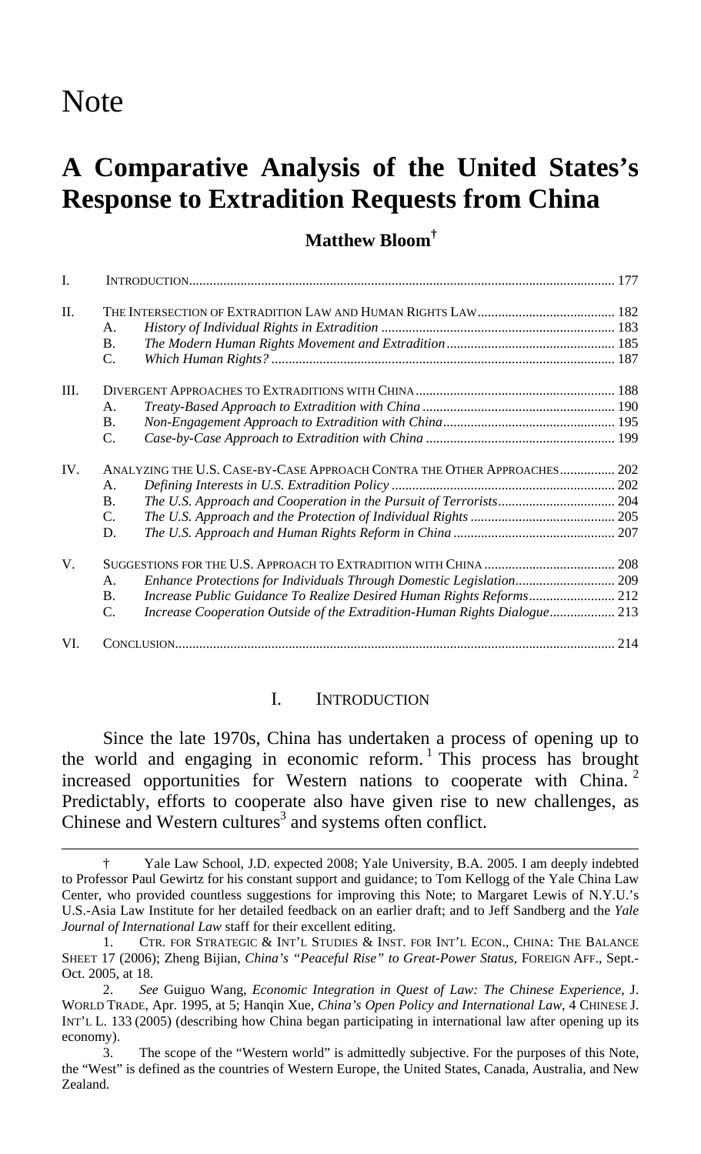# Note

 $\overline{a}$ 

# **A Comparative Analysis of the United States's Response to Extradition Requests from China**

# **Matthew Bloom†**

| I.   |                                                                          |                                                                           |  |
|------|--------------------------------------------------------------------------|---------------------------------------------------------------------------|--|
| II.  |                                                                          |                                                                           |  |
|      | A.                                                                       |                                                                           |  |
|      | <b>B.</b>                                                                |                                                                           |  |
|      | C.                                                                       |                                                                           |  |
| III. |                                                                          |                                                                           |  |
|      | A.                                                                       |                                                                           |  |
|      | <b>B.</b>                                                                |                                                                           |  |
|      | C.                                                                       |                                                                           |  |
| IV.  | ANALYZING THE U.S. CASE-BY-CASE APPROACH CONTRA THE OTHER APPROACHES 202 |                                                                           |  |
|      | A.                                                                       |                                                                           |  |
|      | <b>B.</b>                                                                |                                                                           |  |
|      | $\mathbf{C}$ .                                                           |                                                                           |  |
|      | D.                                                                       |                                                                           |  |
| V.   |                                                                          |                                                                           |  |
|      | A.                                                                       | Enhance Protections for Individuals Through Domestic Legislation 209      |  |
|      | B.                                                                       |                                                                           |  |
|      | C.                                                                       | Increase Cooperation Outside of the Extradition-Human Rights Dialogue 213 |  |
| VI.  | 214                                                                      |                                                                           |  |

#### I. INTRODUCTION

Since the late 1970s, China has undertaken a process of opening up to the world and engaging in economic reform.<sup>1</sup> This process has brought increased opportunities for Western nations to cooperate with China. <sup>2</sup> Predictably, efforts to cooperate also have given rise to new challenges, as Chinese and Western cultures<sup>3</sup> and systems often conflict.

<sup>†</sup> Yale Law School, J.D. expected 2008; Yale University, B.A. 2005. I am deeply indebted to Professor Paul Gewirtz for his constant support and guidance; to Tom Kellogg of the Yale China Law Center, who provided countless suggestions for improving this Note; to Margaret Lewis of N.Y.U.'s U.S.-Asia Law Institute for her detailed feedback on an earlier draft; and to Jeff Sandberg and the *Yale Journal of International Law* staff for their excellent editing.

<sup>1.</sup> CTR. FOR STRATEGIC & INT'L STUDIES & INST. FOR INT'L ECON., CHINA: THE BALANCE SHEET 17 (2006); Zheng Bijian, *China's "Peaceful Rise" to Great-Power Status*, FOREIGN AFF., Sept.- Oct. 2005, at 18.

<sup>2.</sup> *See* Guiguo Wang, *Economic Integration in Quest of Law: The Chinese Experience*, J. WORLD TRADE, Apr. 1995, at 5; Hanqin Xue, *China's Open Policy and International Law*, 4 CHINESE J. INT'L L. 133 (2005) (describing how China began participating in international law after opening up its economy).

<sup>3.</sup> The scope of the "Western world" is admittedly subjective. For the purposes of this Note, the "West" is defined as the countries of Western Europe, the United States, Canada, Australia, and New Zealand.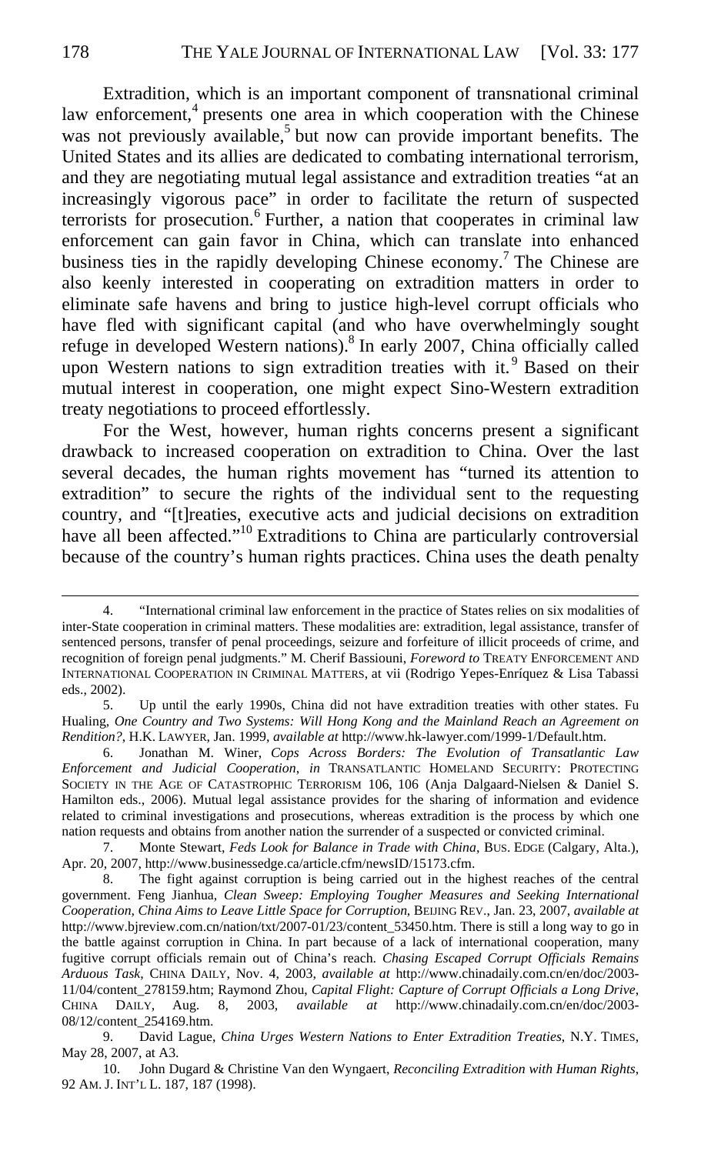Extradition, which is an important component of transnational criminal law enforcement, $4$  presents one area in which cooperation with the Chinese was not previously available,<sup>5</sup> but now can provide important benefits. The United States and its allies are dedicated to combating international terrorism, and they are negotiating mutual legal assistance and extradition treaties "at an increasingly vigorous pace" in order to facilitate the return of suspected terrorists for prosecution.<sup>6</sup> Further, a nation that cooperates in criminal law enforcement can gain favor in China, which can translate into enhanced business ties in the rapidly developing Chinese economy.<sup>7</sup> The Chinese are also keenly interested in cooperating on extradition matters in order to eliminate safe havens and bring to justice high-level corrupt officials who have fled with significant capital (and who have overwhelmingly sought refuge in developed Western nations).<sup>8</sup> In early 2007, China officially called upon Western nations to sign extradition treaties with it.<sup>9</sup> Based on their mutual interest in cooperation, one might expect Sino-Western extradition treaty negotiations to proceed effortlessly.

For the West, however, human rights concerns present a significant drawback to increased cooperation on extradition to China. Over the last several decades, the human rights movement has "turned its attention to extradition" to secure the rights of the individual sent to the requesting country, and "[t]reaties, executive acts and judicial decisions on extradition have all been affected."<sup>10</sup> Extraditions to China are particularly controversial because of the country's human rights practices. China uses the death penalty

<sup>4. &</sup>quot;International criminal law enforcement in the practice of States relies on six modalities of inter-State cooperation in criminal matters. These modalities are: extradition, legal assistance, transfer of sentenced persons, transfer of penal proceedings, seizure and forfeiture of illicit proceeds of crime, and recognition of foreign penal judgments." M. Cherif Bassiouni, *Foreword to* TREATY ENFORCEMENT AND INTERNATIONAL COOPERATION IN CRIMINAL MATTERS, at vii (Rodrigo Yepes-Enríquez & Lisa Tabassi eds., 2002).

<sup>5.</sup> Up until the early 1990s, China did not have extradition treaties with other states. Fu Hualing, *One Country and Two Systems: Will Hong Kong and the Mainland Reach an Agreement on Rendition?*, H.K. LAWYER, Jan. 1999, *available at* http://www.hk-lawyer.com/1999-1/Default.htm.

<sup>6.</sup> Jonathan M. Winer, *Cops Across Borders: The Evolution of Transatlantic Law Enforcement and Judicial Cooperation*, *in* TRANSATLANTIC HOMELAND SECURITY: PROTECTING SOCIETY IN THE AGE OF CATASTROPHIC TERRORISM 106, 106 (Anja Dalgaard-Nielsen & Daniel S. Hamilton eds., 2006). Mutual legal assistance provides for the sharing of information and evidence related to criminal investigations and prosecutions, whereas extradition is the process by which one nation requests and obtains from another nation the surrender of a suspected or convicted criminal.

<sup>7.</sup> Monte Stewart, *Feds Look for Balance in Trade with China*, BUS. EDGE (Calgary, Alta.), Apr. 20, 2007, http://www.businessedge.ca/article.cfm/newsID/15173.cfm.

<sup>8.</sup> The fight against corruption is being carried out in the highest reaches of the central government. Feng Jianhua, *Clean Sweep: Employing Tougher Measures and Seeking International Cooperation, China Aims to Leave Little Space for Corruption*, BEIJING REV., Jan. 23, 2007, *available at* http://www.bjreview.com.cn/nation/txt/2007-01/23/content\_53450.htm. There is still a long way to go in the battle against corruption in China. In part because of a lack of international cooperation, many fugitive corrupt officials remain out of China's reach. *Chasing Escaped Corrupt Officials Remains Arduous Task*, CHINA DAILY, Nov. 4, 2003, *available at* http://www.chinadaily.com.cn/en/doc/2003- 11/04/content\_278159.htm; Raymond Zhou, *Capital Flight: Capture of Corrupt Officials a Long Drive*, CHINA DAILY, Aug. 8, 2003, *available at* http://www.chinadaily.com.cn/en/doc/2003- 08/12/content\_254169.htm.

<sup>9.</sup> David Lague, *China Urges Western Nations to Enter Extradition Treaties*, N.Y. TIMES, May 28, 2007, at A3.

<sup>10.</sup> John Dugard & Christine Van den Wyngaert, *Reconciling Extradition with Human Rights*, 92 AM. J. INT'L L. 187, 187 (1998).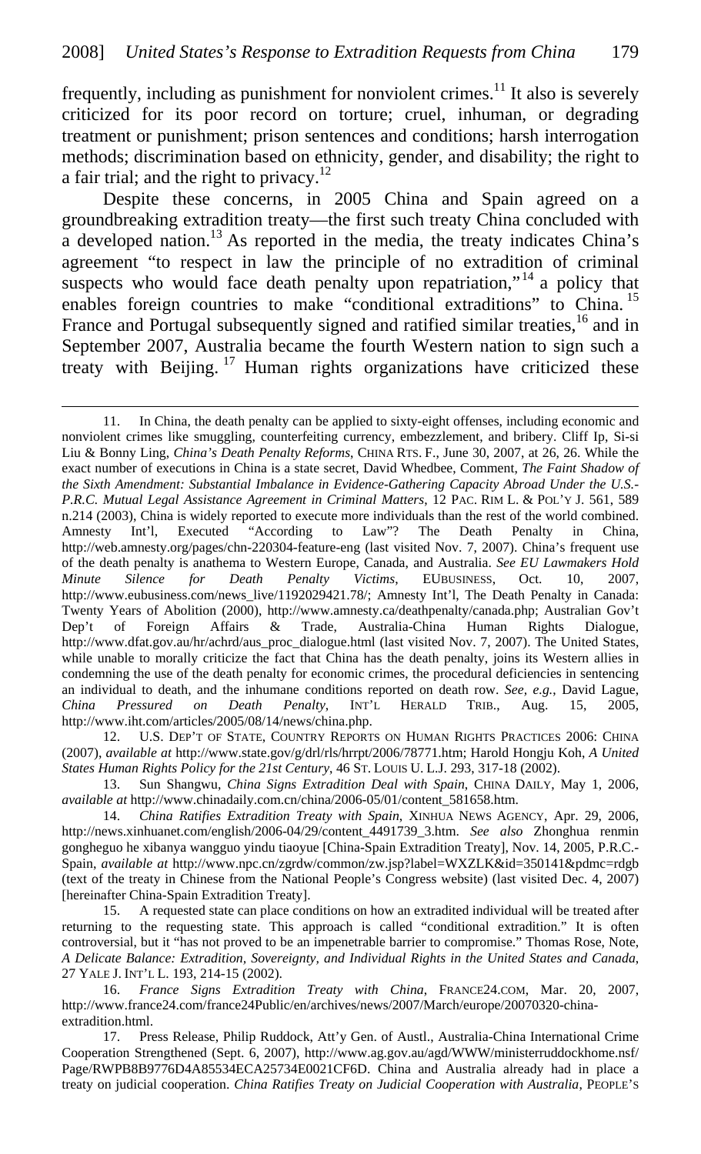frequently, including as punishment for nonviolent crimes.<sup>11</sup> It also is severely criticized for its poor record on torture; cruel, inhuman, or degrading treatment or punishment; prison sentences and conditions; harsh interrogation methods; discrimination based on ethnicity, gender, and disability; the right to a fair trial; and the right to privacy. $12$ 

Despite these concerns, in 2005 China and Spain agreed on a groundbreaking extradition treaty—the first such treaty China concluded with  $\alpha$  developed nation.<sup>13</sup> As reported in the media, the treaty indicates China's agreement "to respect in law the principle of no extradition of criminal suspects who would face death penalty upon repatriation,"<sup>14</sup> a policy that enables foreign countries to make "conditional extraditions" to China.<sup>15</sup> France and Portugal subsequently signed and ratified similar treaties,<sup>16</sup> and in September 2007, Australia became the fourth Western nation to sign such a treaty with Beijing.<sup>17</sup> Human rights organizations have criticized these

 $\overline{a}$ 

12. U.S. DEP'T OF STATE, COUNTRY REPORTS ON HUMAN RIGHTS PRACTICES 2006: CHINA (2007), *available at* http://www.state.gov/g/drl/rls/hrrpt/2006/78771.htm; Harold Hongju Koh, *A United States Human Rights Policy for the 21st Century*, 46 ST. LOUIS U. L.J. 293, 317-18 (2002).

13. Sun Shangwu, *China Signs Extradition Deal with Spain*, CHINA DAILY, May 1, 2006, *available at* http://www.chinadaily.com.cn/china/2006-05/01/content\_581658.htm.

15. A requested state can place conditions on how an extradited individual will be treated after returning to the requesting state. This approach is called "conditional extradition." It is often controversial, but it "has not proved to be an impenetrable barrier to compromise." Thomas Rose, Note, *A Delicate Balance: Extradition, Sovereignty, and Individual Rights in the United States and Canada*, 27 YALE J. INT'L L. 193, 214-15 (2002).

16. *France Signs Extradition Treaty with China*, FRANCE24.COM, Mar. 20, 2007, http://www.france24.com/france24Public/en/archives/news/2007/March/europe/20070320-chinaextradition.html.

17. Press Release, Philip Ruddock, Att'y Gen. of Austl., Australia-China International Crime Cooperation Strengthened (Sept. 6, 2007), http://www.ag.gov.au/agd/WWW/ministerruddockhome.nsf/ Page/RWPB8B9776D4A85534ECA25734E0021CF6D. China and Australia already had in place a treaty on judicial cooperation. *China Ratifies Treaty on Judicial Cooperation with Australia*, PEOPLE'S

<sup>11.</sup> In China, the death penalty can be applied to sixty-eight offenses, including economic and nonviolent crimes like smuggling, counterfeiting currency, embezzlement, and bribery. Cliff Ip, Si-si Liu & Bonny Ling, *China's Death Penalty Reforms*, CHINA RTS. F., June 30, 2007, at 26, 26. While the exact number of executions in China is a state secret, David Whedbee, Comment, *The Faint Shadow of the Sixth Amendment: Substantial Imbalance in Evidence-Gathering Capacity Abroad Under the U.S.- P.R.C. Mutual Legal Assistance Agreement in Criminal Matters*, 12 PAC. RIM L. & POL'Y J. 561, 589 n.214 (2003), China is widely reported to execute more individuals than the rest of the world combined. Amnesty Int'l, Executed "According to Law"? The Death Penalty in China, http://web.amnesty.org/pages/chn-220304-feature-eng (last visited Nov. 7, 2007). China's frequent use of the death penalty is anathema to Western Europe, Canada, and Australia. *See EU Lawmakers Hold Minute Silence for Death Penalty Victims*, EUBUSINESS, Oct. 10, 2007, http://www.eubusiness.com/news\_live/1192029421.78/; Amnesty Int'l, The Death Penalty in Canada: Twenty Years of Abolition (2000), http://www.amnesty.ca/deathpenalty/canada.php; Australian Gov't Dep't of Foreign Affairs & Trade, Australia-China Human Rights Dialogue, http://www.dfat.gov.au/hr/achrd/aus\_proc\_dialogue.html (last visited Nov. 7, 2007). The United States, while unable to morally criticize the fact that China has the death penalty, joins its Western allies in condemning the use of the death penalty for economic crimes, the procedural deficiencies in sentencing an individual to death, and the inhumane conditions reported on death row. *See, e.g.*, David Lague, *China Pressured on Death Penalty*, INT'L HERALD TRIB., Aug. 15, 2005, http://www.iht.com/articles/2005/08/14/news/china.php.

<sup>14.</sup> *China Ratifies Extradition Treaty with Spain*, XINHUA NEWS AGENCY, Apr. 29, 2006, http://news.xinhuanet.com/english/2006-04/29/content\_4491739\_3.htm. *See also* Zhonghua renmin gongheguo he xibanya wangguo yindu tiaoyue [China-Spain Extradition Treaty], Nov. 14, 2005, P.R.C.- Spain, *available at* http://www.npc.cn/zgrdw/common/zw.jsp?label=WXZLK&id=350141&pdmc=rdgb (text of the treaty in Chinese from the National People's Congress website) (last visited Dec. 4, 2007) [hereinafter China-Spain Extradition Treaty].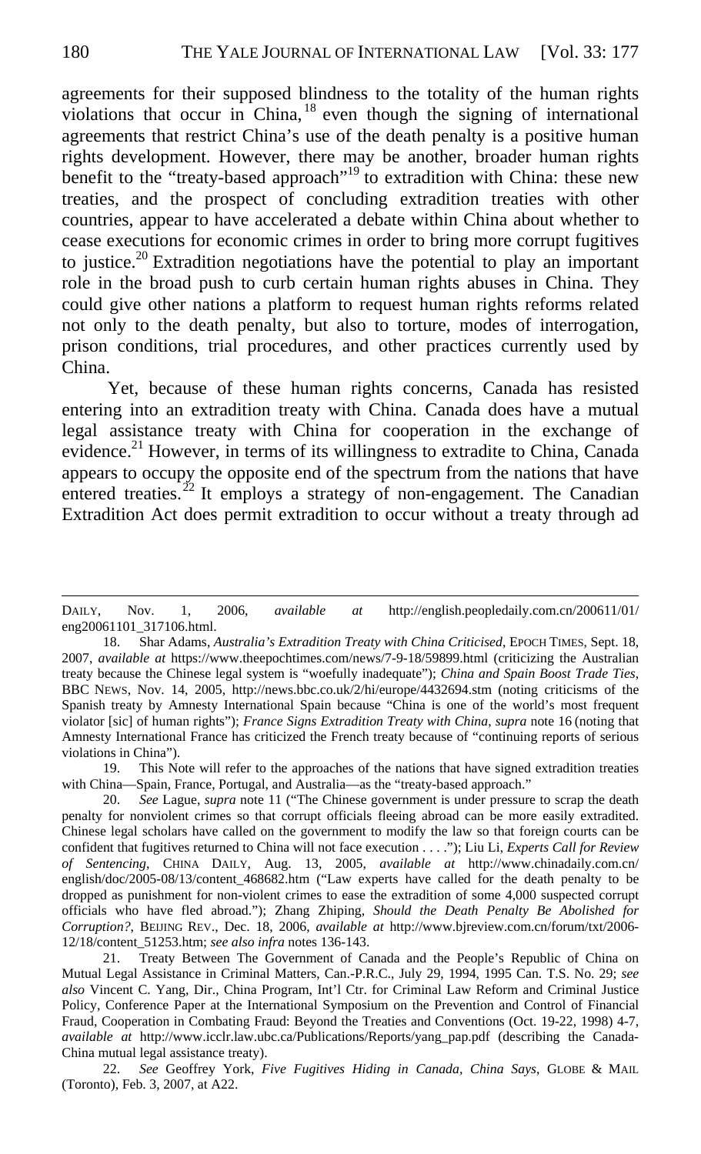agreements for their supposed blindness to the totality of the human rights violations that occur in China,  $18$  even though the signing of international agreements that restrict China's use of the death penalty is a positive human rights development. However, there may be another, broader human rights benefit to the "treaty-based approach"<sup>19</sup> to extradition with China: these new treaties, and the prospect of concluding extradition treaties with other countries, appear to have accelerated a debate within China about whether to cease executions for economic crimes in order to bring more corrupt fugitives to justice.<sup>20</sup> Extradition negotiations have the potential to play an important role in the broad push to curb certain human rights abuses in China. They could give other nations a platform to request human rights reforms related not only to the death penalty, but also to torture, modes of interrogation, prison conditions, trial procedures, and other practices currently used by China.

 Yet, because of these human rights concerns, Canada has resisted entering into an extradition treaty with China. Canada does have a mutual legal assistance treaty with China for cooperation in the exchange of evidence.<sup>21</sup> However, in terms of its willingness to extradite to China, Canada appears to occupy the opposite end of the spectrum from the nations that have entered treaties.<sup>22</sup> It employs a strategy of non-engagement. The Canadian Extradition Act does permit extradition to occur without a treaty through ad

19. This Note will refer to the approaches of the nations that have signed extradition treaties with China—Spain, France, Portugal, and Australia—as the "treaty-based approach."

DAILY, Nov. 1, 2006, *available at* http://english.peopledaily.com.cn/200611/01/ eng20061101\_317106.html.

<sup>18.</sup> Shar Adams, *Australia's Extradition Treaty with China Criticised*, EPOCH TIMES, Sept. 18, 2007, *available at* https://www.theepochtimes.com/news/7-9-18/59899.html (criticizing the Australian treaty because the Chinese legal system is "woefully inadequate"); *China and Spain Boost Trade Ties*, BBC NEWS, Nov. 14, 2005, http://news.bbc.co.uk/2/hi/europe/4432694.stm (noting criticisms of the Spanish treaty by Amnesty International Spain because "China is one of the world's most frequent violator [sic] of human rights"); *France Signs Extradition Treaty with China*, *supra* note 16 (noting that Amnesty International France has criticized the French treaty because of "continuing reports of serious violations in China").

<sup>20.</sup> *See* Lague, *supra* note 11 ("The Chinese government is under pressure to scrap the death penalty for nonviolent crimes so that corrupt officials fleeing abroad can be more easily extradited. Chinese legal scholars have called on the government to modify the law so that foreign courts can be confident that fugitives returned to China will not face execution . . . ."); Liu Li, *Experts Call for Review of Sentencing*, CHINA DAILY, Aug. 13, 2005, *available at* http://www.chinadaily.com.cn/ english/doc/2005-08/13/content\_468682.htm ("Law experts have called for the death penalty to be dropped as punishment for non-violent crimes to ease the extradition of some 4,000 suspected corrupt officials who have fled abroad."); Zhang Zhiping, *Should the Death Penalty Be Abolished for Corruption?*, BEIJING REV., Dec. 18, 2006, *available at* http://www.bjreview.com.cn/forum/txt/2006- 12/18/content\_51253.htm; *see also infra* notes 136-143.

<sup>21.</sup> Treaty Between The Government of Canada and the People's Republic of China on Mutual Legal Assistance in Criminal Matters, Can.-P.R.C., July 29, 1994, 1995 Can. T.S. No. 29; *see also* Vincent C. Yang, Dir., China Program, Int'l Ctr. for Criminal Law Reform and Criminal Justice Policy, Conference Paper at the International Symposium on the Prevention and Control of Financial Fraud, Cooperation in Combating Fraud: Beyond the Treaties and Conventions (Oct. 19-22, 1998) 4-7, *available at* http://www.icclr.law.ubc.ca/Publications/Reports/yang\_pap.pdf (describing the Canada-China mutual legal assistance treaty).

<sup>22.</sup> *See* Geoffrey York, *Five Fugitives Hiding in Canada, China Says*, GLOBE & MAIL (Toronto), Feb. 3, 2007, at A22.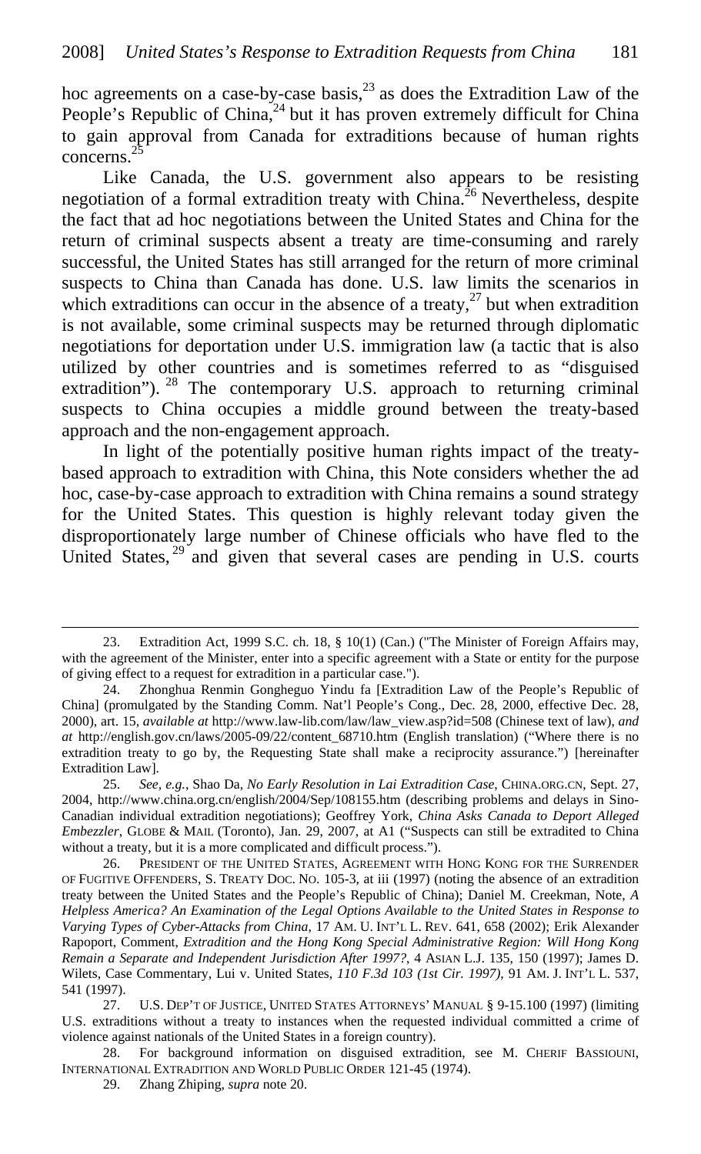hoc agreements on a case-by-case basis, $^{23}$  as does the Extradition Law of the People's Republic of China,<sup>24</sup> but it has proven extremely difficult for China to gain approval from Canada for extraditions because of human rights concerns.

Like Canada, the U.S. government also appears to be resisting negotiation of a formal extradition treaty with China.<sup>26</sup> Nevertheless, despite the fact that ad hoc negotiations between the United States and China for the return of criminal suspects absent a treaty are time-consuming and rarely successful, the United States has still arranged for the return of more criminal suspects to China than Canada has done. U.S. law limits the scenarios in which extraditions can occur in the absence of a treaty, $27$  but when extradition is not available, some criminal suspects may be returned through diplomatic negotiations for deportation under U.S. immigration law (a tactic that is also utilized by other countries and is sometimes referred to as "disguised extradition"). <sup>28</sup> The contemporary U.S. approach to returning criminal suspects to China occupies a middle ground between the treaty-based approach and the non-engagement approach.

In light of the potentially positive human rights impact of the treatybased approach to extradition with China, this Note considers whether the ad hoc, case-by-case approach to extradition with China remains a sound strategy for the United States. This question is highly relevant today given the disproportionately large number of Chinese officials who have fled to the United States,<sup>29</sup> and given that several cases are pending in U.S. courts

<sup>23.</sup> Extradition Act, 1999 S.C. ch. 18, § 10(1) (Can.) ("The Minister of Foreign Affairs may, with the agreement of the Minister, enter into a specific agreement with a State or entity for the purpose of giving effect to a request for extradition in a particular case.").

<sup>24.</sup> Zhonghua Renmin Gongheguo Yindu fa [Extradition Law of the People's Republic of China] (promulgated by the Standing Comm. Nat'l People's Cong., Dec. 28, 2000, effective Dec. 28, 2000), art. 15, *available at* http://www.law-lib.com/law/law\_view.asp?id=508 (Chinese text of law), *and at* http://english.gov.cn/laws/2005-09/22/content\_68710.htm (English translation) ("Where there is no extradition treaty to go by, the Requesting State shall make a reciprocity assurance.") [hereinafter Extradition Law].

<sup>25.</sup> *See, e.g.*, Shao Da, *No Early Resolution in Lai Extradition Case*, CHINA.ORG.CN, Sept. 27, 2004, http://www.china.org.cn/english/2004/Sep/108155.htm (describing problems and delays in Sino-Canadian individual extradition negotiations); Geoffrey York, *China Asks Canada to Deport Alleged Embezzler*, GLOBE & MAIL (Toronto), Jan. 29, 2007, at A1 ("Suspects can still be extradited to China without a treaty, but it is a more complicated and difficult process.").

<sup>26.</sup> PRESIDENT OF THE UNITED STATES, AGREEMENT WITH HONG KONG FOR THE SURRENDER OF FUGITIVE OFFENDERS, S. TREATY DOC. NO. 105-3, at iii (1997) (noting the absence of an extradition treaty between the United States and the People's Republic of China); Daniel M. Creekman, Note, *A Helpless America? An Examination of the Legal Options Available to the United States in Response to Varying Types of Cyber-Attacks from China*, 17 AM. U. INT'L L. REV. 641, 658 (2002); Erik Alexander Rapoport, Comment, *Extradition and the Hong Kong Special Administrative Region: Will Hong Kong Remain a Separate and Independent Jurisdiction After 1997?*, 4 ASIAN L.J. 135, 150 (1997); James D. Wilets, Case Commentary, Lui v. United States, *110 F.3d 103 (1st Cir. 1997)*, 91 AM. J. INT'L L. 537, 541 (1997).

<sup>27.</sup> U.S. DEP'T OF JUSTICE, UNITED STATES ATTORNEYS' MANUAL § 9-15.100 (1997) (limiting U.S. extraditions without a treaty to instances when the requested individual committed a crime of violence against nationals of the United States in a foreign country).

<sup>28.</sup> For background information on disguised extradition, see M. CHERIF BASSIOUNI, INTERNATIONAL EXTRADITION AND WORLD PUBLIC ORDER 121-45 (1974).

<sup>29.</sup> Zhang Zhiping, *supra* note 20.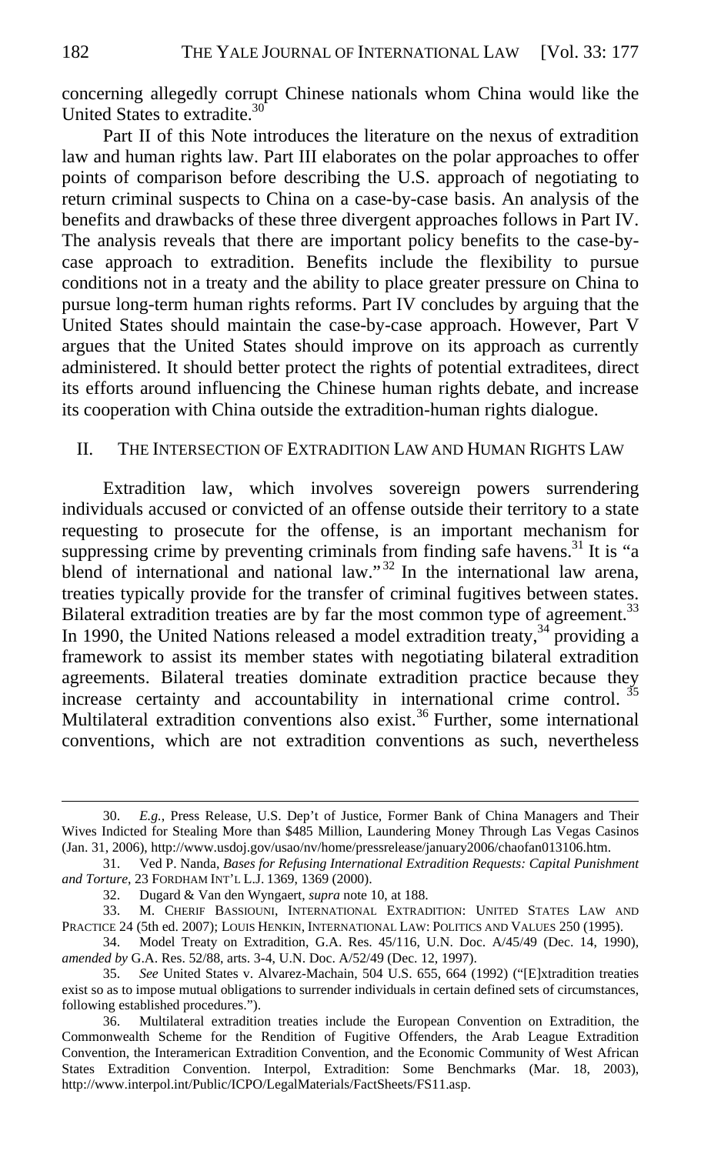concerning allegedly corrupt Chinese nationals whom China would like the United States to extradite.<sup>30</sup>

Part II of this Note introduces the literature on the nexus of extradition law and human rights law. Part III elaborates on the polar approaches to offer points of comparison before describing the U.S. approach of negotiating to return criminal suspects to China on a case-by-case basis. An analysis of the benefits and drawbacks of these three divergent approaches follows in Part IV. The analysis reveals that there are important policy benefits to the case-bycase approach to extradition. Benefits include the flexibility to pursue conditions not in a treaty and the ability to place greater pressure on China to pursue long-term human rights reforms. Part IV concludes by arguing that the United States should maintain the case-by-case approach. However, Part V argues that the United States should improve on its approach as currently administered. It should better protect the rights of potential extraditees, direct its efforts around influencing the Chinese human rights debate, and increase its cooperation with China outside the extradition-human rights dialogue.

#### II. THE INTERSECTION OF EXTRADITION LAW AND HUMAN RIGHTS LAW

Extradition law, which involves sovereign powers surrendering individuals accused or convicted of an offense outside their territory to a state requesting to prosecute for the offense, is an important mechanism for suppressing crime by preventing criminals from finding safe havens.<sup>31</sup> It is "a blend of international and national law."<sup>32</sup> In the international law arena, treaties typically provide for the transfer of criminal fugitives between states. Bilateral extradition treaties are by far the most common type of agreement.<sup>33</sup> In 1990, the United Nations released a model extradition treaty,<sup>34</sup> providing a framework to assist its member states with negotiating bilateral extradition agreements. Bilateral treaties dominate extradition practice because they increase certainty and accountability in international crime control.  $35$ Multilateral extradition conventions also exist.<sup>36</sup> Further, some international conventions, which are not extradition conventions as such, nevertheless

<sup>30.</sup> *E.g.*, Press Release, U.S. Dep't of Justice, Former Bank of China Managers and Their Wives Indicted for Stealing More than \$485 Million, Laundering Money Through Las Vegas Casinos (Jan. 31, 2006), http://www.usdoj.gov/usao/nv/home/pressrelease/january2006/chaofan013106.htm.

<sup>31.</sup> Ved P. Nanda, *Bases for Refusing International Extradition Requests: Capital Punishment and Torture*, 23 FORDHAM INT'L L.J. 1369, 1369 (2000).

<sup>32.</sup> Dugard & Van den Wyngaert, *supra* note 10, at 188.

<sup>33.</sup> M. CHERIF BASSIOUNI, INTERNATIONAL EXTRADITION: UNITED STATES LAW AND PRACTICE 24 (5th ed. 2007); LOUIS HENKIN, INTERNATIONAL LAW: POLITICS AND VALUES 250 (1995).

<sup>34.</sup> Model Treaty on Extradition, G.A. Res. 45/116, U.N. Doc. A/45/49 (Dec. 14, 1990), *amended by* G.A. Res. 52/88, arts. 3-4, U.N. Doc. A/52/49 (Dec. 12, 1997).

<sup>35.</sup> *See* United States v. Alvarez-Machain, 504 U.S. 655, 664 (1992) ("[E]xtradition treaties exist so as to impose mutual obligations to surrender individuals in certain defined sets of circumstances, following established procedures.").

<sup>36.</sup> Multilateral extradition treaties include the European Convention on Extradition, the Commonwealth Scheme for the Rendition of Fugitive Offenders, the Arab League Extradition Convention, the Interamerican Extradition Convention, and the Economic Community of West African States Extradition Convention. Interpol, Extradition: Some Benchmarks (Mar. 18, 2003), http://www.interpol.int/Public/ICPO/LegalMaterials/FactSheets/FS11.asp.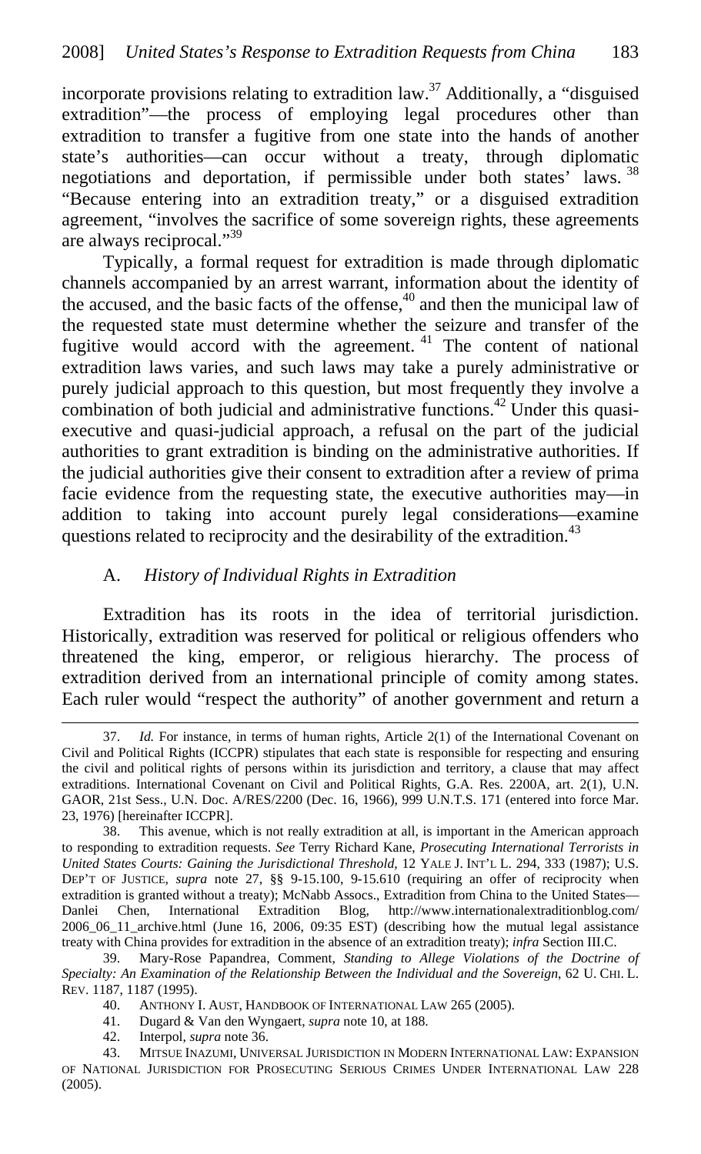incorporate provisions relating to extradition law.<sup>37</sup> Additionally, a "disguised extradition"—the process of employing legal procedures other than extradition to transfer a fugitive from one state into the hands of another state's authorities—can occur without a treaty, through diplomatic negotiations and deportation, if permissible under both states' laws. <sup>38</sup> "Because entering into an extradition treaty," or a disguised extradition agreement, "involves the sacrifice of some sovereign rights, these agreements are always reciprocal."<sup>39</sup>

Typically, a formal request for extradition is made through diplomatic channels accompanied by an arrest warrant, information about the identity of the accused, and the basic facts of the offense, $40$  and then the municipal law of the requested state must determine whether the seizure and transfer of the fugitive would accord with the agreement. 41 The content of national extradition laws varies, and such laws may take a purely administrative or purely judicial approach to this question, but most frequently they involve a combination of both judicial and administrative functions.<sup>42</sup> Under this quasiexecutive and quasi-judicial approach, a refusal on the part of the judicial authorities to grant extradition is binding on the administrative authorities. If the judicial authorities give their consent to extradition after a review of prima facie evidence from the requesting state, the executive authorities may—in addition to taking into account purely legal considerations—examine questions related to reciprocity and the desirability of the extradition.<sup>43</sup>

## A. *History of Individual Rights in Extradition*

Extradition has its roots in the idea of territorial jurisdiction. Historically, extradition was reserved for political or religious offenders who threatened the king, emperor, or religious hierarchy. The process of extradition derived from an international principle of comity among states. Each ruler would "respect the authority" of another government and return a

<sup>37.</sup> *Id.* For instance, in terms of human rights, Article 2(1) of the International Covenant on Civil and Political Rights (ICCPR) stipulates that each state is responsible for respecting and ensuring the civil and political rights of persons within its jurisdiction and territory, a clause that may affect extraditions. International Covenant on Civil and Political Rights, G.A. Res. 2200A, art. 2(1), U.N. GAOR, 21st Sess., U.N. Doc. A/RES/2200 (Dec. 16, 1966), 999 U.N.T.S. 171 (entered into force Mar. 23, 1976) [hereinafter ICCPR].

<sup>38.</sup> This avenue, which is not really extradition at all, is important in the American approach to responding to extradition requests. *See* Terry Richard Kane, *Prosecuting International Terrorists in United States Courts: Gaining the Jurisdictional Threshold*, 12 YALE J. INT'L L. 294, 333 (1987); U.S. DEP'T OF JUSTICE, *supra* note 27, §§ 9-15.100, 9-15.610 (requiring an offer of reciprocity when extradition is granted without a treaty); McNabb Assocs., Extradition from China to the United States-Danlei Chen, International Extradition Blog, http://www.internationalextraditionblog.com/ 2006\_06\_11\_archive.html (June 16, 2006, 09:35 EST) (describing how the mutual legal assistance treaty with China provides for extradition in the absence of an extradition treaty); *infra* Section III.C.

<sup>39.</sup> Mary-Rose Papandrea, Comment, *Standing to Allege Violations of the Doctrine of Specialty: An Examination of the Relationship Between the Individual and the Sovereign*, 62 U. CHI. L. REV. 1187, 1187 (1995).

<sup>40.</sup> ANTHONY I. AUST, HANDBOOK OF INTERNATIONAL LAW 265 (2005).

<sup>41.</sup> Dugard & Van den Wyngaert, *supra* note 10, at 188.

<sup>42.</sup> Interpol, *supra* note 36.

<sup>43.</sup> MITSUE INAZUMI, UNIVERSAL JURISDICTION IN MODERN INTERNATIONAL LAW: EXPANSION OF NATIONAL JURISDICTION FOR PROSECUTING SERIOUS CRIMES UNDER INTERNATIONAL LAW 228 (2005).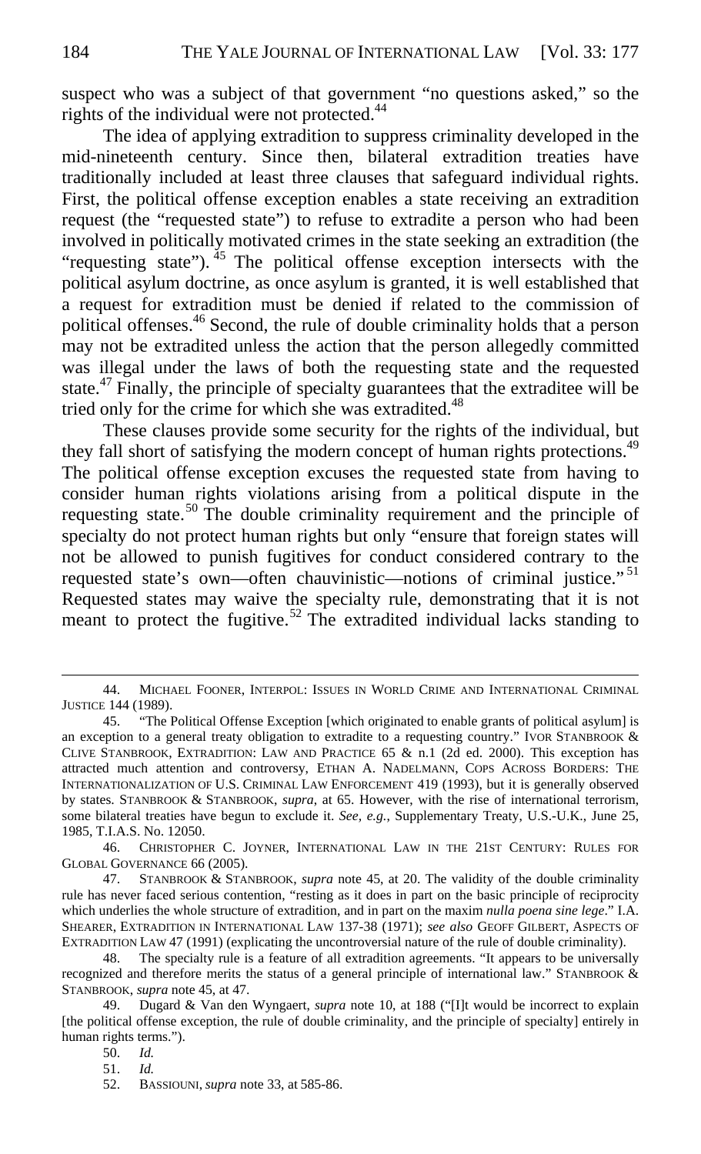suspect who was a subject of that government "no questions asked," so the rights of the individual were not protected. $44$ 

The idea of applying extradition to suppress criminality developed in the mid-nineteenth century. Since then, bilateral extradition treaties have traditionally included at least three clauses that safeguard individual rights. First, the political offense exception enables a state receiving an extradition request (the "requested state") to refuse to extradite a person who had been involved in politically motivated crimes in the state seeking an extradition (the "requesting state").  $^{45}$  The political offense exception intersects with the political asylum doctrine, as once asylum is granted, it is well established that a request for extradition must be denied if related to the commission of political offenses.<sup>46</sup> Second, the rule of double criminality holds that a person may not be extradited unless the action that the person allegedly committed was illegal under the laws of both the requesting state and the requested state.<sup>47</sup> Finally, the principle of specialty guarantees that the extraditee will be tried only for the crime for which she was extradited.<sup>48</sup>

These clauses provide some security for the rights of the individual, but they fall short of satisfying the modern concept of human rights protections.<sup>49</sup> The political offense exception excuses the requested state from having to consider human rights violations arising from a political dispute in the requesting state.<sup>50</sup> The double criminality requirement and the principle of specialty do not protect human rights but only "ensure that foreign states will not be allowed to punish fugitives for conduct considered contrary to the requested state's own—often chauvinistic—notions of criminal justice."<sup>51</sup> Requested states may waive the specialty rule, demonstrating that it is not meant to protect the fugitive.<sup>52</sup> The extradited individual lacks standing to

50. *Id.*

51. *Id.*

<sup>44.</sup> MICHAEL FOONER, INTERPOL: ISSUES IN WORLD CRIME AND INTERNATIONAL CRIMINAL JUSTICE 144 (1989).

<sup>45. &</sup>quot;The Political Offense Exception [which originated to enable grants of political asylum] is an exception to a general treaty obligation to extradite to a requesting country." IVOR STANBROOK & CLIVE STANBROOK, EXTRADITION: LAW AND PRACTICE 65 & n.1 (2d ed. 2000). This exception has attracted much attention and controversy, ETHAN A. NADELMANN, COPS ACROSS BORDERS: THE INTERNATIONALIZATION OF U.S. CRIMINAL LAW ENFORCEMENT 419 (1993), but it is generally observed by states. STANBROOK & STANBROOK, *supra*, at 65. However, with the rise of international terrorism, some bilateral treaties have begun to exclude it. *See, e.g.*, Supplementary Treaty, U.S.-U.K., June 25, 1985, T.I.A.S. No. 12050.

<sup>46.</sup> CHRISTOPHER C. JOYNER, INTERNATIONAL LAW IN THE 21ST CENTURY: RULES FOR GLOBAL GOVERNANCE 66 (2005).

<sup>47.</sup> STANBROOK & STANBROOK, *supra* note 45, at 20. The validity of the double criminality rule has never faced serious contention, "resting as it does in part on the basic principle of reciprocity which underlies the whole structure of extradition, and in part on the maxim *nulla poena sine lege*." I.A. SHEARER, EXTRADITION IN INTERNATIONAL LAW 137-38 (1971); *see also* GEOFF GILBERT, ASPECTS OF EXTRADITION LAW 47 (1991) (explicating the uncontroversial nature of the rule of double criminality).

<sup>48.</sup> The specialty rule is a feature of all extradition agreements. "It appears to be universally recognized and therefore merits the status of a general principle of international law." STANBROOK & STANBROOK, *supra* note 45, at 47.

<sup>49.</sup> Dugard & Van den Wyngaert, *supra* note 10, at 188 ("[I]t would be incorrect to explain [the political offense exception, the rule of double criminality, and the principle of specialty] entirely in human rights terms.").

<sup>52.</sup> BASSIOUNI, *supra* note 33, at 585-86.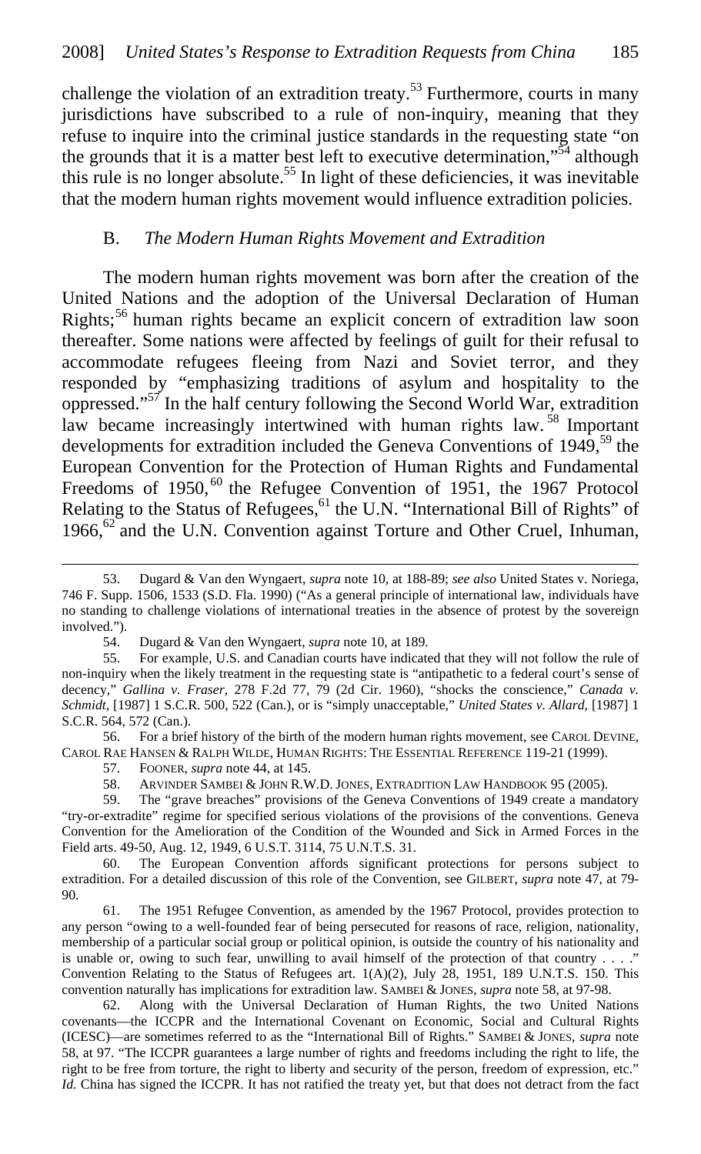challenge the violation of an extradition treaty.<sup>53</sup> Furthermore, courts in many jurisdictions have subscribed to a rule of non-inquiry, meaning that they refuse to inquire into the criminal justice standards in the requesting state "on the grounds that it is a matter best left to executive determination,"<sup>54</sup> although this rule is no longer absolute.<sup>55</sup> In light of these deficiencies, it was inevitable that the modern human rights movement would influence extradition policies.

### B. *The Modern Human Rights Movement and Extradition*

The modern human rights movement was born after the creation of the United Nations and the adoption of the Universal Declaration of Human Rights;56 human rights became an explicit concern of extradition law soon thereafter. Some nations were affected by feelings of guilt for their refusal to accommodate refugees fleeing from Nazi and Soviet terror, and they responded by "emphasizing traditions of asylum and hospitality to the oppressed."57 In the half century following the Second World War, extradition law became increasingly intertwined with human rights law.  $\frac{58}{100}$  Important developments for extradition included the Geneva Conventions of 1949,<sup>59</sup> the European Convention for the Protection of Human Rights and Fundamental Freedoms of 1950,<sup>60</sup> the Refugee Convention of 1951, the 1967 Protocol Relating to the Status of Refugees,<sup>61</sup> the U.N. "International Bill of Rights" of 1966, $62$  and the U.N. Convention against Torture and Other Cruel, Inhuman,

55. For example, U.S. and Canadian courts have indicated that they will not follow the rule of non-inquiry when the likely treatment in the requesting state is "antipathetic to a federal court's sense of decency," *Gallina v. Fraser*, 278 F.2d 77, 79 (2d Cir. 1960), "shocks the conscience," *Canada v. Schmidt*, [1987] 1 S.C.R. 500, 522 (Can.), or is "simply unacceptable," *United States v. Allard*, [1987] 1 S.C.R. 564, 572 (Can.).

56. For a brief history of the birth of the modern human rights movement, see CAROL DEVINE, CAROL RAE HANSEN & RALPH WILDE, HUMAN RIGHTS: THE ESSENTIAL REFERENCE 119-21 (1999).

57. FOONER, *supra* note 44, at 145.

 $\overline{a}$ 

58. ARVINDER SAMBEI & JOHN R.W.D. JONES, EXTRADITION LAW HANDBOOK 95 (2005).

59. The "grave breaches" provisions of the Geneva Conventions of 1949 create a mandatory "try-or-extradite" regime for specified serious violations of the provisions of the conventions. Geneva Convention for the Amelioration of the Condition of the Wounded and Sick in Armed Forces in the Field arts. 49-50, Aug. 12, 1949, 6 U.S.T. 3114, 75 U.N.T.S. 31.

60. The European Convention affords significant protections for persons subject to extradition. For a detailed discussion of this role of the Convention, see GILBERT, *supra* note 47, at 79- 90.

61. The 1951 Refugee Convention, as amended by the 1967 Protocol, provides protection to any person "owing to a well-founded fear of being persecuted for reasons of race, religion, nationality, membership of a particular social group or political opinion, is outside the country of his nationality and is unable or, owing to such fear, unwilling to avail himself of the protection of that country . . . ." Convention Relating to the Status of Refugees art. 1(A)(2), July 28, 1951, 189 U.N.T.S. 150. This convention naturally has implications for extradition law. SAMBEI & JONES, *supra* note 58, at 97-98.

62. Along with the Universal Declaration of Human Rights, the two United Nations covenants—the ICCPR and the International Covenant on Economic, Social and Cultural Rights (ICESC)—are sometimes referred to as the "International Bill of Rights." SAMBEI & JONES, *supra* note 58, at 97. "The ICCPR guarantees a large number of rights and freedoms including the right to life, the right to be free from torture, the right to liberty and security of the person, freedom of expression, etc." *Id.* China has signed the ICCPR. It has not ratified the treaty yet, but that does not detract from the fact

<sup>53.</sup> Dugard & Van den Wyngaert, *supra* note 10, at 188-89; *see also* United States v. Noriega, 746 F. Supp. 1506, 1533 (S.D. Fla. 1990) ("As a general principle of international law, individuals have no standing to challenge violations of international treaties in the absence of protest by the sovereign involved.").

<sup>54.</sup> Dugard & Van den Wyngaert, *supra* note 10, at 189.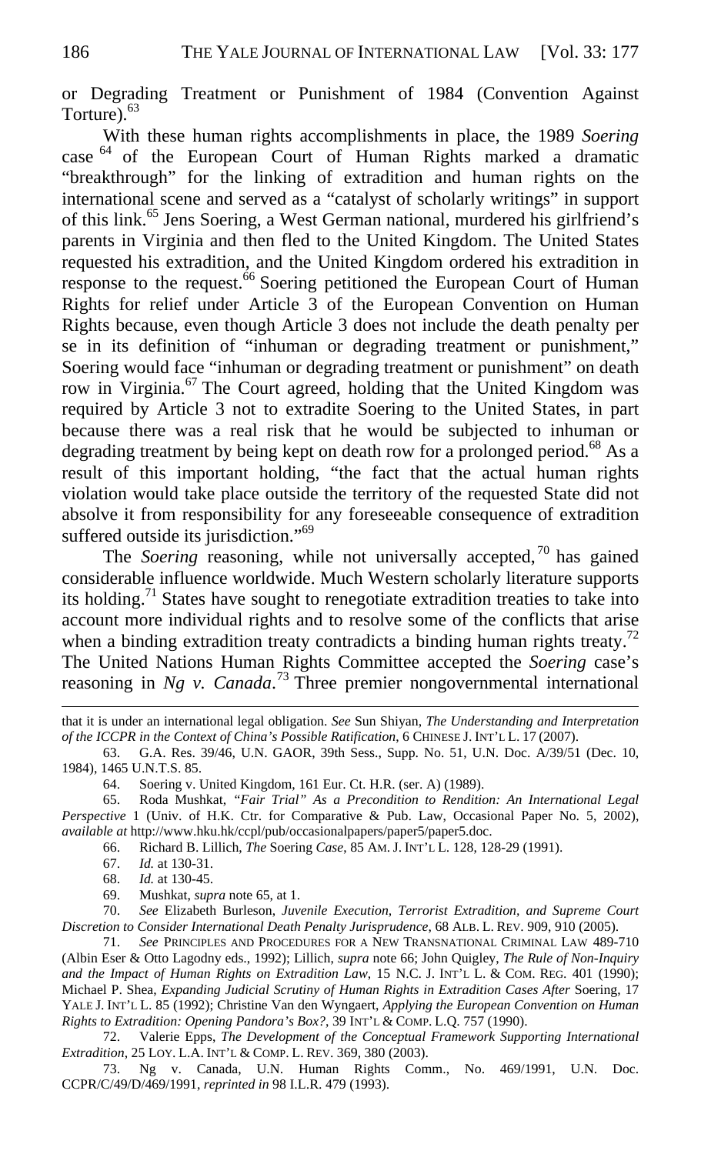or Degrading Treatment or Punishment of 1984 (Convention Against Torture).<sup>63</sup>

With these human rights accomplishments in place, the 1989 *Soering*  case <sup>64</sup> of the European Court of Human Rights marked a dramatic "breakthrough" for the linking of extradition and human rights on the international scene and served as a "catalyst of scholarly writings" in support of this link.<sup>65</sup> Jens Soering, a West German national, murdered his girlfriend's parents in Virginia and then fled to the United Kingdom. The United States requested his extradition, and the United Kingdom ordered his extradition in response to the request.<sup>66</sup> Soering petitioned the European Court of Human Rights for relief under Article 3 of the European Convention on Human Rights because, even though Article 3 does not include the death penalty per se in its definition of "inhuman or degrading treatment or punishment," Soering would face "inhuman or degrading treatment or punishment" on death row in Virginia.<sup>67</sup> The Court agreed, holding that the United Kingdom was required by Article 3 not to extradite Soering to the United States, in part because there was a real risk that he would be subjected to inhuman or degrading treatment by being kept on death row for a prolonged period.<sup>68</sup> As a result of this important holding, "the fact that the actual human rights violation would take place outside the territory of the requested State did not absolve it from responsibility for any foreseeable consequence of extradition suffered outside its jurisdiction."<sup>69</sup>

The *Soering* reasoning, while not universally accepted,<sup>70</sup> has gained considerable influence worldwide. Much Western scholarly literature supports its holding.71 States have sought to renegotiate extradition treaties to take into account more individual rights and to resolve some of the conflicts that arise when a binding extradition treaty contradicts a binding human rights treaty.<sup>72</sup> The United Nations Human Rights Committee accepted the *Soering* case's reasoning in *Ng v. Canada*.<sup>73</sup> Three premier nongovernmental international

that it is under an international legal obligation. *See* Sun Shiyan, *The Understanding and Interpretation of the ICCPR in the Context of China's Possible Ratification*, 6 CHINESE J. INT'L L. 17 (2007).

63. G.A. Res. 39/46, U.N. GAOR, 39th Sess., Supp. No. 51, U.N. Doc. A/39/51 (Dec. 10, 1984), 1465 U.N.T.S. 85.

64. Soering v. United Kingdom, 161 Eur. Ct. H.R. (ser. A) (1989).

65. Roda Mushkat, *"Fair Trial" As a Precondition to Rendition: An International Legal Perspective* 1 (Univ. of H.K. Ctr. for Comparative & Pub. Law, Occasional Paper No. 5, 2002), *available at* http://www.hku.hk/ccpl/pub/occasionalpapers/paper5/paper5.doc.

66. Richard B. Lillich, *The* Soering *Case*, 85 AM. J. INT'L L. 128, 128-29 (1991).

67. *Id.* at 130-31.

 $\overline{a}$ 

68. *Id.* at 130-45.

69. Mushkat, *supra* note 65, at 1.

70. *See* Elizabeth Burleson, *Juvenile Execution, Terrorist Extradition, and Supreme Court Discretion to Consider International Death Penalty Jurisprudence*, 68 ALB. L. REV. 909, 910 (2005).

71. *See* PRINCIPLES AND PROCEDURES FOR A NEW TRANSNATIONAL CRIMINAL LAW 489-710 (Albin Eser & Otto Lagodny eds., 1992); Lillich, *supra* note 66; John Quigley, *The Rule of Non-Inquiry and the Impact of Human Rights on Extradition Law*, 15 N.C. J. INT'L L. & COM. REG. 401 (1990); Michael P. Shea, *Expanding Judicial Scrutiny of Human Rights in Extradition Cases After* Soering, 17 YALE J. INT'L L. 85 (1992); Christine Van den Wyngaert, *Applying the European Convention on Human Rights to Extradition: Opening Pandora's Box?*, 39 INT'L & COMP. L.Q. 757 (1990).

72. Valerie Epps, *The Development of the Conceptual Framework Supporting International Extradition*, 25 LOY. L.A. INT'L & COMP. L. REV. 369, 380 (2003).

73. Ng v. Canada, U.N. Human Rights Comm., No. 469/1991, U.N. Doc. CCPR/C/49/D/469/1991, *reprinted in* 98 I.L.R. 479 (1993).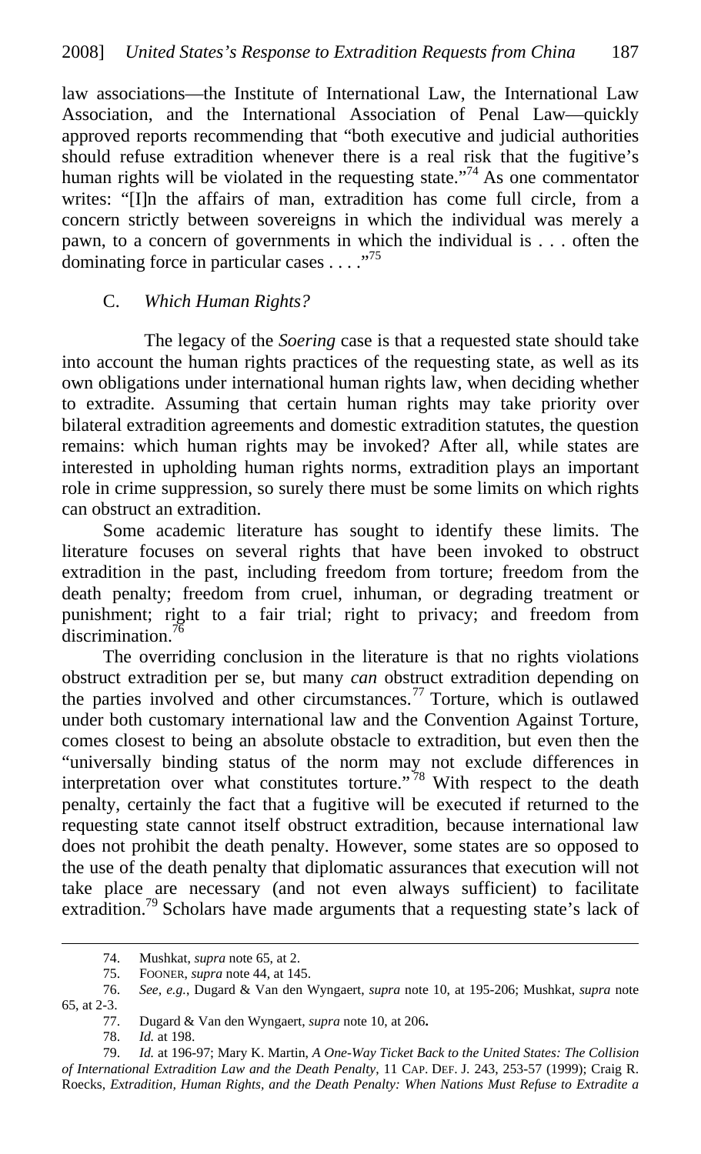law associations—the Institute of International Law, the International Law Association, and the International Association of Penal Law—quickly approved reports recommending that "both executive and judicial authorities should refuse extradition whenever there is a real risk that the fugitive's human rights will be violated in the requesting state."<sup>74</sup> As one commentator writes: "[I]n the affairs of man, extradition has come full circle, from a concern strictly between sovereigns in which the individual was merely a pawn, to a concern of governments in which the individual is . . . often the dominating force in particular cases  $\dots$ ."<sup>75</sup>

#### C. *Which Human Rights?*

 The legacy of the *Soering* case is that a requested state should take into account the human rights practices of the requesting state, as well as its own obligations under international human rights law, when deciding whether to extradite. Assuming that certain human rights may take priority over bilateral extradition agreements and domestic extradition statutes, the question remains: which human rights may be invoked? After all, while states are interested in upholding human rights norms, extradition plays an important role in crime suppression, so surely there must be some limits on which rights can obstruct an extradition.

Some academic literature has sought to identify these limits. The literature focuses on several rights that have been invoked to obstruct extradition in the past, including freedom from torture; freedom from the death penalty; freedom from cruel, inhuman, or degrading treatment or punishment; right to a fair trial; right to privacy; and freedom from discrimination.<sup>76</sup>

The overriding conclusion in the literature is that no rights violations obstruct extradition per se, but many *can* obstruct extradition depending on the parties involved and other circumstances.<sup>77</sup> Torture, which is outlawed under both customary international law and the Convention Against Torture, comes closest to being an absolute obstacle to extradition, but even then the "universally binding status of the norm may not exclude differences in interpretation over what constitutes torture."<sup>78</sup> With respect to the death penalty, certainly the fact that a fugitive will be executed if returned to the requesting state cannot itself obstruct extradition, because international law does not prohibit the death penalty. However, some states are so opposed to the use of the death penalty that diplomatic assurances that execution will not take place are necessary (and not even always sufficient) to facilitate extradition.<sup>79</sup> Scholars have made arguments that a requesting state's lack of

77. Dugard & Van den Wyngaert, *supra* note 10, at 206**.**

<sup>74.</sup> Mushkat, *supra* note 65, at 2.

<sup>75.</sup> FOONER, *supra* note 44, at 145.

<sup>76.</sup> *See, e.g.*, Dugard & Van den Wyngaert, *supra* note 10, at 195-206; Mushkat, *supra* note 65, at 2-3.

<sup>78.</sup> *Id.* at 198.

<sup>79.</sup> *Id.* at 196-97; Mary K. Martin, *A One-Way Ticket Back to the United States: The Collision of International Extradition Law and the Death Penalty*, 11 CAP. DEF. J. 243, 253-57 (1999); Craig R. Roecks, *Extradition, Human Rights, and the Death Penalty: When Nations Must Refuse to Extradite a*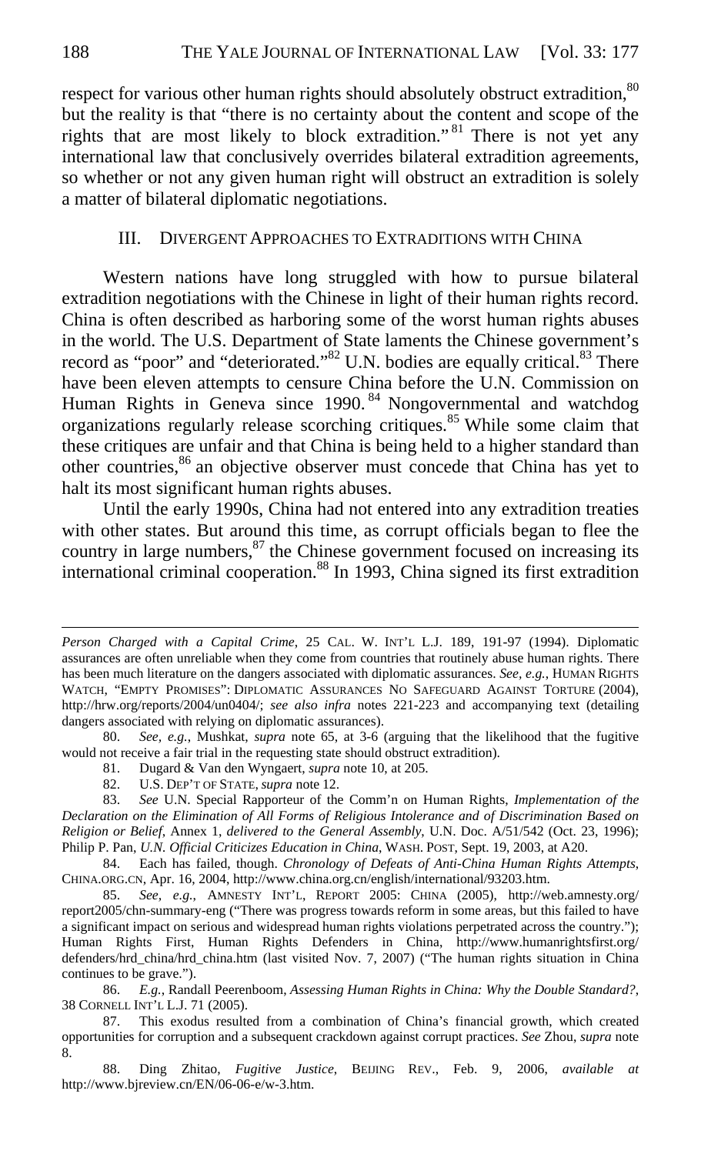respect for various other human rights should absolutely obstruct extradition,  $80$ but the reality is that "there is no certainty about the content and scope of the rights that are most likely to block extradition."<sup>81</sup> There is not yet any international law that conclusively overrides bilateral extradition agreements, so whether or not any given human right will obstruct an extradition is solely a matter of bilateral diplomatic negotiations.

#### III. DIVERGENT APPROACHES TO EXTRADITIONS WITH CHINA

Western nations have long struggled with how to pursue bilateral extradition negotiations with the Chinese in light of their human rights record. China is often described as harboring some of the worst human rights abuses in the world. The U.S. Department of State laments the Chinese government's record as "poor" and "deteriorated."<sup>82</sup> U.N. bodies are equally critical.<sup>83</sup> There have been eleven attempts to censure China before the U.N. Commission on Human Rights in Geneva since 1990.<sup>84</sup> Nongovernmental and watchdog organizations regularly release scorching critiques.<sup>85</sup> While some claim that these critiques are unfair and that China is being held to a higher standard than other countries,<sup>86</sup> an objective observer must concede that China has yet to halt its most significant human rights abuses.

Until the early 1990s, China had not entered into any extradition treaties with other states. But around this time, as corrupt officials began to flee the country in large numbers, $87$  the Chinese government focused on increasing its international criminal cooperation.<sup>88</sup> In 1993, China signed its first extradition

- 81. Dugard & Van den Wyngaert, *supra* note 10, at 205.
- 82. U.S. DEP'T OF STATE, *supra* note 12.

*Person Charged with a Capital Crime*, 25 CAL. W. INT'L L.J. 189, 191-97 (1994). Diplomatic assurances are often unreliable when they come from countries that routinely abuse human rights. There has been much literature on the dangers associated with diplomatic assurances. *See, e.g.*, HUMAN RIGHTS WATCH, "EMPTY PROMISES": DIPLOMATIC ASSURANCES NO SAFEGUARD AGAINST TORTURE (2004), http://hrw.org/reports/2004/un0404/; *see also infra* notes 221-223 and accompanying text (detailing dangers associated with relying on diplomatic assurances).

<sup>80.</sup> *See, e.g.*, Mushkat, *supra* note 65, at 3-6 (arguing that the likelihood that the fugitive would not receive a fair trial in the requesting state should obstruct extradition).

<sup>83.</sup> *See* U.N. Special Rapporteur of the Comm'n on Human Rights, *Implementation of the Declaration on the Elimination of All Forms of Religious Intolerance and of Discrimination Based on Religion or Belief*, Annex 1, *delivered to the General Assembly*, U.N. Doc. A/51/542 (Oct. 23, 1996); Philip P. Pan, *U.N. Official Criticizes Education in China*, WASH. POST, Sept. 19, 2003, at A20.

<sup>84.</sup> Each has failed, though. *Chronology of Defeats of Anti-China Human Rights Attempts*, CHINA.ORG.CN, Apr. 16, 2004, http://www.china.org.cn/english/international/93203.htm.

<sup>85.</sup> *See, e.g.*, AMNESTY INT'L, REPORT 2005: CHINA (2005), http://web.amnesty.org/ report2005/chn-summary-eng ("There was progress towards reform in some areas, but this failed to have a significant impact on serious and widespread human rights violations perpetrated across the country."); Human Rights First, Human Rights Defenders in China, http://www.humanrightsfirst.org/ defenders/hrd\_china/hrd\_china.htm (last visited Nov. 7, 2007) ("The human rights situation in China continues to be grave.").

<sup>86.</sup> *E.g.*, Randall Peerenboom, *Assessing Human Rights in China: Why the Double Standard?*, 38 CORNELL INT'L L.J. 71 (2005).

<sup>87.</sup> This exodus resulted from a combination of China's financial growth, which created opportunities for corruption and a subsequent crackdown against corrupt practices. *See* Zhou, *supra* note 8.

<sup>88.</sup> Ding Zhitao, *Fugitive Justice*, BEIJING REV., Feb. 9, 2006, *available at* http://www.bjreview.cn/EN/06-06-e/w-3.htm.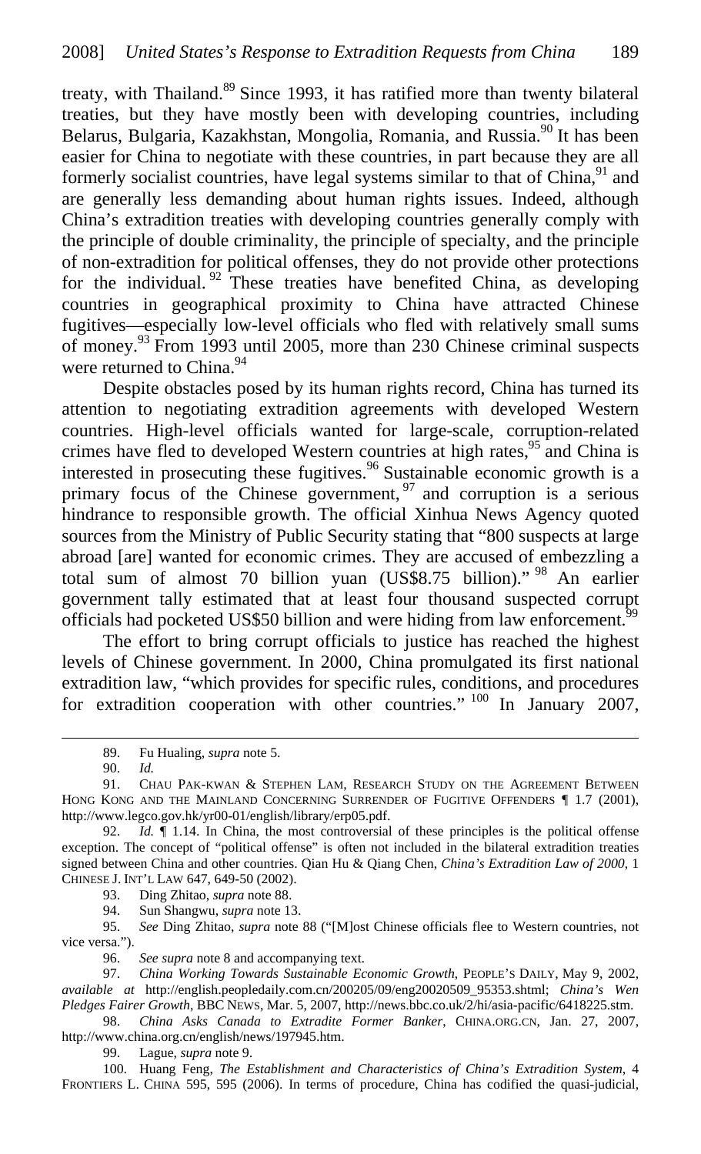treaty, with Thailand.<sup>89</sup> Since 1993, it has ratified more than twenty bilateral treaties, but they have mostly been with developing countries, including Belarus, Bulgaria, Kazakhstan, Mongolia, Romania, and Russia.<sup>90</sup> It has been easier for China to negotiate with these countries, in part because they are all formerly socialist countries, have legal systems similar to that of China,  $91$  and are generally less demanding about human rights issues. Indeed, although China's extradition treaties with developing countries generally comply with the principle of double criminality, the principle of specialty, and the principle of non-extradition for political offenses, they do not provide other protections for the individual.  $92$  These treaties have benefited China, as developing countries in geographical proximity to China have attracted Chinese fugitives—especially low-level officials who fled with relatively small sums of money.93 From 1993 until 2005, more than 230 Chinese criminal suspects were returned to China.<sup>94</sup>

Despite obstacles posed by its human rights record, China has turned its attention to negotiating extradition agreements with developed Western countries. High-level officials wanted for large-scale, corruption-related crimes have fled to developed Western countries at high rates,<sup>95</sup> and China is interested in prosecuting these fugitives.<sup>96</sup> Sustainable economic growth is a primary focus of the Chinese government,  $97$  and corruption is a serious hindrance to responsible growth. The official Xinhua News Agency quoted sources from the Ministry of Public Security stating that "800 suspects at large abroad [are] wanted for economic crimes. They are accused of embezzling a total sum of almost 70 billion yuan (US\$8.75 billion)." 98 An earlier government tally estimated that at least four thousand suspected corrupt officials had pocketed US\$50 billion and were hiding from law enforcement.<sup>99</sup>

The effort to bring corrupt officials to justice has reached the highest levels of Chinese government. In 2000, China promulgated its first national extradition law, "which provides for specific rules, conditions, and procedures for extradition cooperation with other countries." <sup>100</sup> In January 2007,

90. *Id.*

 $\overline{a}$ 

93. Ding Zhitao, *supra* note 88.

94. Sun Shangwu, *supra* note 13.

95. *See* Ding Zhitao, *supra* note 88 ("[M]ost Chinese officials flee to Western countries, not vice versa.").

96. *See supra* note 8 and accompanying text.

97. *China Working Towards Sustainable Economic Growth*, PEOPLE'S DAILY, May 9, 2002, *available at* http://english.peopledaily.com.cn/200205/09/eng20020509\_95353.shtml; *China's Wen Pledges Fairer Growth*, BBC NEWS, Mar. 5, 2007, http://news.bbc.co.uk/2/hi/asia-pacific/6418225.stm.

98. *China Asks Canada to Extradite Former Banker*, CHINA.ORG.CN, Jan. 27, 2007, http://www.china.org.cn/english/news/197945.htm.

99. Lague, *supra* note 9.

100. Huang Feng, *The Establishment and Characteristics of China's Extradition System*, 4 FRONTIERS L. CHINA 595, 595 (2006). In terms of procedure, China has codified the quasi-judicial,

<sup>89.</sup> Fu Hualing, *supra* note 5.

<sup>91.</sup> CHAU PAK-KWAN & STEPHEN LAM, RESEARCH STUDY ON THE AGREEMENT BETWEEN HONG KONG AND THE MAINLAND CONCERNING SURRENDER OF FUGITIVE OFFENDERS 17 (2001), http://www.legco.gov.hk/yr00-01/english/library/erp05.pdf.

<sup>92.</sup> *Id.* ¶ 1.14. In China, the most controversial of these principles is the political offense exception. The concept of "political offense" is often not included in the bilateral extradition treaties signed between China and other countries. Qian Hu & Qiang Chen, *China's Extradition Law of 2000*, 1 CHINESE J. INT'L LAW 647, 649-50 (2002).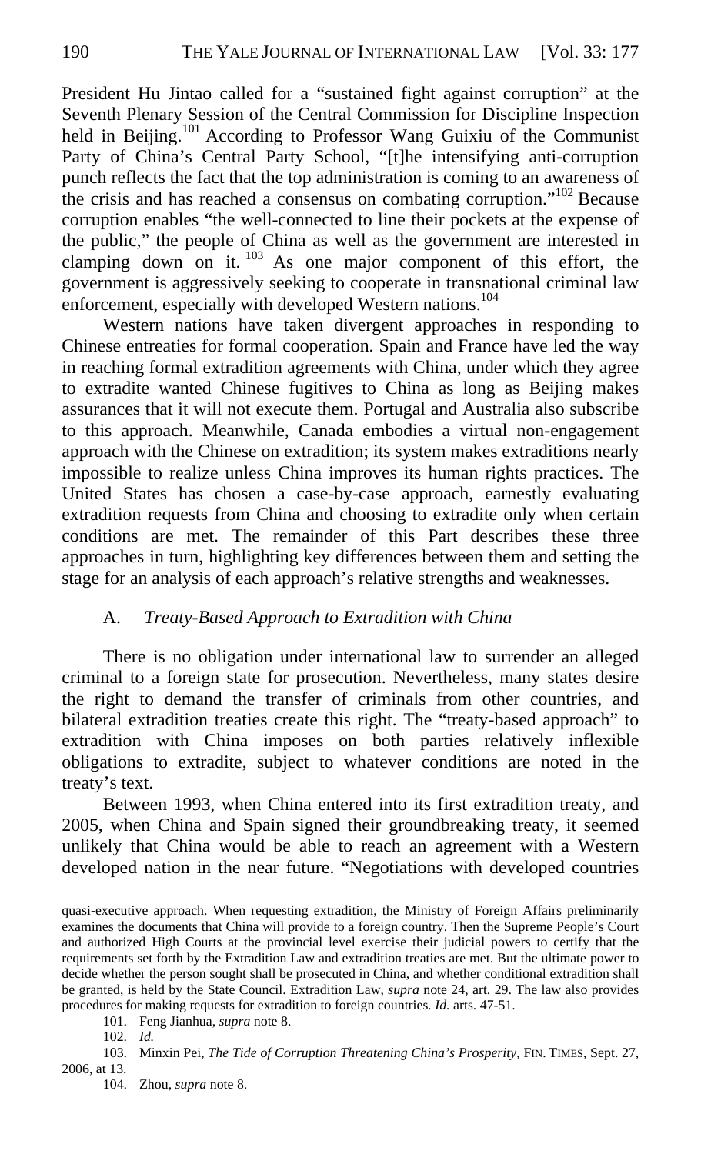President Hu Jintao called for a "sustained fight against corruption" at the Seventh Plenary Session of the Central Commission for Discipline Inspection held in Beijing.<sup>101</sup> According to Professor Wang Guixiu of the Communist Party of China's Central Party School, "[t]he intensifying anti-corruption punch reflects the fact that the top administration is coming to an awareness of the crisis and has reached a consensus on combating corruption."102 Because corruption enables "the well-connected to line their pockets at the expense of the public," the people of China as well as the government are interested in clamping down on it.  $103$  As one major component of this effort, the government is aggressively seeking to cooperate in transnational criminal law enforcement, especially with developed Western nations.<sup>104</sup>

Western nations have taken divergent approaches in responding to Chinese entreaties for formal cooperation. Spain and France have led the way in reaching formal extradition agreements with China, under which they agree to extradite wanted Chinese fugitives to China as long as Beijing makes assurances that it will not execute them. Portugal and Australia also subscribe to this approach. Meanwhile, Canada embodies a virtual non-engagement approach with the Chinese on extradition; its system makes extraditions nearly impossible to realize unless China improves its human rights practices. The United States has chosen a case-by-case approach, earnestly evaluating extradition requests from China and choosing to extradite only when certain conditions are met. The remainder of this Part describes these three approaches in turn, highlighting key differences between them and setting the stage for an analysis of each approach's relative strengths and weaknesses.

# A. *Treaty-Based Approach to Extradition with China*

There is no obligation under international law to surrender an alleged criminal to a foreign state for prosecution. Nevertheless, many states desire the right to demand the transfer of criminals from other countries, and bilateral extradition treaties create this right. The "treaty-based approach" to extradition with China imposes on both parties relatively inflexible obligations to extradite, subject to whatever conditions are noted in the treaty's text.

Between 1993, when China entered into its first extradition treaty, and 2005, when China and Spain signed their groundbreaking treaty, it seemed unlikely that China would be able to reach an agreement with a Western developed nation in the near future. "Negotiations with developed countries

quasi-executive approach. When requesting extradition, the Ministry of Foreign Affairs preliminarily examines the documents that China will provide to a foreign country. Then the Supreme People's Court and authorized High Courts at the provincial level exercise their judicial powers to certify that the requirements set forth by the Extradition Law and extradition treaties are met. But the ultimate power to decide whether the person sought shall be prosecuted in China, and whether conditional extradition shall be granted, is held by the State Council. Extradition Law, *supra* note 24, art. 29. The law also provides procedures for making requests for extradition to foreign countries*. Id.* arts. 47-51.

<sup>101.</sup> Feng Jianhua, *supra* note 8.

<sup>102.</sup> *Id.*

<sup>103.</sup> Minxin Pei, *The Tide of Corruption Threatening China's Prosperity*, FIN. TIMES, Sept. 27, 2006, at 13.

<sup>104.</sup> Zhou, *supra* note 8.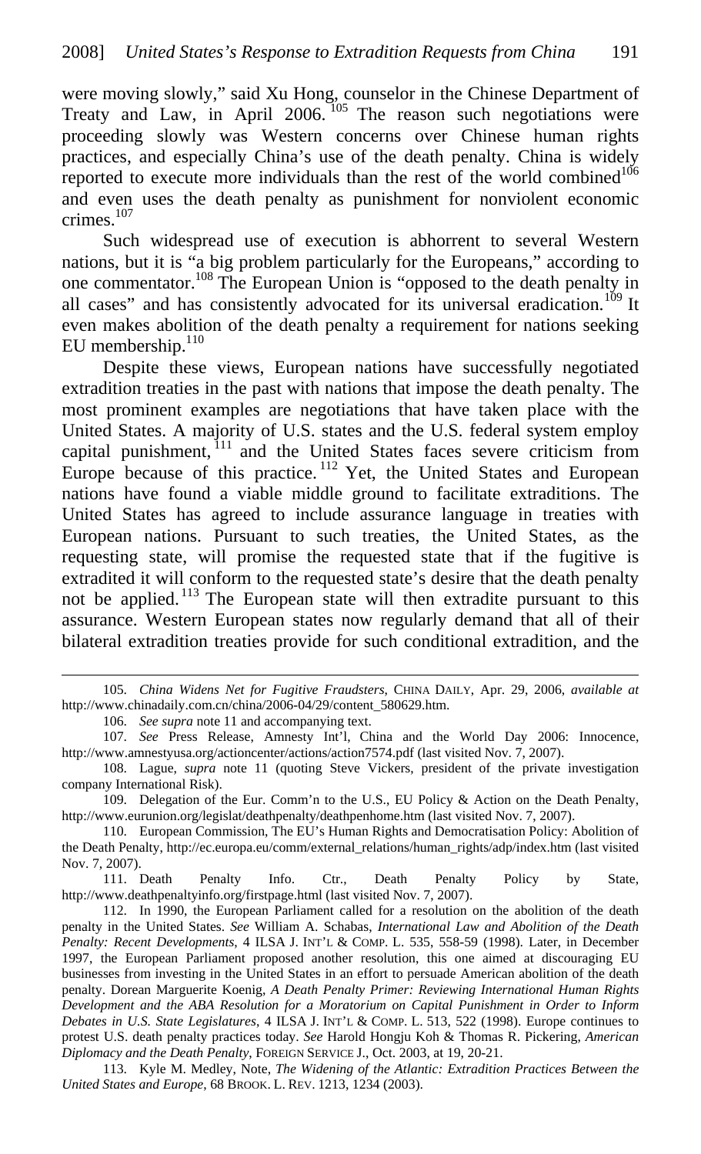were moving slowly," said Xu Hong, counselor in the Chinese Department of Treaty and Law, in April 2006.<sup>105</sup> The reason such negotiations were proceeding slowly was Western concerns over Chinese human rights practices, and especially China's use of the death penalty. China is widely reported to execute more individuals than the rest of the world combined<sup>106</sup> and even uses the death penalty as punishment for nonviolent economic crimes.<sup>107</sup>

Such widespread use of execution is abhorrent to several Western nations, but it is "a big problem particularly for the Europeans," according to one commentator.108 The European Union is "opposed to the death penalty in all cases" and has consistently advocated for its universal eradication.<sup>109</sup> It even makes abolition of the death penalty a requirement for nations seeking EU membership.<sup>110</sup>

Despite these views, European nations have successfully negotiated extradition treaties in the past with nations that impose the death penalty. The most prominent examples are negotiations that have taken place with the United States. A majority of U.S. states and the U.S. federal system employ capital punishment,  $111$  and the United States faces severe criticism from Europe because of this practice.<sup>112</sup> Yet, the United States and European nations have found a viable middle ground to facilitate extraditions. The United States has agreed to include assurance language in treaties with European nations. Pursuant to such treaties, the United States, as the requesting state, will promise the requested state that if the fugitive is extradited it will conform to the requested state's desire that the death penalty not be applied. 113 The European state will then extradite pursuant to this assurance. Western European states now regularly demand that all of their bilateral extradition treaties provide for such conditional extradition, and the

 $\overline{a}$ 

111. Death Penalty Info. Ctr., Death Penalty Policy by State, http://www.deathpenaltyinfo.org/firstpage.html (last visited Nov. 7, 2007).

<sup>105.</sup> *China Widens Net for Fugitive Fraudsters*, CHINA DAILY, Apr. 29, 2006, *available at*  http://www.chinadaily.com.cn/china/2006-04/29/content\_580629.htm.

<sup>106.</sup> *See supra* note 11 and accompanying text.

<sup>107.</sup> *See* Press Release, Amnesty Int'l, China and the World Day 2006: Innocence, http://www.amnestyusa.org/actioncenter/actions/action7574.pdf (last visited Nov. 7, 2007).

<sup>108.</sup> Lague, *supra* note 11 (quoting Steve Vickers, president of the private investigation company International Risk).

<sup>109.</sup> Delegation of the Eur. Comm'n to the U.S., EU Policy & Action on the Death Penalty, http://www.eurunion.org/legislat/deathpenalty/deathpenhome.htm (last visited Nov. 7, 2007).

<sup>110.</sup> European Commission, The EU's Human Rights and Democratisation Policy: Abolition of the Death Penalty, http://ec.europa.eu/comm/external\_relations/human\_rights/adp/index.htm (last visited Nov. 7, 2007).

<sup>112.</sup> In 1990, the European Parliament called for a resolution on the abolition of the death penalty in the United States. *See* William A. Schabas, *International Law and Abolition of the Death Penalty: Recent Developments*, 4 ILSA J. INT'L & COMP. L. 535, 558-59 (1998). Later, in December 1997, the European Parliament proposed another resolution, this one aimed at discouraging EU businesses from investing in the United States in an effort to persuade American abolition of the death penalty. Dorean Marguerite Koenig, *A Death Penalty Primer: Reviewing International Human Rights Development and the ABA Resolution for a Moratorium on Capital Punishment in Order to Inform Debates in U.S. State Legislatures*, 4 ILSA J. INT'L & COMP. L. 513, 522 (1998). Europe continues to protest U.S. death penalty practices today. *See* Harold Hongju Koh & Thomas R. Pickering, *American Diplomacy and the Death Penalty*, FOREIGN SERVICE J., Oct. 2003, at 19, 20-21.

<sup>113.</sup> Kyle M. Medley, Note, *The Widening of the Atlantic: Extradition Practices Between the United States and Europe*, 68 BROOK. L. REV. 1213, 1234 (2003).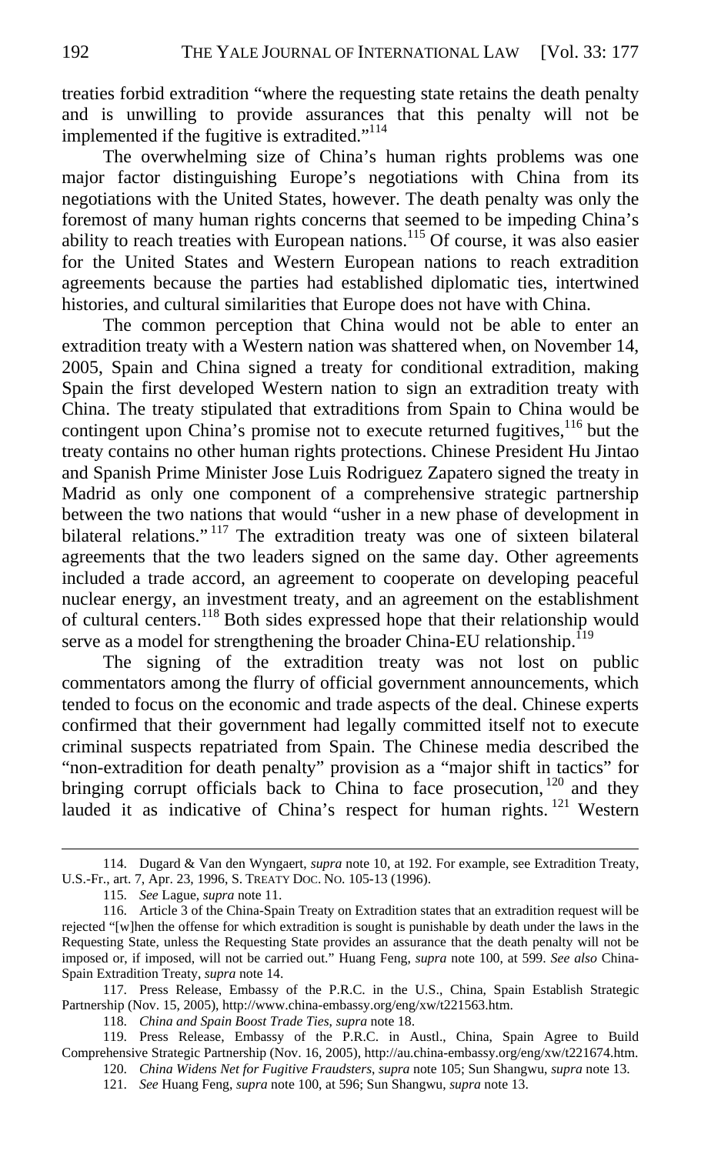treaties forbid extradition "where the requesting state retains the death penalty and is unwilling to provide assurances that this penalty will not be implemented if the fugitive is extradited."<sup>114</sup>

The overwhelming size of China's human rights problems was one major factor distinguishing Europe's negotiations with China from its negotiations with the United States, however. The death penalty was only the foremost of many human rights concerns that seemed to be impeding China's ability to reach treaties with European nations.<sup>115</sup> Of course, it was also easier for the United States and Western European nations to reach extradition agreements because the parties had established diplomatic ties, intertwined histories, and cultural similarities that Europe does not have with China.

The common perception that China would not be able to enter an extradition treaty with a Western nation was shattered when, on November 14, 2005, Spain and China signed a treaty for conditional extradition, making Spain the first developed Western nation to sign an extradition treaty with China. The treaty stipulated that extraditions from Spain to China would be contingent upon China's promise not to execute returned fugitives,  $116$  but the treaty contains no other human rights protections. Chinese President Hu Jintao and Spanish Prime Minister Jose Luis Rodriguez Zapatero signed the treaty in Madrid as only one component of a comprehensive strategic partnership between the two nations that would "usher in a new phase of development in bilateral relations."<sup>117</sup> The extradition treaty was one of sixteen bilateral agreements that the two leaders signed on the same day. Other agreements included a trade accord, an agreement to cooperate on developing peaceful nuclear energy, an investment treaty, and an agreement on the establishment of cultural centers.118 Both sides expressed hope that their relationship would serve as a model for strengthening the broader China-EU relationship.<sup>119</sup>

The signing of the extradition treaty was not lost on public commentators among the flurry of official government announcements, which tended to focus on the economic and trade aspects of the deal. Chinese experts confirmed that their government had legally committed itself not to execute criminal suspects repatriated from Spain. The Chinese media described the "non-extradition for death penalty" provision as a "major shift in tactics" for bringing corrupt officials back to China to face prosecution,  $120$  and they lauded it as indicative of China's respect for human rights.<sup>121</sup> Western

 $\overline{a}$ 

117. Press Release, Embassy of the P.R.C. in the U.S., China, Spain Establish Strategic Partnership (Nov. 15, 2005), http://www.china-embassy.org/eng/xw/t221563.htm.

118. *China and Spain Boost Trade Ties*, *supra* note 18.

<sup>114.</sup> Dugard & Van den Wyngaert, *supra* note 10, at 192. For example, see Extradition Treaty, U.S.-Fr., art. 7, Apr. 23, 1996, S. TREATY DOC. NO. 105-13 (1996).

<sup>115.</sup> *See* Lague, *supra* note 11.

<sup>116.</sup> Article 3 of the China-Spain Treaty on Extradition states that an extradition request will be rejected "[w]hen the offense for which extradition is sought is punishable by death under the laws in the Requesting State, unless the Requesting State provides an assurance that the death penalty will not be imposed or, if imposed, will not be carried out." Huang Feng, *supra* note 100, at 599. *See also* China-Spain Extradition Treaty, *supra* note 14.

<sup>119.</sup> Press Release, Embassy of the P.R.C. in Austl., China, Spain Agree to Build Comprehensive Strategic Partnership (Nov. 16, 2005), http://au.china-embassy.org/eng/xw/t221674.htm.

<sup>120.</sup> *China Widens Net for Fugitive Fraudsters*, *supra* note 105; Sun Shangwu, *supra* note 13.

<sup>121.</sup> *See* Huang Feng, *supra* note 100, at 596; Sun Shangwu, *supra* note 13.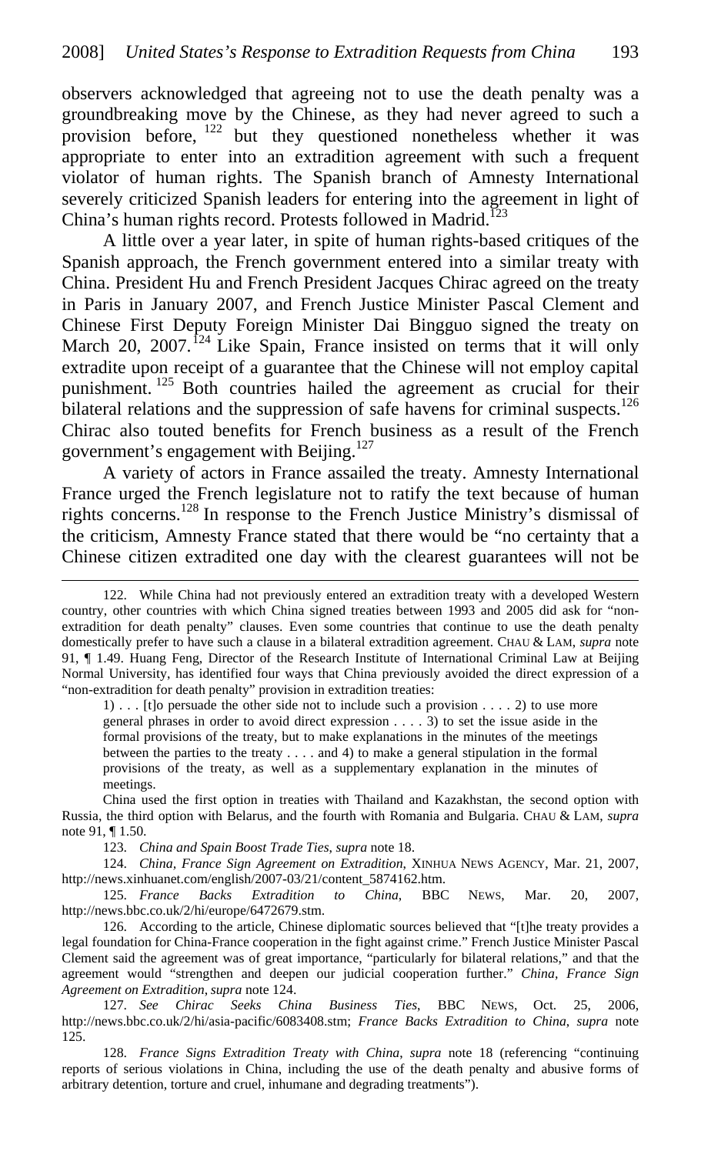observers acknowledged that agreeing not to use the death penalty was a groundbreaking move by the Chinese, as they had never agreed to such a provision before,  $122$  but they questioned nonetheless whether it was appropriate to enter into an extradition agreement with such a frequent violator of human rights. The Spanish branch of Amnesty International severely criticized Spanish leaders for entering into the agreement in light of China's human rights record. Protests followed in Madrid.<sup>123</sup>

A little over a year later, in spite of human rights-based critiques of the Spanish approach, the French government entered into a similar treaty with China. President Hu and French President Jacques Chirac agreed on the treaty in Paris in January 2007, and French Justice Minister Pascal Clement and Chinese First Deputy Foreign Minister Dai Bingguo signed the treaty on March 20, 2007.<sup>124</sup> Like Spain, France insisted on terms that it will only extradite upon receipt of a guarantee that the Chinese will not employ capital punishment. 125 Both countries hailed the agreement as crucial for their bilateral relations and the suppression of safe havens for criminal suspects.<sup>126</sup> Chirac also touted benefits for French business as a result of the French government's engagement with Beijing.<sup>127</sup>

A variety of actors in France assailed the treaty. Amnesty International France urged the French legislature not to ratify the text because of human rights concerns.128 In response to the French Justice Ministry's dismissal of the criticism, Amnesty France stated that there would be "no certainty that a Chinese citizen extradited one day with the clearest guarantees will not be

1) . . . [t]o persuade the other side not to include such a provision . . . . 2) to use more general phrases in order to avoid direct expression . . . . 3) to set the issue aside in the formal provisions of the treaty, but to make explanations in the minutes of the meetings between the parties to the treaty . . . . and 4) to make a general stipulation in the formal provisions of the treaty, as well as a supplementary explanation in the minutes of meetings.

China used the first option in treaties with Thailand and Kazakhstan, the second option with Russia, the third option with Belarus, and the fourth with Romania and Bulgaria. CHAU & LAM, *supra* note 91, ¶ 1.50.

123. *China and Spain Boost Trade Ties*, *supra* note 18.

 $\overline{a}$ 

124. *China, France Sign Agreement on Extradition*, XINHUA NEWS AGENCY, Mar. 21, 2007, http://news.xinhuanet.com/english/2007-03/21/content\_5874162.htm.

125. *France Backs Extradition to China*, BBC NEWS, Mar. 20, 2007, http://news.bbc.co.uk/2/hi/europe/6472679.stm.

126. According to the article, Chinese diplomatic sources believed that "[t]he treaty provides a legal foundation for China-France cooperation in the fight against crime." French Justice Minister Pascal Clement said the agreement was of great importance, "particularly for bilateral relations," and that the agreement would "strengthen and deepen our judicial cooperation further." *China, France Sign Agreement on Extradition*, *supra* note 124.

127. *See Chirac Seeks China Business Ties*, BBC NEWS, Oct. 25, 2006, http://news.bbc.co.uk/2/hi/asia-pacific/6083408.stm; *France Backs Extradition to China*, *supra* note 125.

128. *France Signs Extradition Treaty with China*, *supra* note 18 (referencing "continuing reports of serious violations in China, including the use of the death penalty and abusive forms of arbitrary detention, torture and cruel, inhumane and degrading treatments").

<sup>122.</sup> While China had not previously entered an extradition treaty with a developed Western country, other countries with which China signed treaties between 1993 and 2005 did ask for "nonextradition for death penalty" clauses. Even some countries that continue to use the death penalty domestically prefer to have such a clause in a bilateral extradition agreement. CHAU & LAM, *supra* note 91, ¶ 1.49. Huang Feng, Director of the Research Institute of International Criminal Law at Beijing Normal University, has identified four ways that China previously avoided the direct expression of a "non-extradition for death penalty" provision in extradition treaties: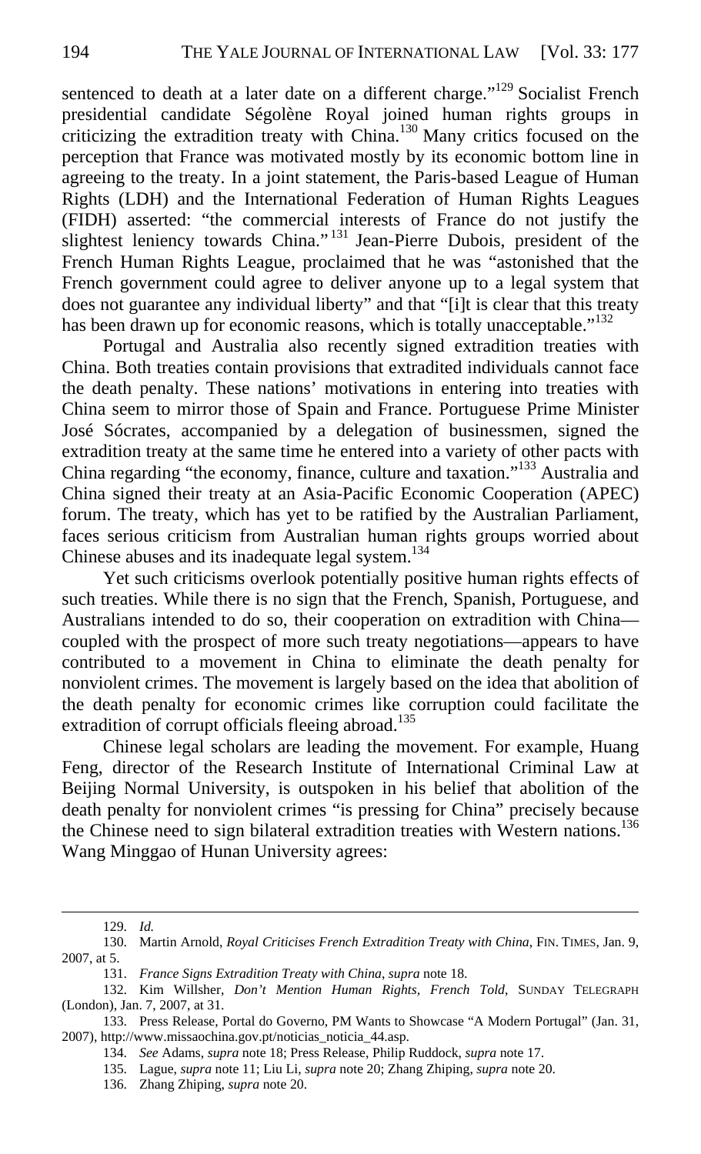sentenced to death at a later date on a different charge."<sup>129</sup> Socialist French presidential candidate Ségolène Royal joined human rights groups in criticizing the extradition treaty with China.130 Many critics focused on the perception that France was motivated mostly by its economic bottom line in agreeing to the treaty. In a joint statement, the Paris-based League of Human Rights (LDH) and the International Federation of Human Rights Leagues (FIDH) asserted: "the commercial interests of France do not justify the slightest leniency towards China."<sup>131</sup> Jean-Pierre Dubois, president of the French Human Rights League, proclaimed that he was "astonished that the French government could agree to deliver anyone up to a legal system that does not guarantee any individual liberty" and that "[i]t is clear that this treaty has been drawn up for economic reasons, which is totally unacceptable."<sup>132</sup>

Portugal and Australia also recently signed extradition treaties with China. Both treaties contain provisions that extradited individuals cannot face the death penalty. These nations' motivations in entering into treaties with China seem to mirror those of Spain and France. Portuguese Prime Minister José Sócrates, accompanied by a delegation of businessmen, signed the extradition treaty at the same time he entered into a variety of other pacts with China regarding "the economy, finance, culture and taxation."133 Australia and China signed their treaty at an Asia-Pacific Economic Cooperation (APEC) forum. The treaty, which has yet to be ratified by the Australian Parliament, faces serious criticism from Australian human rights groups worried about Chinese abuses and its inadequate legal system.<sup>134</sup>

Yet such criticisms overlook potentially positive human rights effects of such treaties. While there is no sign that the French, Spanish, Portuguese, and Australians intended to do so, their cooperation on extradition with China coupled with the prospect of more such treaty negotiations—appears to have contributed to a movement in China to eliminate the death penalty for nonviolent crimes. The movement is largely based on the idea that abolition of the death penalty for economic crimes like corruption could facilitate the extradition of corrupt officials fleeing abroad.<sup>135</sup>

Chinese legal scholars are leading the movement. For example, Huang Feng, director of the Research Institute of International Criminal Law at Beijing Normal University, is outspoken in his belief that abolition of the death penalty for nonviolent crimes "is pressing for China" precisely because the Chinese need to sign bilateral extradition treaties with Western nations.<sup>136</sup> Wang Minggao of Hunan University agrees:

<sup>129.</sup> *Id.*

<sup>130.</sup> Martin Arnold, *Royal Criticises French Extradition Treaty with China*, FIN. TIMES, Jan. 9, 2007, at 5.

<sup>131.</sup> *France Signs Extradition Treaty with China*, *supra* note 18.

<sup>132.</sup> Kim Willsher, *Don't Mention Human Rights, French Told*, SUNDAY TELEGRAPH (London), Jan. 7, 2007, at 31.

<sup>133.</sup> Press Release, Portal do Governo, PM Wants to Showcase "A Modern Portugal" (Jan. 31, 2007), http://www.missaochina.gov.pt/noticias\_noticia\_44.asp.

<sup>134.</sup> *See* Adams, *supra* note 18; Press Release, Philip Ruddock, *supra* note 17.

<sup>135.</sup> Lague, *supra* note 11; Liu Li, *supra* note 20; Zhang Zhiping, *supra* note 20.

<sup>136.</sup> Zhang Zhiping, *supra* note 20.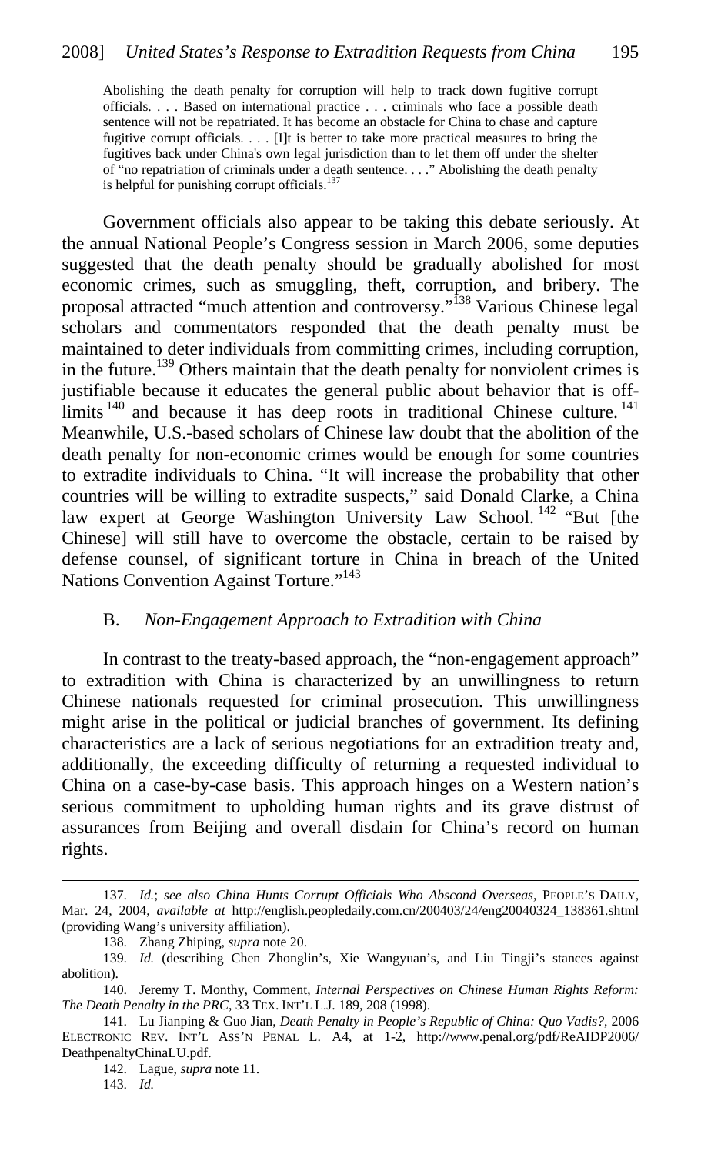Abolishing the death penalty for corruption will help to track down fugitive corrupt officials. . . . Based on international practice . . . criminals who face a possible death sentence will not be repatriated. It has become an obstacle for China to chase and capture fugitive corrupt officials. . . . [I]t is better to take more practical measures to bring the fugitives back under China's own legal jurisdiction than to let them off under the shelter of "no repatriation of criminals under a death sentence. . . ." Abolishing the death penalty is helpful for punishing corrupt officials.<sup>137</sup>

Government officials also appear to be taking this debate seriously. At the annual National People's Congress session in March 2006, some deputies suggested that the death penalty should be gradually abolished for most economic crimes, such as smuggling, theft, corruption, and bribery. The proposal attracted "much attention and controversy."138 Various Chinese legal scholars and commentators responded that the death penalty must be maintained to deter individuals from committing crimes, including corruption, in the future.<sup>139</sup> Others maintain that the death penalty for nonviolent crimes is justifiable because it educates the general public about behavior that is offlimits<sup>140</sup> and because it has deep roots in traditional Chinese culture. Meanwhile, U.S.-based scholars of Chinese law doubt that the abolition of the death penalty for non-economic crimes would be enough for some countries to extradite individuals to China. "It will increase the probability that other countries will be willing to extradite suspects," said Donald Clarke, a China law expert at George Washington University Law School.<sup>142</sup> "But [the Chinese] will still have to overcome the obstacle, certain to be raised by defense counsel, of significant torture in China in breach of the United Nations Convention Against Torture."<sup>143</sup>

#### B. *Non-Engagement Approach to Extradition with China*

In contrast to the treaty-based approach, the "non-engagement approach" to extradition with China is characterized by an unwillingness to return Chinese nationals requested for criminal prosecution. This unwillingness might arise in the political or judicial branches of government. Its defining characteristics are a lack of serious negotiations for an extradition treaty and, additionally, the exceeding difficulty of returning a requested individual to China on a case-by-case basis. This approach hinges on a Western nation's serious commitment to upholding human rights and its grave distrust of assurances from Beijing and overall disdain for China's record on human rights.

142. Lague, *supra* note 11.

143. *Id.*

<sup>137.</sup> *Id.*; *see also China Hunts Corrupt Officials Who Abscond Overseas*, PEOPLE'S DAILY, Mar. 24, 2004, *available at* http://english.peopledaily.com.cn/200403/24/eng20040324\_138361.shtml (providing Wang's university affiliation).

<sup>138.</sup> Zhang Zhiping, *supra* note 20.

<sup>139.</sup> *Id.* (describing Chen Zhonglin's, Xie Wangyuan's, and Liu Tingji's stances against abolition).

<sup>140.</sup> Jeremy T. Monthy, Comment, *Internal Perspectives on Chinese Human Rights Reform: The Death Penalty in the PRC*, 33 TEX. INT'L L.J. 189, 208 (1998).

<sup>141.</sup> Lu Jianping & Guo Jian, *Death Penalty in People's Republic of China: Quo Vadis?*, 2006 ELECTRONIC REV. INT'L ASS'N PENAL L. A4, at 1-2, http://www.penal.org/pdf/ReAIDP2006/ DeathpenaltyChinaLU.pdf.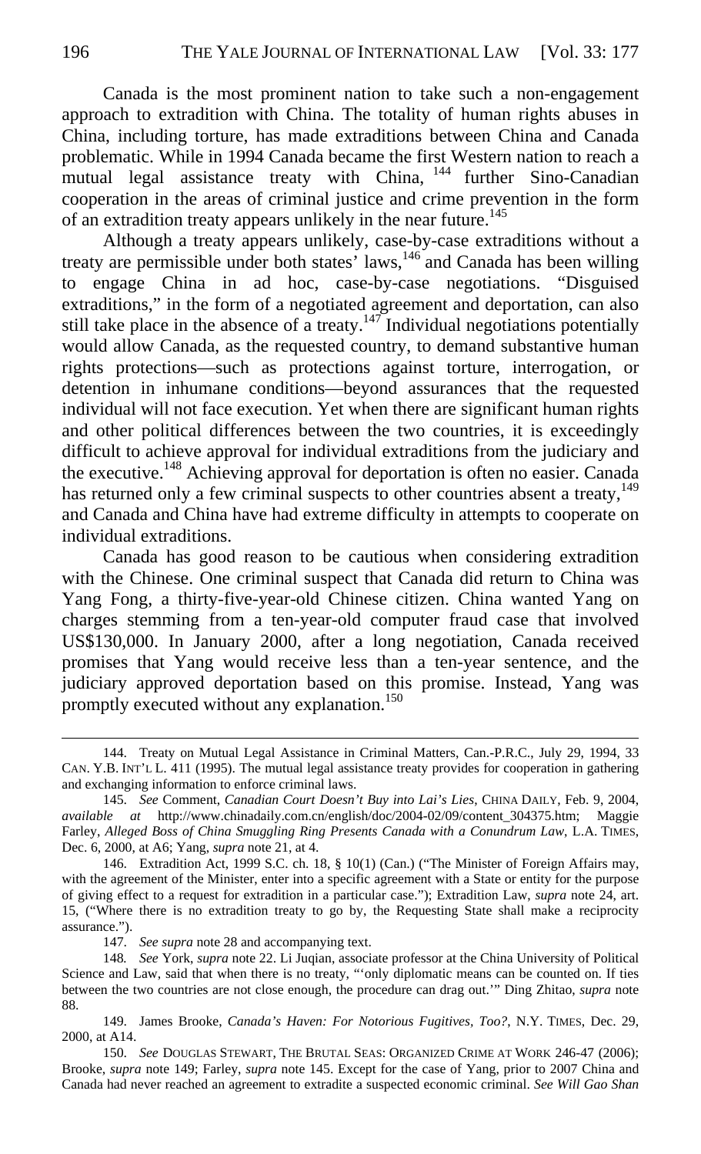Canada is the most prominent nation to take such a non-engagement approach to extradition with China. The totality of human rights abuses in China, including torture, has made extraditions between China and Canada problematic. While in 1994 Canada became the first Western nation to reach a mutual legal assistance treaty with China, <sup>144</sup> further Sino-Canadian cooperation in the areas of criminal justice and crime prevention in the form of an extradition treaty appears unlikely in the near future.<sup>145</sup>

Although a treaty appears unlikely, case-by-case extraditions without a treaty are permissible under both states' laws,<sup>146</sup> and Canada has been willing to engage China in ad hoc, case-by-case negotiations. "Disguised extraditions," in the form of a negotiated agreement and deportation, can also still take place in the absence of a treaty.<sup>147</sup> Individual negotiations potentially would allow Canada, as the requested country, to demand substantive human rights protections—such as protections against torture, interrogation, or detention in inhumane conditions—beyond assurances that the requested individual will not face execution. Yet when there are significant human rights and other political differences between the two countries, it is exceedingly difficult to achieve approval for individual extraditions from the judiciary and the executive.<sup>148</sup> Achieving approval for deportation is often no easier. Canada has returned only a few criminal suspects to other countries absent a treaty,<sup>149</sup> and Canada and China have had extreme difficulty in attempts to cooperate on individual extraditions.

Canada has good reason to be cautious when considering extradition with the Chinese. One criminal suspect that Canada did return to China was Yang Fong, a thirty-five-year-old Chinese citizen. China wanted Yang on charges stemming from a ten-year-old computer fraud case that involved US\$130,000. In January 2000, after a long negotiation, Canada received promises that Yang would receive less than a ten-year sentence, and the judiciary approved deportation based on this promise. Instead, Yang was promptly executed without any explanation.<sup>150</sup>

147. *See supra* note 28 and accompanying text.

<sup>144.</sup> Treaty on Mutual Legal Assistance in Criminal Matters, Can.-P.R.C., July 29, 1994, 33 CAN. Y.B. INT'L L. 411 (1995). The mutual legal assistance treaty provides for cooperation in gathering and exchanging information to enforce criminal laws.

<sup>145.</sup> *See* Comment, *Canadian Court Doesn't Buy into Lai's Lies*, CHINA DAILY, Feb. 9, 2004, *available at* http://www.chinadaily.com.cn/english/doc/2004-02/09/content\_304375.htm; Maggie Farley, *Alleged Boss of China Smuggling Ring Presents Canada with a Conundrum Law*, L.A. TIMES, Dec. 6, 2000, at A6; Yang, *supra* note 21, at 4.

<sup>146.</sup> Extradition Act, 1999 S.C. ch. 18, § 10(1) (Can.) ("The Minister of Foreign Affairs may, with the agreement of the Minister, enter into a specific agreement with a State or entity for the purpose of giving effect to a request for extradition in a particular case."); Extradition Law, *supra* note 24, art. 15, ("Where there is no extradition treaty to go by, the Requesting State shall make a reciprocity assurance.").

<sup>148</sup>*. See* York, *supra* note 22. Li Juqian, associate professor at the China University of Political Science and Law, said that when there is no treaty, "'only diplomatic means can be counted on. If ties between the two countries are not close enough, the procedure can drag out.'" Ding Zhitao, *supra* note 88.

<sup>149.</sup> James Brooke, *Canada's Haven: For Notorious Fugitives, Too?*, N.Y. TIMES, Dec. 29, 2000, at A14.

<sup>150.</sup> *See* DOUGLAS STEWART, THE BRUTAL SEAS: ORGANIZED CRIME AT WORK 246-47 (2006); Brooke, *supra* note 149; Farley, *supra* note 145. Except for the case of Yang, prior to 2007 China and Canada had never reached an agreement to extradite a suspected economic criminal. *See Will Gao Shan*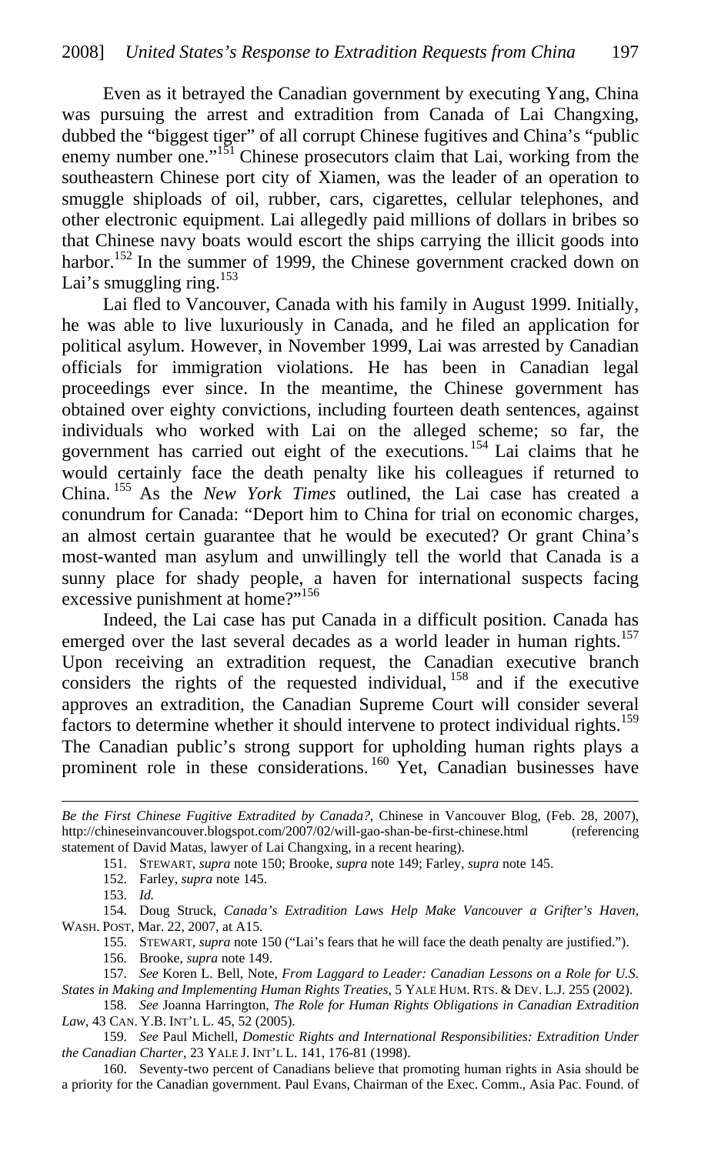Even as it betrayed the Canadian government by executing Yang, China was pursuing the arrest and extradition from Canada of Lai Changxing, dubbed the "biggest tiger" of all corrupt Chinese fugitives and China's "public enemy number one." $151$  Chinese prosecutors claim that Lai, working from the southeastern Chinese port city of Xiamen, was the leader of an operation to smuggle shiploads of oil, rubber, cars, cigarettes, cellular telephones, and other electronic equipment. Lai allegedly paid millions of dollars in bribes so that Chinese navy boats would escort the ships carrying the illicit goods into harbor.<sup>152</sup> In the summer of 1999, the Chinese government cracked down on Lai's smuggling ring.<sup>153</sup>

Lai fled to Vancouver, Canada with his family in August 1999. Initially, he was able to live luxuriously in Canada, and he filed an application for political asylum. However, in November 1999, Lai was arrested by Canadian officials for immigration violations. He has been in Canadian legal proceedings ever since. In the meantime, the Chinese government has obtained over eighty convictions, including fourteen death sentences, against individuals who worked with Lai on the alleged scheme; so far, the government has carried out eight of the executions. 154 Lai claims that he would certainly face the death penalty like his colleagues if returned to China. 155 As the *New York Times* outlined, the Lai case has created a conundrum for Canada: "Deport him to China for trial on economic charges, an almost certain guarantee that he would be executed? Or grant China's most-wanted man asylum and unwillingly tell the world that Canada is a sunny place for shady people, a haven for international suspects facing excessive punishment at home?"<sup>156</sup>

Indeed, the Lai case has put Canada in a difficult position. Canada has emerged over the last several decades as a world leader in human rights.<sup>157</sup> Upon receiving an extradition request, the Canadian executive branch considers the rights of the requested individual,  $158$  and if the executive approves an extradition, the Canadian Supreme Court will consider several factors to determine whether it should intervene to protect individual rights.<sup>159</sup> The Canadian public's strong support for upholding human rights plays a prominent role in these considerations.<sup>160</sup> Yet, Canadian businesses have

151. STEWART, *supra* note 150; Brooke, *supra* note 149; Farley, *supra* note 145.

152. Farley, *supra* note 145.

153. *Id.*

 $\overline{a}$ 

154. Doug Struck, *Canada's Extradition Laws Help Make Vancouver a Grifter's Haven*, WASH. POST, Mar. 22, 2007, at A15.

155. STEWART, *supra* note 150 ("Lai's fears that he will face the death penalty are justified.").

156. Brooke, *supra* note 149.

*Be the First Chinese Fugitive Extradited by Canada?*, Chinese in Vancouver Blog, (Feb. 28, 2007), http://chineseinvancouver.blogspot.com/2007/02/will-gao-shan-be-first-chinese.html (referencing statement of David Matas, lawyer of Lai Changxing, in a recent hearing).

<sup>157.</sup> *See* Koren L. Bell, Note, *From Laggard to Leader: Canadian Lessons on a Role for U.S. States in Making and Implementing Human Rights Treaties*, 5 YALE HUM. RTS. & DEV. L.J. 255 (2002).

<sup>158.</sup> *See* Joanna Harrington, *The Role for Human Rights Obligations in Canadian Extradition Law*, 43 CAN. Y.B. INT'L L. 45, 52 (2005).

<sup>159.</sup> *See* Paul Michell, *Domestic Rights and International Responsibilities: Extradition Under the Canadian Charter*, 23 YALE J. INT'L L. 141, 176-81 (1998).

<sup>160.</sup> Seventy-two percent of Canadians believe that promoting human rights in Asia should be a priority for the Canadian government. Paul Evans, Chairman of the Exec. Comm., Asia Pac. Found. of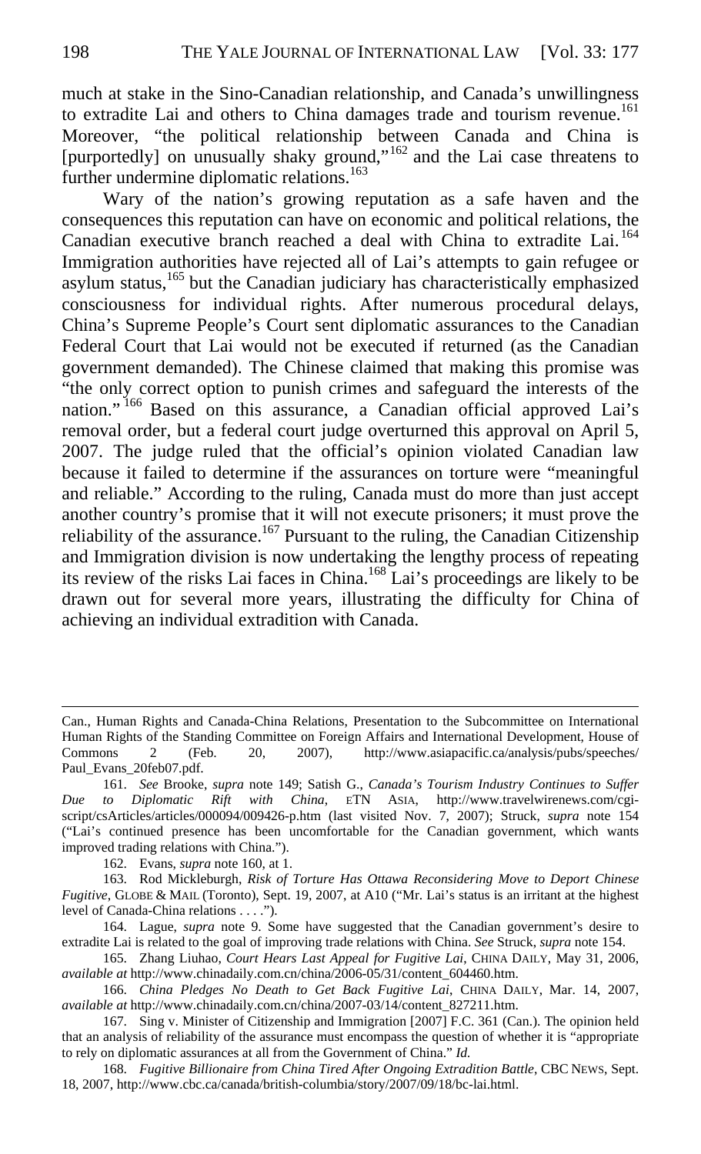much at stake in the Sino-Canadian relationship, and Canada's unwillingness to extradite Lai and others to China damages trade and tourism revenue.<sup>161</sup> Moreover, "the political relationship between Canada and China is [purportedly] on unusually shaky ground,"<sup>162</sup> and the Lai case threatens to further undermine diplomatic relations.<sup>163</sup>

Wary of the nation's growing reputation as a safe haven and the consequences this reputation can have on economic and political relations, the Canadian executive branch reached a deal with China to extradite Lai. <sup>164</sup> Immigration authorities have rejected all of Lai's attempts to gain refugee or asylum status,<sup>165</sup> but the Canadian judiciary has characteristically emphasized consciousness for individual rights. After numerous procedural delays, China's Supreme People's Court sent diplomatic assurances to the Canadian Federal Court that Lai would not be executed if returned (as the Canadian government demanded). The Chinese claimed that making this promise was "the only correct option to punish crimes and safeguard the interests of the nation." 166 Based on this assurance, a Canadian official approved Lai's removal order, but a federal court judge overturned this approval on April 5, 2007. The judge ruled that the official's opinion violated Canadian law because it failed to determine if the assurances on torture were "meaningful and reliable." According to the ruling, Canada must do more than just accept another country's promise that it will not execute prisoners; it must prove the reliability of the assurance.<sup>167</sup> Pursuant to the ruling, the Canadian Citizenship and Immigration division is now undertaking the lengthy process of repeating its review of the risks Lai faces in China.168 Lai's proceedings are likely to be drawn out for several more years, illustrating the difficulty for China of achieving an individual extradition with Canada.

162. Evans, *supra* note 160, at 1.

163. Rod Mickleburgh, *Risk of Torture Has Ottawa Reconsidering Move to Deport Chinese Fugitive*, GLOBE & MAIL (Toronto), Sept. 19, 2007, at A10 ("Mr. Lai's status is an irritant at the highest level of Canada-China relations . . . .").

164. Lague, *supra* note 9. Some have suggested that the Canadian government's desire to extradite Lai is related to the goal of improving trade relations with China. *See* Struck, *supra* note 154.

168. *Fugitive Billionaire from China Tired After Ongoing Extradition Battle*, CBC NEWS, Sept. 18, 2007, http://www.cbc.ca/canada/british-columbia/story/2007/09/18/bc-lai.html.

Can., Human Rights and Canada-China Relations, Presentation to the Subcommittee on International Human Rights of the Standing Committee on Foreign Affairs and International Development, House of Commons 2 (Feb. 20, 2007), http://www.asiapacific.ca/analysis/pubs/speeches/ Paul\_Evans\_20feb07.pdf.

<sup>161.</sup> *See* Brooke, *supra* note 149; Satish G., *Canada's Tourism Industry Continues to Suffer Due to Diplomatic Rift with China*, ETN ASIA, http://www.travelwirenews.com/cgiscript/csArticles/articles/000094/009426-p.htm (last visited Nov. 7, 2007); Struck, *supra* note 154 ("Lai's continued presence has been uncomfortable for the Canadian government, which wants improved trading relations with China.").

<sup>165.</sup> Zhang Liuhao, *Court Hears Last Appeal for Fugitive Lai*, CHINA DAILY, May 31, 2006, *available at* http://www.chinadaily.com.cn/china/2006-05/31/content\_604460.htm.

<sup>166.</sup> *China Pledges No Death to Get Back Fugitive Lai*, CHINA DAILY, Mar. 14, 2007, *available at* http://www.chinadaily.com.cn/china/2007-03/14/content\_827211.htm.

<sup>167.</sup> Sing v. Minister of Citizenship and Immigration [2007] F.C. 361 (Can.). The opinion held that an analysis of reliability of the assurance must encompass the question of whether it is "appropriate to rely on diplomatic assurances at all from the Government of China." *Id.*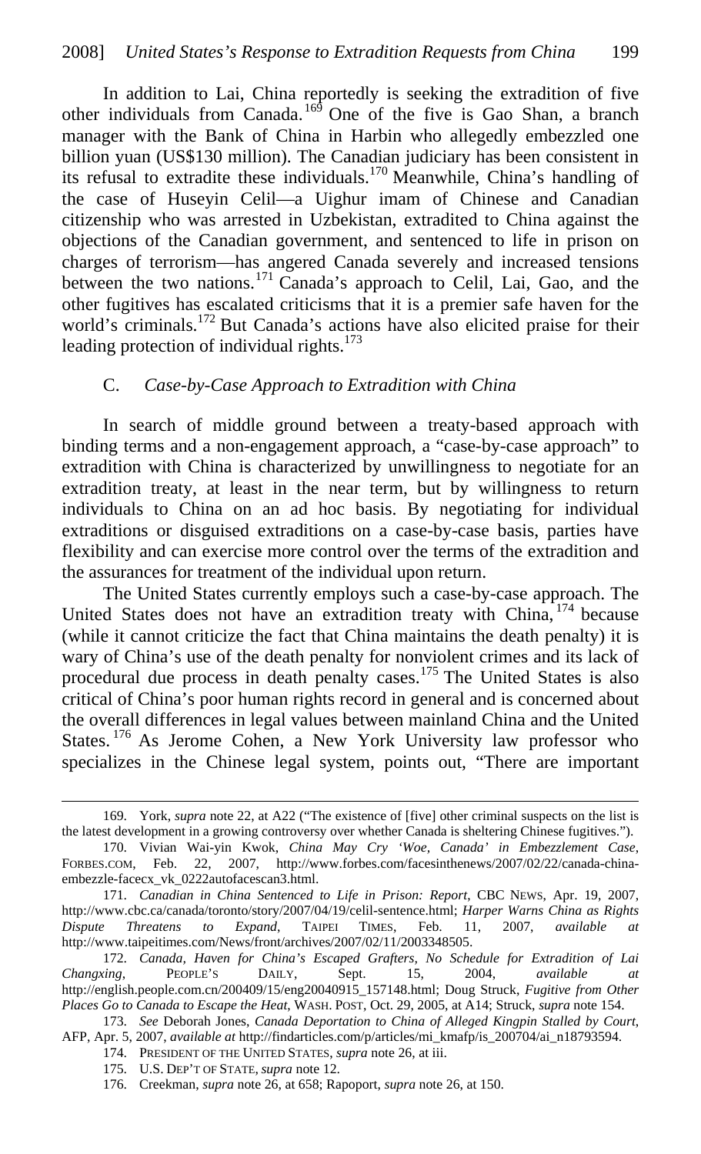In addition to Lai, China reportedly is seeking the extradition of five other individuals from Canada.<sup>169</sup> One of the five is Gao Shan, a branch manager with the Bank of China in Harbin who allegedly embezzled one billion yuan (US\$130 million). The Canadian judiciary has been consistent in its refusal to extradite these individuals.170 Meanwhile, China's handling of the case of Huseyin Celil—a Uighur imam of Chinese and Canadian citizenship who was arrested in Uzbekistan, extradited to China against the objections of the Canadian government, and sentenced to life in prison on charges of terrorism—has angered Canada severely and increased tensions between the two nations.<sup>171</sup> Canada's approach to Celil, Lai, Gao, and the other fugitives has escalated criticisms that it is a premier safe haven for the world's criminals.<sup>172</sup> But Canada's actions have also elicited praise for their leading protection of individual rights. $173$ 

#### C. *Case-by-Case Approach to Extradition with China*

In search of middle ground between a treaty-based approach with binding terms and a non-engagement approach, a "case-by-case approach" to extradition with China is characterized by unwillingness to negotiate for an extradition treaty, at least in the near term, but by willingness to return individuals to China on an ad hoc basis. By negotiating for individual extraditions or disguised extraditions on a case-by-case basis, parties have flexibility and can exercise more control over the terms of the extradition and the assurances for treatment of the individual upon return.

The United States currently employs such a case-by-case approach. The United States does not have an extradition treaty with China, <sup>174</sup> because (while it cannot criticize the fact that China maintains the death penalty) it is wary of China's use of the death penalty for nonviolent crimes and its lack of procedural due process in death penalty cases.<sup>175</sup> The United States is also critical of China's poor human rights record in general and is concerned about the overall differences in legal values between mainland China and the United States.<sup>176</sup> As Jerome Cohen, a New York University law professor who specializes in the Chinese legal system, points out, "There are important

<sup>169.</sup> York, *supra* note 22, at A22 ("The existence of [five] other criminal suspects on the list is the latest development in a growing controversy over whether Canada is sheltering Chinese fugitives.").

<sup>170.</sup> Vivian Wai-yin Kwok, *China May Cry 'Woe, Canada' in Embezzlement Case*, FORBES.COM, Feb. 22, 2007, http://www.forbes.com/facesinthenews/2007/02/22/canada-chinaembezzle-facecx\_vk\_0222autofacescan3.html.

<sup>171.</sup> *Canadian in China Sentenced to Life in Prison: Report*, CBC NEWS, Apr. 19, 2007, http://www.cbc.ca/canada/toronto/story/2007/04/19/celil-sentence.html; *Harper Warns China as Rights Dispute Threatens to Expand*, TAIPEI TIMES, Feb. 11, 2007, *available at*  http://www.taipeitimes.com/News/front/archives/2007/02/11/2003348505.

<sup>172.</sup> *Canada, Haven for China's Escaped Grafters, No Schedule for Extradition of Lai Changxing*, PEOPLE'S DAILY, Sept. 15, 2004, *available at* http://english.people.com.cn/200409/15/eng20040915\_157148.html; Doug Struck, *Fugitive from Other Places Go to Canada to Escape the Heat*, WASH. POST, Oct. 29, 2005, at A14; Struck, *supra* note 154.

<sup>173.</sup> *See* Deborah Jones, *Canada Deportation to China of Alleged Kingpin Stalled by Court*, AFP, Apr. 5, 2007, *available at* http://findarticles.com/p/articles/mi\_kmafp/is\_200704/ai\_n18793594.

<sup>174.</sup> PRESIDENT OF THE UNITED STATES, *supra* note 26, at iii.

<sup>175.</sup> U.S. DEP'T OF STATE, *supra* note 12.

<sup>176.</sup> Creekman, *supra* note 26, at 658; Rapoport, *supra* note 26, at 150.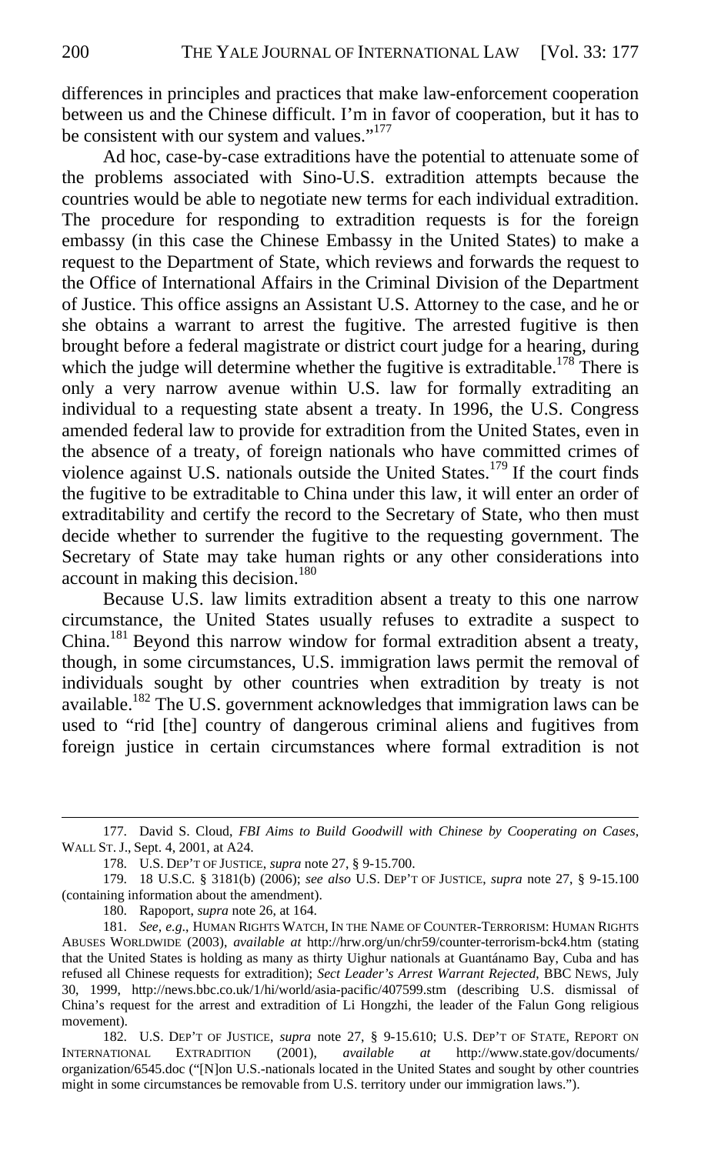differences in principles and practices that make law-enforcement cooperation between us and the Chinese difficult. I'm in favor of cooperation, but it has to be consistent with our system and values."<sup>177</sup>

Ad hoc, case-by-case extraditions have the potential to attenuate some of the problems associated with Sino-U.S. extradition attempts because the countries would be able to negotiate new terms for each individual extradition. The procedure for responding to extradition requests is for the foreign embassy (in this case the Chinese Embassy in the United States) to make a request to the Department of State, which reviews and forwards the request to the Office of International Affairs in the Criminal Division of the Department of Justice. This office assigns an Assistant U.S. Attorney to the case, and he or she obtains a warrant to arrest the fugitive. The arrested fugitive is then brought before a federal magistrate or district court judge for a hearing, during which the judge will determine whether the fugitive is extraditable.<sup>178</sup> There is only a very narrow avenue within U.S. law for formally extraditing an individual to a requesting state absent a treaty. In 1996, the U.S. Congress amended federal law to provide for extradition from the United States, even in the absence of a treaty, of foreign nationals who have committed crimes of violence against U.S. nationals outside the United States.<sup>179</sup> If the court finds the fugitive to be extraditable to China under this law, it will enter an order of extraditability and certify the record to the Secretary of State, who then must decide whether to surrender the fugitive to the requesting government. The Secretary of State may take human rights or any other considerations into account in making this decision.<sup>180</sup>

Because U.S. law limits extradition absent a treaty to this one narrow circumstance, the United States usually refuses to extradite a suspect to China.<sup>181</sup> Beyond this narrow window for formal extradition absent a treaty, though, in some circumstances, U.S. immigration laws permit the removal of individuals sought by other countries when extradition by treaty is not available.<sup>182</sup> The U.S. government acknowledges that immigration laws can be used to "rid [the] country of dangerous criminal aliens and fugitives from foreign justice in certain circumstances where formal extradition is not

180. Rapoport, *supra* note 26, at 164.

<sup>177.</sup> David S. Cloud, *FBI Aims to Build Goodwill with Chinese by Cooperating on Cases*, WALL ST. J., Sept. 4, 2001, at A24.

<sup>178.</sup> U.S. DEP'T OF JUSTICE, *supra* note 27, § 9-15.700.

<sup>179. 18</sup> U.S.C. § 3181(b) (2006); *see also* U.S. DEP'T OF JUSTICE, *supra* note 27, § 9-15.100 (containing information about the amendment).

<sup>181.</sup> *See, e.g*., HUMAN RIGHTS WATCH, IN THE NAME OF COUNTER-TERRORISM: HUMAN RIGHTS ABUSES WORLDWIDE (2003), *available at* http://hrw.org/un/chr59/counter-terrorism-bck4.htm (stating that the United States is holding as many as thirty Uighur nationals at Guantánamo Bay, Cuba and has refused all Chinese requests for extradition); *Sect Leader's Arrest Warrant Rejected*, BBC NEWS, July 30, 1999, http://news.bbc.co.uk/1/hi/world/asia-pacific/407599.stm (describing U.S. dismissal of China's request for the arrest and extradition of Li Hongzhi, the leader of the Falun Gong religious movement).

<sup>182.</sup> U.S. DEP'T OF JUSTICE, *supra* note 27, § 9-15.610; U.S. DEP'T OF STATE, REPORT ON INTERNATIONAL EXTRADITION (2001), *available at* http://www.state.gov/documents/ organization/6545.doc ("[N]on U.S.-nationals located in the United States and sought by other countries might in some circumstances be removable from U.S. territory under our immigration laws.").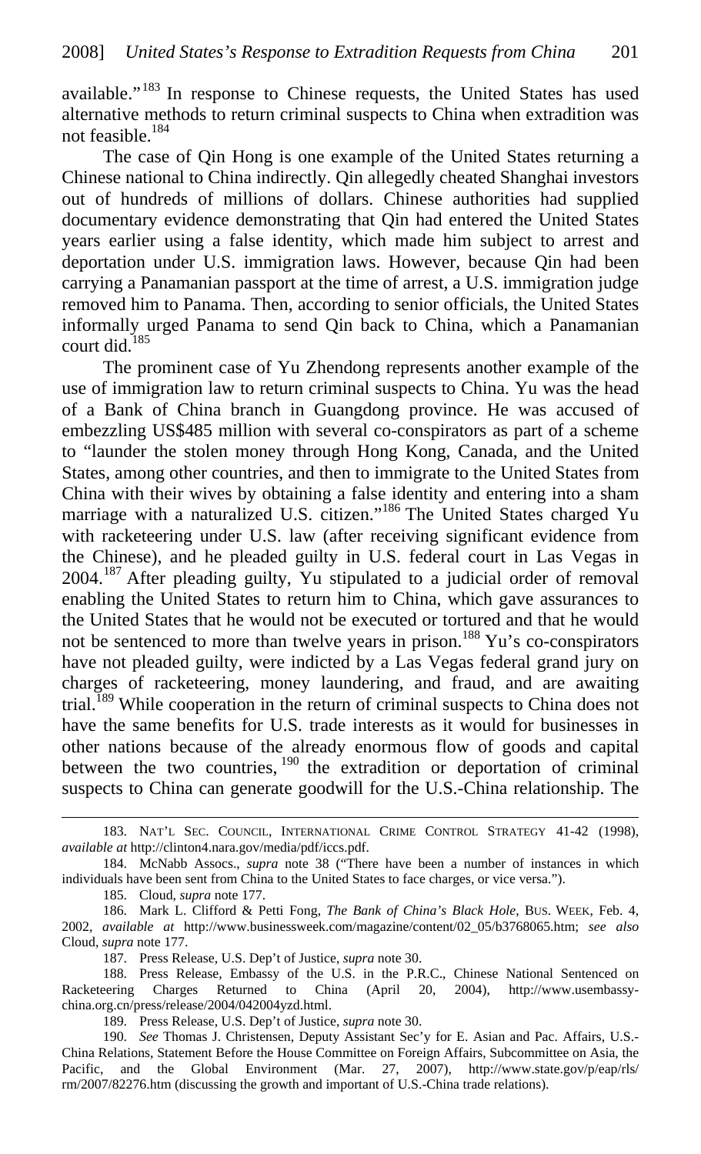available."<sup>183</sup> In response to Chinese requests, the United States has used alternative methods to return criminal suspects to China when extradition was not feasible.<sup>184</sup>

The case of Qin Hong is one example of the United States returning a Chinese national to China indirectly. Qin allegedly cheated Shanghai investors out of hundreds of millions of dollars. Chinese authorities had supplied documentary evidence demonstrating that Qin had entered the United States years earlier using a false identity, which made him subject to arrest and deportation under U.S. immigration laws. However, because Qin had been carrying a Panamanian passport at the time of arrest, a U.S. immigration judge removed him to Panama. Then, according to senior officials, the United States informally urged Panama to send Qin back to China, which a Panamanian court did.<sup>185</sup>

The prominent case of Yu Zhendong represents another example of the use of immigration law to return criminal suspects to China. Yu was the head of a Bank of China branch in Guangdong province. He was accused of embezzling US\$485 million with several co-conspirators as part of a scheme to "launder the stolen money through Hong Kong, Canada, and the United States, among other countries, and then to immigrate to the United States from China with their wives by obtaining a false identity and entering into a sham marriage with a naturalized U.S. citizen."<sup>186</sup> The United States charged Yu with racketeering under U.S. law (after receiving significant evidence from the Chinese), and he pleaded guilty in U.S. federal court in Las Vegas in 2004.187 After pleading guilty, Yu stipulated to a judicial order of removal enabling the United States to return him to China, which gave assurances to the United States that he would not be executed or tortured and that he would not be sentenced to more than twelve years in prison.<sup>188</sup> Yu's co-conspirators have not pleaded guilty, were indicted by a Las Vegas federal grand jury on charges of racketeering, money laundering, and fraud, and are awaiting trial.<sup>189</sup> While cooperation in the return of criminal suspects to China does not have the same benefits for U.S. trade interests as it would for businesses in other nations because of the already enormous flow of goods and capital between the two countries,  $190$  the extradition or deportation of criminal suspects to China can generate goodwill for the U.S.-China relationship. The

<sup>183.</sup> NAT'L SEC. COUNCIL, INTERNATIONAL CRIME CONTROL STRATEGY 41-42 (1998), *available at* http://clinton4.nara.gov/media/pdf/iccs.pdf.

<sup>184.</sup> McNabb Assocs., *supra* note 38 ("There have been a number of instances in which individuals have been sent from China to the United States to face charges, or vice versa.").

<sup>185.</sup> Cloud, *supra* note 177.

<sup>186.</sup> Mark L. Clifford & Petti Fong, *The Bank of China's Black Hole*, BUS. WEEK, Feb. 4, 2002, *available at* http://www.businessweek.com/magazine/content/02\_05/b3768065.htm; *see also* Cloud, *supra* note 177.

<sup>187.</sup> Press Release, U.S. Dep't of Justice, *supra* note 30.

<sup>188.</sup> Press Release, Embassy of the U.S. in the P.R.C., Chinese National Sentenced on Racketeering Charges Returned to China (April 20, 2004), http://www.usembassychina.org.cn/press/release/2004/042004yzd.html.

<sup>189.</sup> Press Release, U.S. Dep't of Justice, *supra* note 30.

<sup>190.</sup> *See* Thomas J. Christensen, Deputy Assistant Sec'y for E. Asian and Pac. Affairs, U.S.- China Relations, Statement Before the House Committee on Foreign Affairs, Subcommittee on Asia, the Pacific, and the Global Environment (Mar. 27, 2007), http://www.state.gov/p/eap/rls/ rm/2007/82276.htm (discussing the growth and important of U.S.-China trade relations).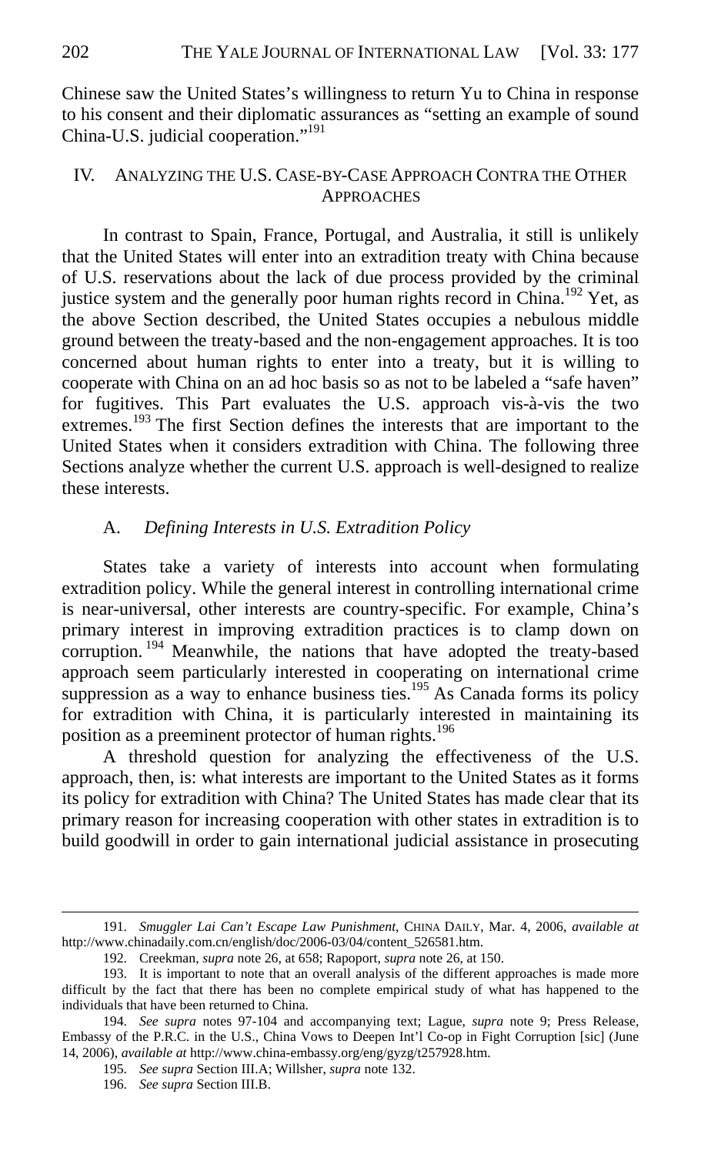Chinese saw the United States's willingness to return Yu to China in response to his consent and their diplomatic assurances as "setting an example of sound China-U.S. judicial cooperation."191

#### IV. ANALYZING THE U.S. CASE-BY-CASE APPROACH CONTRA THE OTHER **APPROACHES**

In contrast to Spain, France, Portugal, and Australia, it still is unlikely that the United States will enter into an extradition treaty with China because of U.S. reservations about the lack of due process provided by the criminal justice system and the generally poor human rights record in China.<sup>192</sup> Yet, as the above Section described, the United States occupies a nebulous middle ground between the treaty-based and the non-engagement approaches. It is too concerned about human rights to enter into a treaty, but it is willing to cooperate with China on an ad hoc basis so as not to be labeled a "safe haven" for fugitives. This Part evaluates the U.S. approach vis-à-vis the two extremes.<sup>193</sup> The first Section defines the interests that are important to the United States when it considers extradition with China. The following three Sections analyze whether the current U.S. approach is well-designed to realize these interests.

## A. *Defining Interests in U.S. Extradition Policy*

States take a variety of interests into account when formulating extradition policy. While the general interest in controlling international crime is near-universal, other interests are country-specific. For example, China's primary interest in improving extradition practices is to clamp down on corruption.<sup>194</sup> Meanwhile, the nations that have adopted the treaty-based approach seem particularly interested in cooperating on international crime suppression as a way to enhance business ties.<sup>195</sup> As Canada forms its policy for extradition with China, it is particularly interested in maintaining its position as a preeminent protector of human rights.<sup>196</sup>

A threshold question for analyzing the effectiveness of the U.S. approach, then, is: what interests are important to the United States as it forms its policy for extradition with China? The United States has made clear that its primary reason for increasing cooperation with other states in extradition is to build goodwill in order to gain international judicial assistance in prosecuting

195. *See supra* Section III.A; Willsher, *supra* note 132.

<sup>191.</sup> *Smuggler Lai Can't Escape Law Punishment*, CHINA DAILY, Mar. 4, 2006, *available at* http://www.chinadaily.com.cn/english/doc/2006-03/04/content\_526581.htm.

<sup>192.</sup> Creekman, *supra* note 26, at 658; Rapoport, *supra* note 26, at 150.

<sup>193.</sup> It is important to note that an overall analysis of the different approaches is made more difficult by the fact that there has been no complete empirical study of what has happened to the individuals that have been returned to China.

<sup>194.</sup> *See supra* notes 97-104 and accompanying text; Lague, *supra* note 9; Press Release, Embassy of the P.R.C. in the U.S., China Vows to Deepen Int'l Co-op in Fight Corruption [sic] (June 14, 2006), *available at* http://www.china-embassy.org/eng/gyzg/t257928.htm.

<sup>196.</sup> *See supra* Section III.B.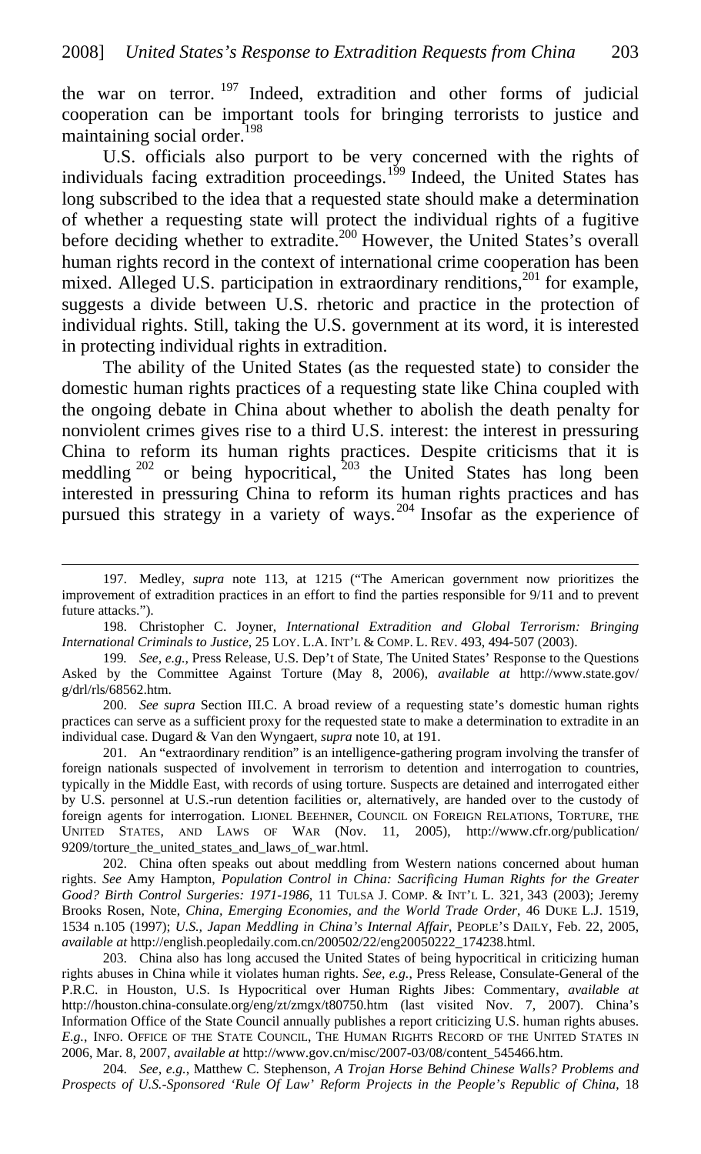the war on terror.<sup>197</sup> Indeed, extradition and other forms of judicial cooperation can be important tools for bringing terrorists to justice and maintaining social order.<sup>198</sup>

U.S. officials also purport to be very concerned with the rights of individuals facing extradition proceedings.<sup>199</sup> Indeed, the United States has long subscribed to the idea that a requested state should make a determination of whether a requesting state will protect the individual rights of a fugitive before deciding whether to extradite.<sup>200</sup> However, the United States's overall human rights record in the context of international crime cooperation has been mixed. Alleged U.S. participation in extraordinary renditions,<sup>201</sup> for example, suggests a divide between U.S. rhetoric and practice in the protection of individual rights. Still, taking the U.S. government at its word, it is interested in protecting individual rights in extradition.

The ability of the United States (as the requested state) to consider the domestic human rights practices of a requesting state like China coupled with the ongoing debate in China about whether to abolish the death penalty for nonviolent crimes gives rise to a third U.S. interest: the interest in pressuring China to reform its human rights practices. Despite criticisms that it is meddling  $202$  or being hypocritical,  $203$  the United States has long been interested in pressuring China to reform its human rights practices and has pursued this strategy in a variety of ways.<sup>204</sup> Insofar as the experience of

 $\overline{a}$ 

200. *See supra* Section III.C. A broad review of a requesting state's domestic human rights practices can serve as a sufficient proxy for the requested state to make a determination to extradite in an individual case. Dugard & Van den Wyngaert, *supra* note 10, at 191.

201. An "extraordinary rendition" is an intelligence-gathering program involving the transfer of foreign nationals suspected of involvement in terrorism to detention and interrogation to countries, typically in the Middle East, with records of using torture. Suspects are detained and interrogated either by U.S. personnel at U.S.-run detention facilities or, alternatively, are handed over to the custody of foreign agents for interrogation. LIONEL BEEHNER, COUNCIL ON FOREIGN RELATIONS, TORTURE, THE UNITED STATES, AND LAWS OF WAR (Nov. 11, 2005), http://www.cfr.org/publication/ 9209/torture\_the\_united\_states\_and\_laws\_of\_war.html.

202. China often speaks out about meddling from Western nations concerned about human rights. *See* Amy Hampton, *Population Control in China: Sacrificing Human Rights for the Greater Good? Birth Control Surgeries: 1971-1986*, 11 TULSA J. COMP. & INT'L L. 321, 343 (2003); Jeremy Brooks Rosen, Note, *China, Emerging Economies, and the World Trade Order*, 46 DUKE L.J. 1519, 1534 n.105 (1997); *U.S., Japan Meddling in China's Internal Affair*, PEOPLE'S DAILY, Feb. 22, 2005, *available at* http://english.peopledaily.com.cn/200502/22/eng20050222\_174238.html.

203. China also has long accused the United States of being hypocritical in criticizing human rights abuses in China while it violates human rights. *See, e.g.*, Press Release, Consulate-General of the P.R.C. in Houston, U.S. Is Hypocritical over Human Rights Jibes: Commentary, *available at*  http://houston.china-consulate.org/eng/zt/zmgx/t80750.htm (last visited Nov. 7, 2007). China's Information Office of the State Council annually publishes a report criticizing U.S. human rights abuses. *E.g.*, INFO. OFFICE OF THE STATE COUNCIL, THE HUMAN RIGHTS RECORD OF THE UNITED STATES IN 2006, Mar. 8, 2007, *available at* http://www.gov.cn/misc/2007-03/08/content\_545466.htm.

204. *See, e.g.*, Matthew C. Stephenson, *A Trojan Horse Behind Chinese Walls? Problems and Prospects of U.S.-Sponsored 'Rule Of Law' Reform Projects in the People's Republic of China*, 18

<sup>197.</sup> Medley, *supra* note 113, at 1215 ("The American government now prioritizes the improvement of extradition practices in an effort to find the parties responsible for 9/11 and to prevent future attacks.").

<sup>198.</sup> Christopher C. Joyner, *International Extradition and Global Terrorism: Bringing International Criminals to Justice*, 25 LOY. L.A. INT'L & COMP. L. REV. 493, 494-507 (2003).

<sup>199</sup>*. See, e.g.*, Press Release, U.S. Dep't of State, The United States' Response to the Questions Asked by the Committee Against Torture (May 8, 2006), *available at* http://www.state.gov/ g/drl/rls/68562.htm.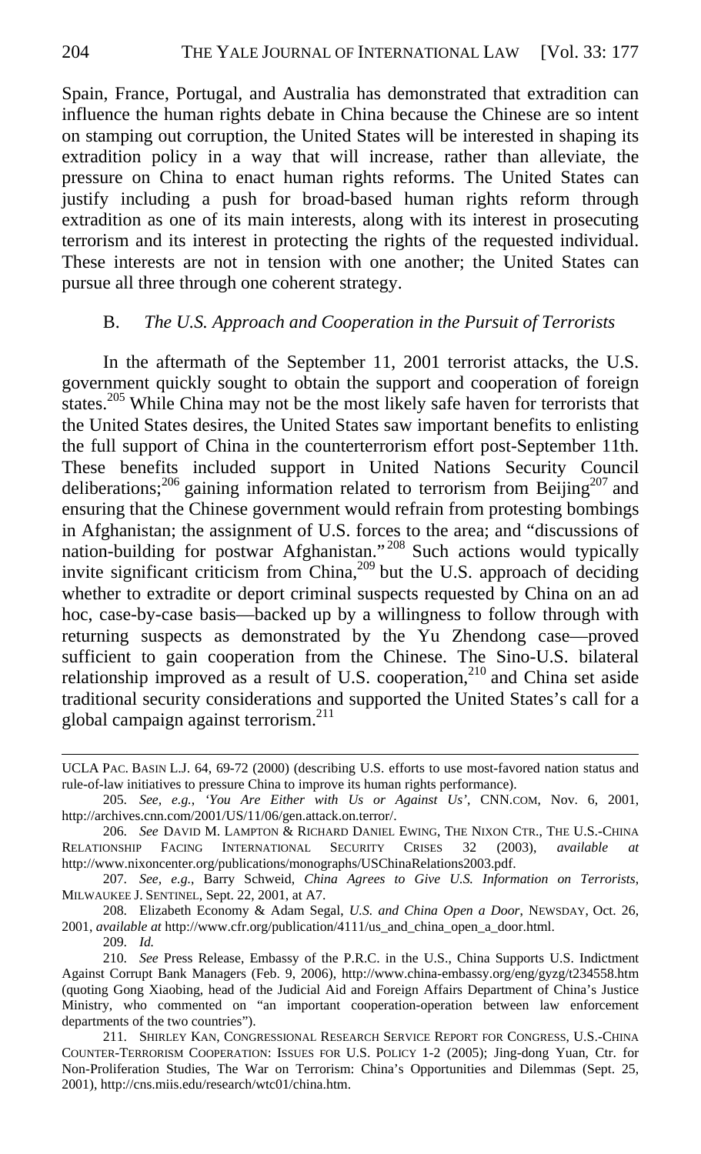Spain, France, Portugal, and Australia has demonstrated that extradition can influence the human rights debate in China because the Chinese are so intent on stamping out corruption, the United States will be interested in shaping its extradition policy in a way that will increase, rather than alleviate, the pressure on China to enact human rights reforms. The United States can justify including a push for broad-based human rights reform through extradition as one of its main interests, along with its interest in prosecuting terrorism and its interest in protecting the rights of the requested individual. These interests are not in tension with one another; the United States can pursue all three through one coherent strategy.

#### B. *The U.S. Approach and Cooperation in the Pursuit of Terrorists*

In the aftermath of the September 11, 2001 terrorist attacks, the U.S. government quickly sought to obtain the support and cooperation of foreign states.<sup>205</sup> While China may not be the most likely safe haven for terrorists that the United States desires, the United States saw important benefits to enlisting the full support of China in the counterterrorism effort post-September 11th. These benefits included support in United Nations Security Council deliberations;<sup>206</sup> gaining information related to terrorism from Beijing<sup>207</sup> and ensuring that the Chinese government would refrain from protesting bombings in Afghanistan; the assignment of U.S. forces to the area; and "discussions of nation-building for postwar Afghanistan."<sup>208</sup> Such actions would typically invite significant criticism from China,<sup>209</sup> but the U.S. approach of deciding whether to extradite or deport criminal suspects requested by China on an ad hoc, case-by-case basis—backed up by a willingness to follow through with returning suspects as demonstrated by the Yu Zhendong case—proved sufficient to gain cooperation from the Chinese. The Sino-U.S. bilateral relationship improved as a result of U.S. cooperation,<sup>210</sup> and China set aside traditional security considerations and supported the United States's call for a global campaign against terrorism. $^{211}$ 

208. Elizabeth Economy & Adam Segal, *U.S. and China Open a Door*, NEWSDAY, Oct. 26, 2001, *available at* http://www.cfr.org/publication/4111/us\_and\_china\_open\_a\_door.html.

209. *Id.* 

UCLA PAC. BASIN L.J. 64, 69-72 (2000) (describing U.S. efforts to use most-favored nation status and rule-of-law initiatives to pressure China to improve its human rights performance).

<sup>205.</sup> *See, e.g.*, *'You Are Either with Us or Against Us'*, CNN.COM, Nov. 6, 2001, http://archives.cnn.com/2001/US/11/06/gen.attack.on.terror/.

<sup>206.</sup> *See* DAVID M. LAMPTON & RICHARD DANIEL EWING, THE NIXON CTR., THE U.S.-CHINA RELATIONSHIP FACING INTERNATIONAL SECURITY CRISES 32 (2003), *available* http://www.nixoncenter.org/publications/monographs/USChinaRelations2003.pdf.

<sup>207.</sup> *See, e.g.*, Barry Schweid, *China Agrees to Give U.S. Information on Terrorists*, MILWAUKEE J. SENTINEL, Sept. 22, 2001, at A7.

<sup>210.</sup> *See* Press Release, Embassy of the P.R.C. in the U.S., China Supports U.S. Indictment Against Corrupt Bank Managers (Feb. 9, 2006), http://www.china-embassy.org/eng/gyzg/t234558.htm (quoting Gong Xiaobing, head of the Judicial Aid and Foreign Affairs Department of China's Justice Ministry, who commented on "an important cooperation-operation between law enforcement departments of the two countries").

<sup>211.</sup> SHIRLEY KAN, CONGRESSIONAL RESEARCH SERVICE REPORT FOR CONGRESS, U.S.-CHINA COUNTER-TERRORISM COOPERATION: ISSUES FOR U.S. POLICY 1-2 (2005); Jing-dong Yuan, Ctr. for Non-Proliferation Studies, The War on Terrorism: China's Opportunities and Dilemmas (Sept. 25, 2001), http://cns.miis.edu/research/wtc01/china.htm.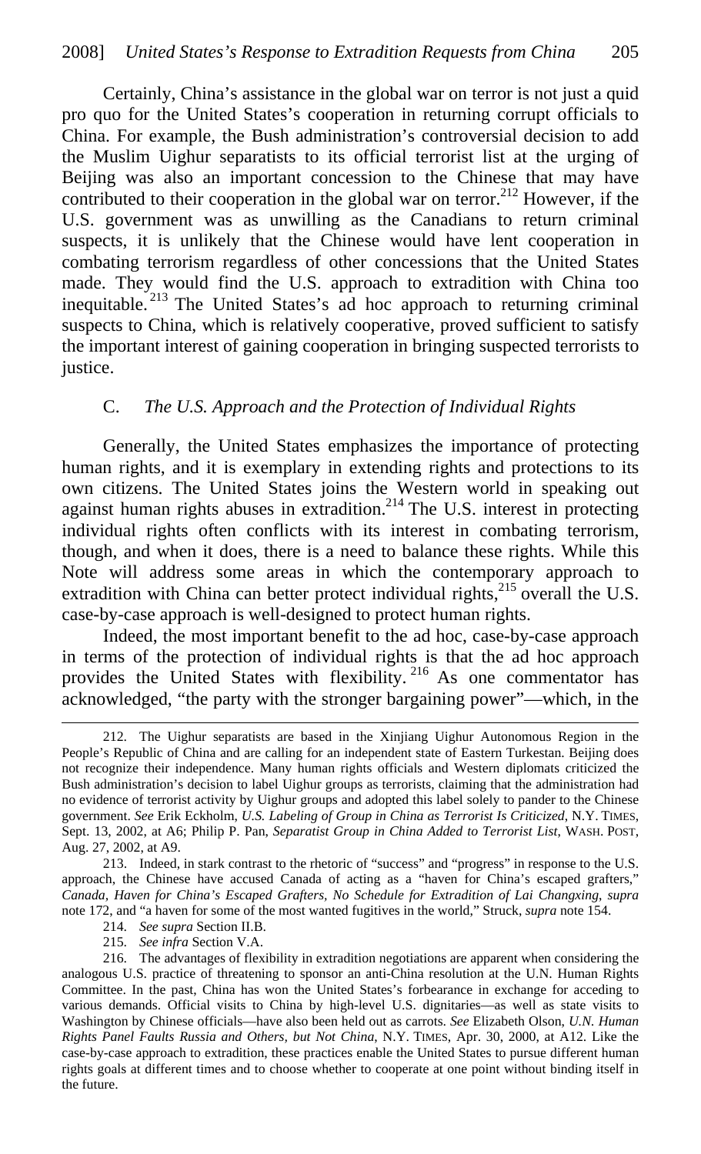Certainly, China's assistance in the global war on terror is not just a quid pro quo for the United States's cooperation in returning corrupt officials to China. For example, the Bush administration's controversial decision to add the Muslim Uighur separatists to its official terrorist list at the urging of Beijing was also an important concession to the Chinese that may have contributed to their cooperation in the global war on terror.<sup>212</sup> However, if the U.S. government was as unwilling as the Canadians to return criminal suspects, it is unlikely that the Chinese would have lent cooperation in combating terrorism regardless of other concessions that the United States made. They would find the U.S. approach to extradition with China too inequitable. 213 The United States's ad hoc approach to returning criminal suspects to China, which is relatively cooperative, proved sufficient to satisfy the important interest of gaining cooperation in bringing suspected terrorists to justice.

#### C. *The U.S. Approach and the Protection of Individual Rights*

Generally, the United States emphasizes the importance of protecting human rights, and it is exemplary in extending rights and protections to its own citizens. The United States joins the Western world in speaking out against human rights abuses in extradition.<sup>214</sup> The U.S. interest in protecting individual rights often conflicts with its interest in combating terrorism, though, and when it does, there is a need to balance these rights. While this Note will address some areas in which the contemporary approach to extradition with China can better protect individual rights,  $215$  overall the U.S. case-by-case approach is well-designed to protect human rights.

Indeed, the most important benefit to the ad hoc, case-by-case approach in terms of the protection of individual rights is that the ad hoc approach provides the United States with flexibility.<sup>216</sup> As one commentator has acknowledged, "the party with the stronger bargaining power"—which, in the

214. *See supra* Section II.B.

 $\overline{a}$ 

215. *See infra* Section V.A.

<sup>212.</sup> The Uighur separatists are based in the Xinjiang Uighur Autonomous Region in the People's Republic of China and are calling for an independent state of Eastern Turkestan. Beijing does not recognize their independence. Many human rights officials and Western diplomats criticized the Bush administration's decision to label Uighur groups as terrorists, claiming that the administration had no evidence of terrorist activity by Uighur groups and adopted this label solely to pander to the Chinese government. *See* Erik Eckholm, *U.S. Labeling of Group in China as Terrorist Is Criticized*, N.Y. TIMES, Sept. 13, 2002, at A6; Philip P. Pan, *Separatist Group in China Added to Terrorist List*, WASH. POST, Aug. 27, 2002, at A9.

<sup>213.</sup> Indeed, in stark contrast to the rhetoric of "success" and "progress" in response to the U.S. approach, the Chinese have accused Canada of acting as a "haven for China's escaped grafters," *Canada, Haven for China's Escaped Grafters, No Schedule for Extradition of Lai Changxing*, *supra*  note 172, and "a haven for some of the most wanted fugitives in the world," Struck, *supra* note 154.

<sup>216.</sup> The advantages of flexibility in extradition negotiations are apparent when considering the analogous U.S. practice of threatening to sponsor an anti-China resolution at the U.N. Human Rights Committee. In the past, China has won the United States's forbearance in exchange for acceding to various demands. Official visits to China by high-level U.S. dignitaries—as well as state visits to Washington by Chinese officials—have also been held out as carrots. *See* Elizabeth Olson, *U.N. Human Rights Panel Faults Russia and Others, but Not China*, N.Y. TIMES, Apr. 30, 2000, at A12. Like the case-by-case approach to extradition, these practices enable the United States to pursue different human rights goals at different times and to choose whether to cooperate at one point without binding itself in the future.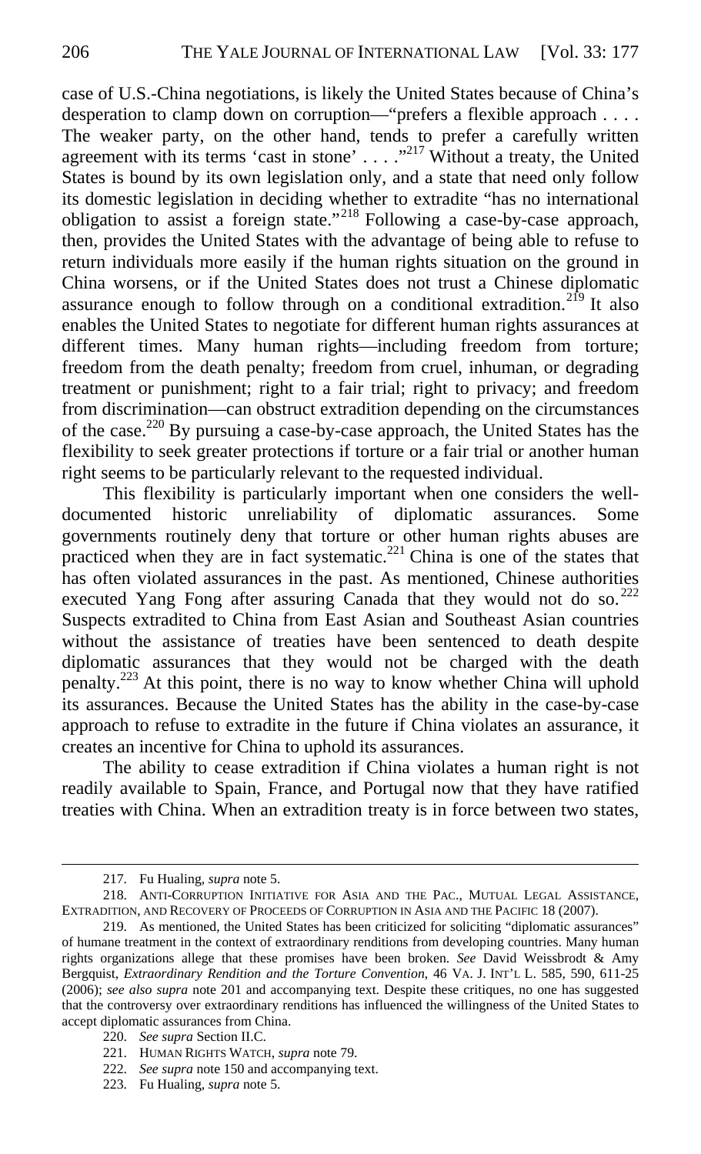case of U.S.-China negotiations, is likely the United States because of China's desperation to clamp down on corruption—"prefers a flexible approach . . . . The weaker party, on the other hand, tends to prefer a carefully written agreement with its terms 'cast in stone'  $\dots$  ...  $\overline{X}^{217}$  Without a treaty, the United States is bound by its own legislation only, and a state that need only follow its domestic legislation in deciding whether to extradite "has no international obligation to assist a foreign state."218 Following a case-by-case approach, then, provides the United States with the advantage of being able to refuse to return individuals more easily if the human rights situation on the ground in China worsens, or if the United States does not trust a Chinese diplomatic assurance enough to follow through on a conditional extradition.<sup>219</sup> It also enables the United States to negotiate for different human rights assurances at different times. Many human rights—including freedom from torture; freedom from the death penalty; freedom from cruel, inhuman, or degrading treatment or punishment; right to a fair trial; right to privacy; and freedom from discrimination—can obstruct extradition depending on the circumstances of the case.<sup>220</sup> By pursuing a case-by-case approach, the United States has the flexibility to seek greater protections if torture or a fair trial or another human right seems to be particularly relevant to the requested individual.

This flexibility is particularly important when one considers the welldocumented historic unreliability of diplomatic assurances. Some governments routinely deny that torture or other human rights abuses are practiced when they are in fact systematic. $221$  China is one of the states that has often violated assurances in the past. As mentioned, Chinese authorities executed Yang Fong after assuring Canada that they would not do so. $^{222}$ Suspects extradited to China from East Asian and Southeast Asian countries without the assistance of treaties have been sentenced to death despite diplomatic assurances that they would not be charged with the death penalty.223 At this point, there is no way to know whether China will uphold its assurances. Because the United States has the ability in the case-by-case approach to refuse to extradite in the future if China violates an assurance, it creates an incentive for China to uphold its assurances.

The ability to cease extradition if China violates a human right is not readily available to Spain, France, and Portugal now that they have ratified treaties with China. When an extradition treaty is in force between two states,

 $\overline{a}$ 

220. *See supra* Section II.C.

223. Fu Hualing, *supra* note 5.

<sup>217.</sup> Fu Hualing, *supra* note 5.

<sup>218.</sup> ANTI-CORRUPTION INITIATIVE FOR ASIA AND THE PAC., MUTUAL LEGAL ASSISTANCE, EXTRADITION, AND RECOVERY OF PROCEEDS OF CORRUPTION IN ASIA AND THE PACIFIC 18 (2007).

<sup>219.</sup> As mentioned, the United States has been criticized for soliciting "diplomatic assurances" of humane treatment in the context of extraordinary renditions from developing countries. Many human rights organizations allege that these promises have been broken. *See* David Weissbrodt & Amy Bergquist, *Extraordinary Rendition and the Torture Convention*, 46 VA. J. INT'L L. 585, 590, 611-25 (2006); *see also supra* note 201 and accompanying text. Despite these critiques, no one has suggested that the controversy over extraordinary renditions has influenced the willingness of the United States to accept diplomatic assurances from China.

<sup>221.</sup> HUMAN RIGHTS WATCH, *supra* note 79.

<sup>222.</sup> *See supra* note 150 and accompanying text.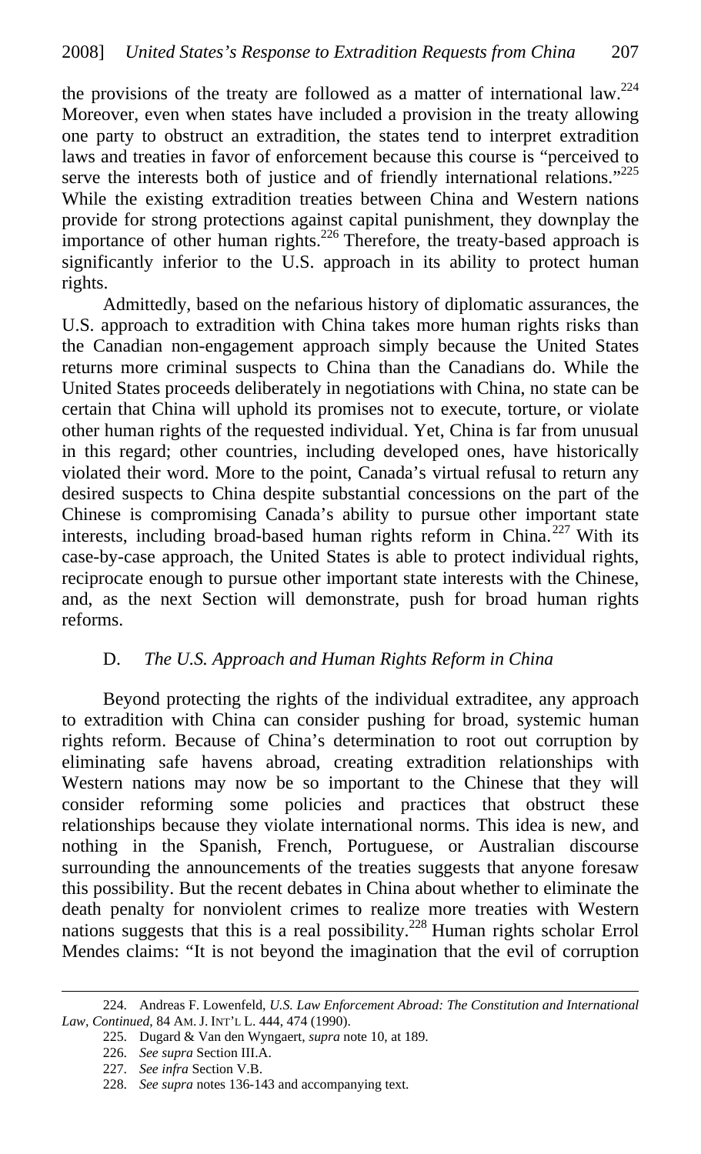the provisions of the treaty are followed as a matter of international law.<sup>224</sup> Moreover, even when states have included a provision in the treaty allowing one party to obstruct an extradition, the states tend to interpret extradition laws and treaties in favor of enforcement because this course is "perceived to serve the interests both of justice and of friendly international relations."<sup>225</sup> While the existing extradition treaties between China and Western nations provide for strong protections against capital punishment, they downplay the importance of other human rights.<sup>226</sup> Therefore, the treaty-based approach is significantly inferior to the U.S. approach in its ability to protect human rights.

Admittedly, based on the nefarious history of diplomatic assurances, the U.S. approach to extradition with China takes more human rights risks than the Canadian non-engagement approach simply because the United States returns more criminal suspects to China than the Canadians do. While the United States proceeds deliberately in negotiations with China, no state can be certain that China will uphold its promises not to execute, torture, or violate other human rights of the requested individual. Yet, China is far from unusual in this regard; other countries, including developed ones, have historically violated their word. More to the point, Canada's virtual refusal to return any desired suspects to China despite substantial concessions on the part of the Chinese is compromising Canada's ability to pursue other important state interests, including broad-based human rights reform in China.<sup>227</sup> With its case-by-case approach, the United States is able to protect individual rights, reciprocate enough to pursue other important state interests with the Chinese, and, as the next Section will demonstrate, push for broad human rights reforms.

### D. *The U.S. Approach and Human Rights Reform in China*

Beyond protecting the rights of the individual extraditee, any approach to extradition with China can consider pushing for broad, systemic human rights reform. Because of China's determination to root out corruption by eliminating safe havens abroad, creating extradition relationships with Western nations may now be so important to the Chinese that they will consider reforming some policies and practices that obstruct these relationships because they violate international norms. This idea is new, and nothing in the Spanish, French, Portuguese, or Australian discourse surrounding the announcements of the treaties suggests that anyone foresaw this possibility. But the recent debates in China about whether to eliminate the death penalty for nonviolent crimes to realize more treaties with Western nations suggests that this is a real possibility.<sup>228</sup> Human rights scholar Errol Mendes claims: "It is not beyond the imagination that the evil of corruption

 $\overline{a}$ 224. Andreas F. Lowenfeld, *U.S. Law Enforcement Abroad: The Constitution and International Law, Continued*, 84 AM. J. INT'L L. 444, 474 (1990).

<sup>225.</sup> Dugard & Van den Wyngaert, *supra* note 10, at 189.

<sup>226.</sup> *See supra* Section III.A.

<sup>227.</sup> *See infra* Section V.B.

<sup>228.</sup> *See supra* notes 136-143 and accompanying text.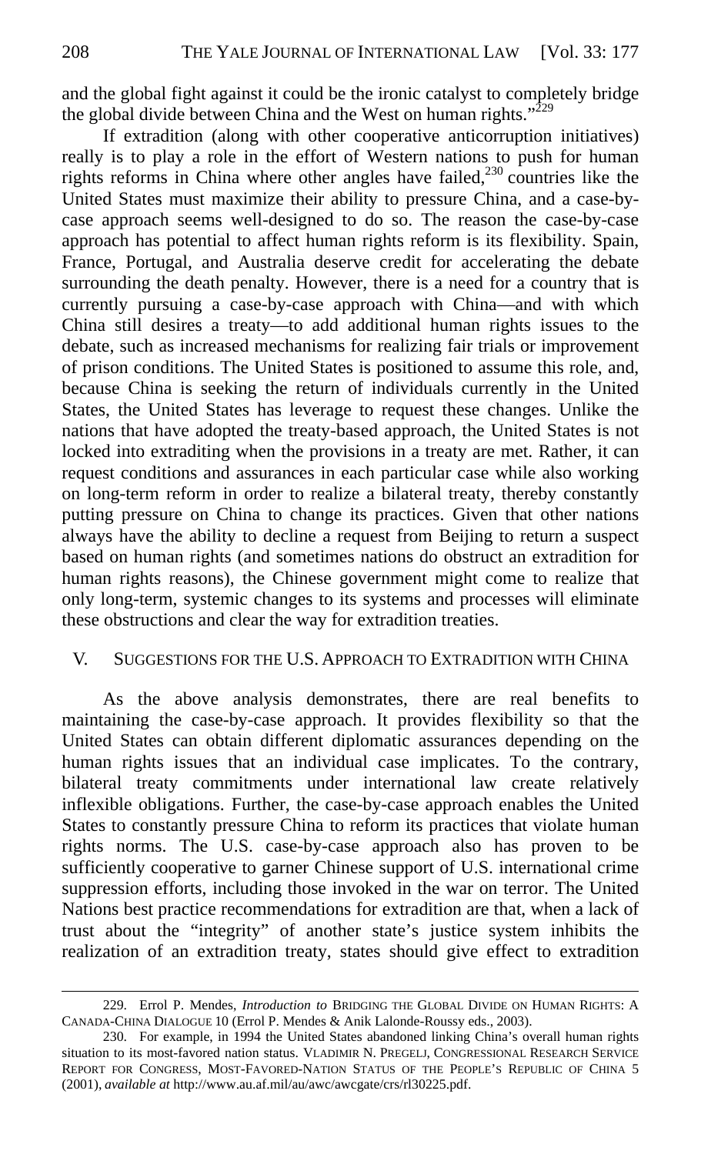and the global fight against it could be the ironic catalyst to completely bridge the global divide between China and the West on human rights." $229$ 

If extradition (along with other cooperative anticorruption initiatives) really is to play a role in the effort of Western nations to push for human rights reforms in China where other angles have failed,  $230$  countries like the United States must maximize their ability to pressure China, and a case-bycase approach seems well-designed to do so. The reason the case-by-case approach has potential to affect human rights reform is its flexibility. Spain, France, Portugal, and Australia deserve credit for accelerating the debate surrounding the death penalty. However, there is a need for a country that is currently pursuing a case-by-case approach with China—and with which China still desires a treaty—to add additional human rights issues to the debate, such as increased mechanisms for realizing fair trials or improvement of prison conditions. The United States is positioned to assume this role, and, because China is seeking the return of individuals currently in the United States, the United States has leverage to request these changes. Unlike the nations that have adopted the treaty-based approach, the United States is not locked into extraditing when the provisions in a treaty are met. Rather, it can request conditions and assurances in each particular case while also working on long-term reform in order to realize a bilateral treaty, thereby constantly putting pressure on China to change its practices. Given that other nations always have the ability to decline a request from Beijing to return a suspect based on human rights (and sometimes nations do obstruct an extradition for human rights reasons), the Chinese government might come to realize that only long-term, systemic changes to its systems and processes will eliminate these obstructions and clear the way for extradition treaties.

#### V. SUGGESTIONS FOR THE U.S. APPROACH TO EXTRADITION WITH CHINA

As the above analysis demonstrates, there are real benefits to maintaining the case-by-case approach. It provides flexibility so that the United States can obtain different diplomatic assurances depending on the human rights issues that an individual case implicates. To the contrary, bilateral treaty commitments under international law create relatively inflexible obligations. Further, the case-by-case approach enables the United States to constantly pressure China to reform its practices that violate human rights norms. The U.S. case-by-case approach also has proven to be sufficiently cooperative to garner Chinese support of U.S. international crime suppression efforts, including those invoked in the war on terror. The United Nations best practice recommendations for extradition are that, when a lack of trust about the "integrity" of another state's justice system inhibits the realization of an extradition treaty, states should give effect to extradition

<sup>229.</sup> Errol P. Mendes, *Introduction to* BRIDGING THE GLOBAL DIVIDE ON HUMAN RIGHTS: A CANADA-CHINA DIALOGUE 10 (Errol P. Mendes & Anik Lalonde-Roussy eds., 2003).

<sup>230.</sup> For example, in 1994 the United States abandoned linking China's overall human rights situation to its most-favored nation status. VLADIMIR N. PREGELJ, CONGRESSIONAL RESEARCH SERVICE REPORT FOR CONGRESS, MOST-FAVORED-NATION STATUS OF THE PEOPLE'S REPUBLIC OF CHINA 5 (2001), *available at* http://www.au.af.mil/au/awc/awcgate/crs/rl30225.pdf.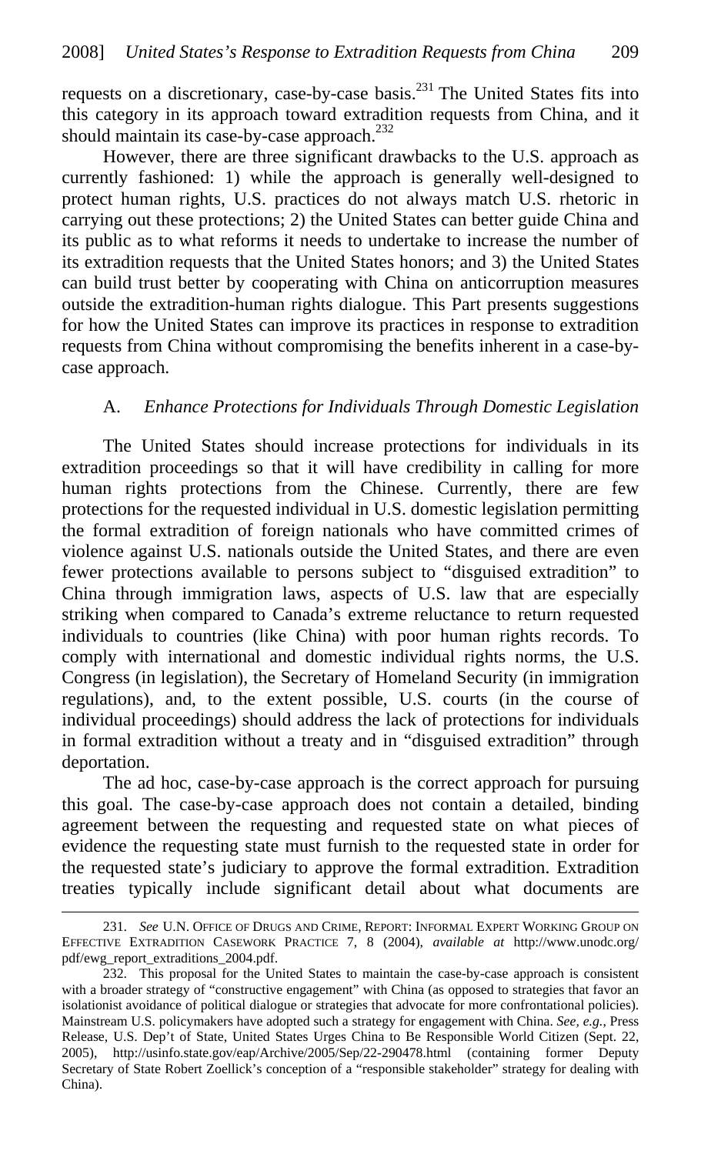requests on a discretionary, case-by-case basis. $^{231}$  The United States fits into this category in its approach toward extradition requests from China, and it should maintain its case-by-case approach. $^{232}$ 

However, there are three significant drawbacks to the U.S. approach as currently fashioned: 1) while the approach is generally well-designed to protect human rights, U.S. practices do not always match U.S. rhetoric in carrying out these protections; 2) the United States can better guide China and its public as to what reforms it needs to undertake to increase the number of its extradition requests that the United States honors; and 3) the United States can build trust better by cooperating with China on anticorruption measures outside the extradition-human rights dialogue. This Part presents suggestions for how the United States can improve its practices in response to extradition requests from China without compromising the benefits inherent in a case-bycase approach.

#### A. *Enhance Protections for Individuals Through Domestic Legislation*

The United States should increase protections for individuals in its extradition proceedings so that it will have credibility in calling for more human rights protections from the Chinese. Currently, there are few protections for the requested individual in U.S. domestic legislation permitting the formal extradition of foreign nationals who have committed crimes of violence against U.S. nationals outside the United States, and there are even fewer protections available to persons subject to "disguised extradition" to China through immigration laws, aspects of U.S. law that are especially striking when compared to Canada's extreme reluctance to return requested individuals to countries (like China) with poor human rights records. To comply with international and domestic individual rights norms, the U.S. Congress (in legislation), the Secretary of Homeland Security (in immigration regulations), and, to the extent possible, U.S. courts (in the course of individual proceedings) should address the lack of protections for individuals in formal extradition without a treaty and in "disguised extradition" through deportation.

The ad hoc, case-by-case approach is the correct approach for pursuing this goal. The case-by-case approach does not contain a detailed, binding agreement between the requesting and requested state on what pieces of evidence the requesting state must furnish to the requested state in order for the requested state's judiciary to approve the formal extradition. Extradition treaties typically include significant detail about what documents are

<sup>231.</sup> *See* U.N. OFFICE OF DRUGS AND CRIME, REPORT: INFORMAL EXPERT WORKING GROUP ON EFFECTIVE EXTRADITION CASEWORK PRACTICE 7, 8 (2004), *available at* http://www.unodc.org/ pdf/ewg\_report\_extraditions\_2004.pdf.

<sup>232.</sup> This proposal for the United States to maintain the case-by-case approach is consistent with a broader strategy of "constructive engagement" with China (as opposed to strategies that favor an isolationist avoidance of political dialogue or strategies that advocate for more confrontational policies). Mainstream U.S. policymakers have adopted such a strategy for engagement with China. *See, e.g.*, Press Release, U.S. Dep't of State, United States Urges China to Be Responsible World Citizen (Sept. 22, 2005), http://usinfo.state.gov/eap/Archive/2005/Sep/22-290478.html (containing former Deputy Secretary of State Robert Zoellick's conception of a "responsible stakeholder" strategy for dealing with China).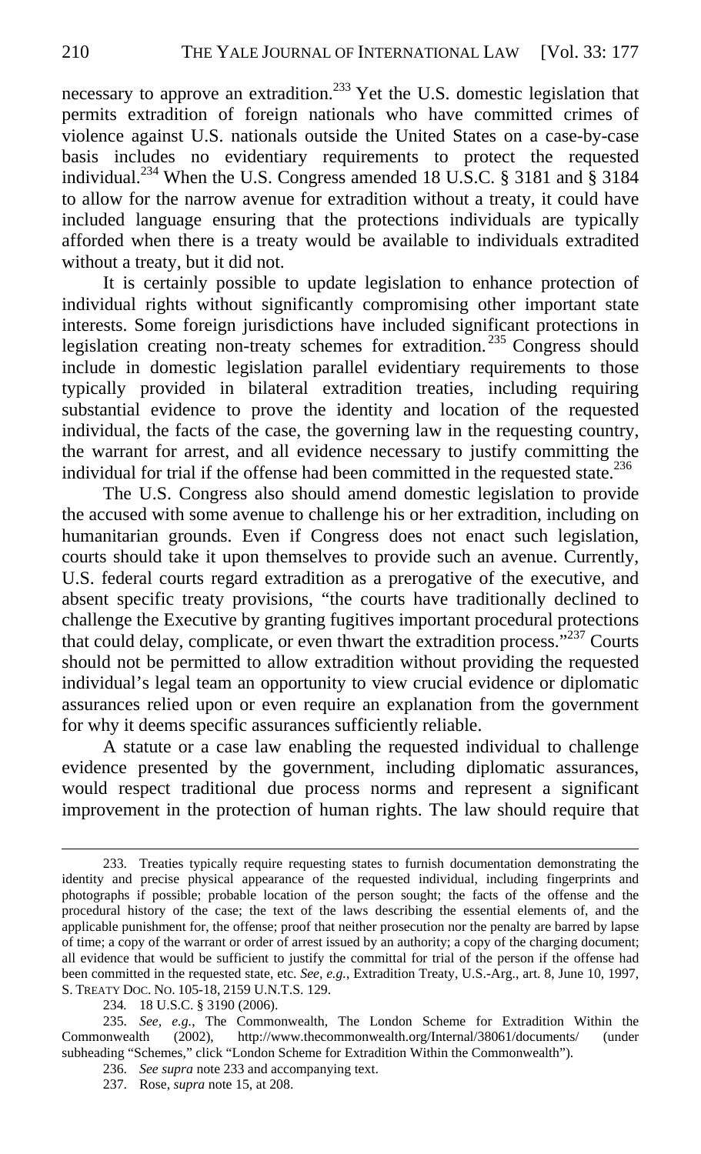necessary to approve an extradition.<sup>233</sup> Yet the U.S. domestic legislation that permits extradition of foreign nationals who have committed crimes of violence against U.S. nationals outside the United States on a case-by-case basis includes no evidentiary requirements to protect the requested individual.<sup>234</sup> When the U.S. Congress amended 18 U.S.C. § 3181 and § 3184 to allow for the narrow avenue for extradition without a treaty, it could have included language ensuring that the protections individuals are typically afforded when there is a treaty would be available to individuals extradited without a treaty, but it did not.

It is certainly possible to update legislation to enhance protection of individual rights without significantly compromising other important state interests. Some foreign jurisdictions have included significant protections in legislation creating non-treaty schemes for extradition.<sup>235</sup> Congress should include in domestic legislation parallel evidentiary requirements to those typically provided in bilateral extradition treaties, including requiring substantial evidence to prove the identity and location of the requested individual, the facts of the case, the governing law in the requesting country, the warrant for arrest, and all evidence necessary to justify committing the individual for trial if the offense had been committed in the requested state.<sup>236</sup>

The U.S. Congress also should amend domestic legislation to provide the accused with some avenue to challenge his or her extradition, including on humanitarian grounds. Even if Congress does not enact such legislation, courts should take it upon themselves to provide such an avenue. Currently, U.S. federal courts regard extradition as a prerogative of the executive, and absent specific treaty provisions, "the courts have traditionally declined to challenge the Executive by granting fugitives important procedural protections that could delay, complicate, or even thwart the extradition process. $1237$  Courts should not be permitted to allow extradition without providing the requested individual's legal team an opportunity to view crucial evidence or diplomatic assurances relied upon or even require an explanation from the government for why it deems specific assurances sufficiently reliable.

A statute or a case law enabling the requested individual to challenge evidence presented by the government, including diplomatic assurances, would respect traditional due process norms and represent a significant improvement in the protection of human rights. The law should require that

<sup>233.</sup> Treaties typically require requesting states to furnish documentation demonstrating the identity and precise physical appearance of the requested individual, including fingerprints and photographs if possible; probable location of the person sought; the facts of the offense and the procedural history of the case; the text of the laws describing the essential elements of, and the applicable punishment for, the offense; proof that neither prosecution nor the penalty are barred by lapse of time; a copy of the warrant or order of arrest issued by an authority; a copy of the charging document; all evidence that would be sufficient to justify the committal for trial of the person if the offense had been committed in the requested state, etc. *See, e.g.*, Extradition Treaty, U.S.-Arg., art. 8, June 10, 1997, S. TREATY DOC. NO. 105-18, 2159 U.N.T.S. 129.

<sup>234</sup>*.* 18 U.S.C. § 3190 (2006).

<sup>235.</sup> *See, e.g.*, The Commonwealth, The London Scheme for Extradition Within the Commonwealth (2002), http://www.thecommonwealth.org/Internal/38061/documents/ (under subheading "Schemes," click "London Scheme for Extradition Within the Commonwealth").

<sup>236.</sup> *See supra* note 233 and accompanying text.

<sup>237.</sup> Rose, *supra* note 15, at 208.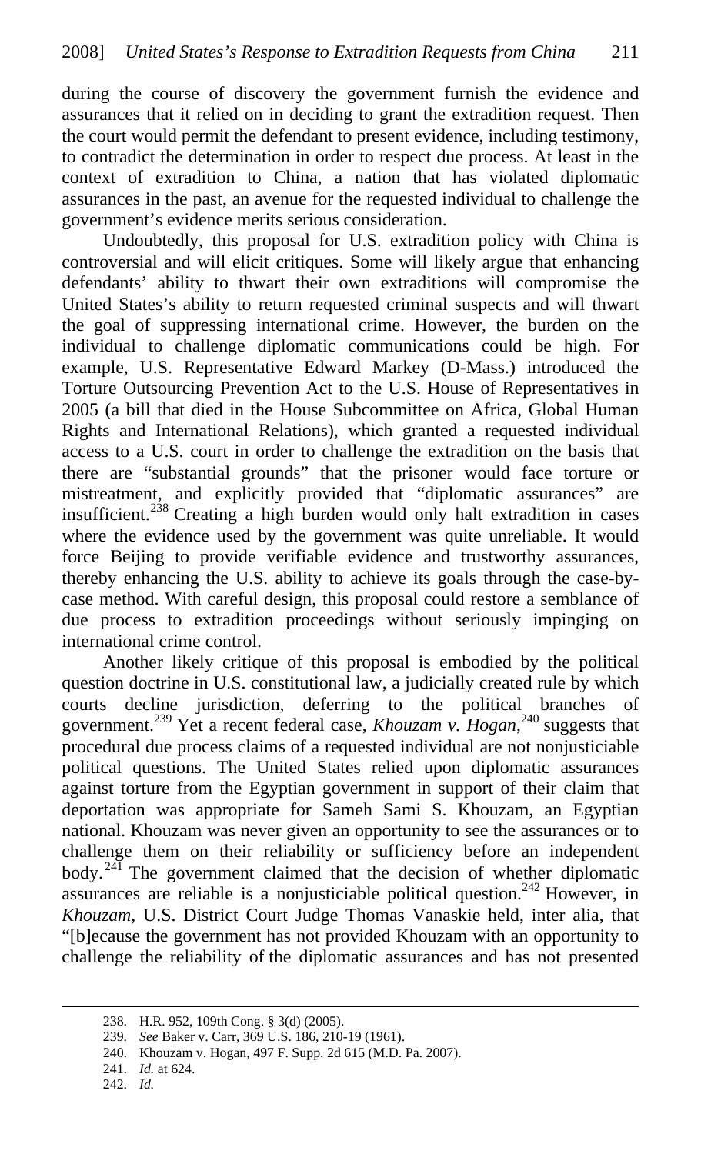during the course of discovery the government furnish the evidence and assurances that it relied on in deciding to grant the extradition request. Then the court would permit the defendant to present evidence, including testimony, to contradict the determination in order to respect due process. At least in the context of extradition to China, a nation that has violated diplomatic assurances in the past, an avenue for the requested individual to challenge the government's evidence merits serious consideration.

Undoubtedly, this proposal for U.S. extradition policy with China is controversial and will elicit critiques. Some will likely argue that enhancing defendants' ability to thwart their own extraditions will compromise the United States's ability to return requested criminal suspects and will thwart the goal of suppressing international crime. However, the burden on the individual to challenge diplomatic communications could be high. For example, U.S. Representative Edward Markey (D-Mass.) introduced the Torture Outsourcing Prevention Act to the U.S. House of Representatives in 2005 (a bill that died in the House Subcommittee on Africa, Global Human Rights and International Relations), which granted a requested individual access to a U.S. court in order to challenge the extradition on the basis that there are "substantial grounds" that the prisoner would face torture or mistreatment, and explicitly provided that "diplomatic assurances" are insufficient.<sup> $2\dot{3}8$ </sup> Creating a high burden would only halt extradition in cases where the evidence used by the government was quite unreliable. It would force Beijing to provide verifiable evidence and trustworthy assurances, thereby enhancing the U.S. ability to achieve its goals through the case-bycase method. With careful design, this proposal could restore a semblance of due process to extradition proceedings without seriously impinging on international crime control.

Another likely critique of this proposal is embodied by the political question doctrine in U.S. constitutional law, a judicially created rule by which courts decline jurisdiction, deferring to the political branches of government.239 Yet a recent federal case, *Khouzam v. Hogan*, 240 suggests that procedural due process claims of a requested individual are not nonjusticiable political questions. The United States relied upon diplomatic assurances against torture from the Egyptian government in support of their claim that deportation was appropriate for Sameh Sami S. Khouzam, an Egyptian national. Khouzam was never given an opportunity to see the assurances or to challenge them on their reliability or sufficiency before an independent body.<sup>241</sup> The government claimed that the decision of whether diplomatic assurances are reliable is a nonjusticiable political question.<sup>242</sup> However, in *Khouzam*, U.S. District Court Judge Thomas Vanaskie held, inter alia, that "[b]ecause the government has not provided Khouzam with an opportunity to challenge the reliability of the diplomatic assurances and has not presented

<sup>238.</sup> H.R. 952, 109th Cong. § 3(d) (2005).

<sup>239.</sup> *See* Baker v. Carr, 369 U.S. 186, 210-19 (1961).

<sup>240.</sup> Khouzam v. Hogan, 497 F. Supp. 2d 615 (M.D. Pa. 2007).

<sup>241.</sup> *Id.* at 624.

<sup>242.</sup> *Id.*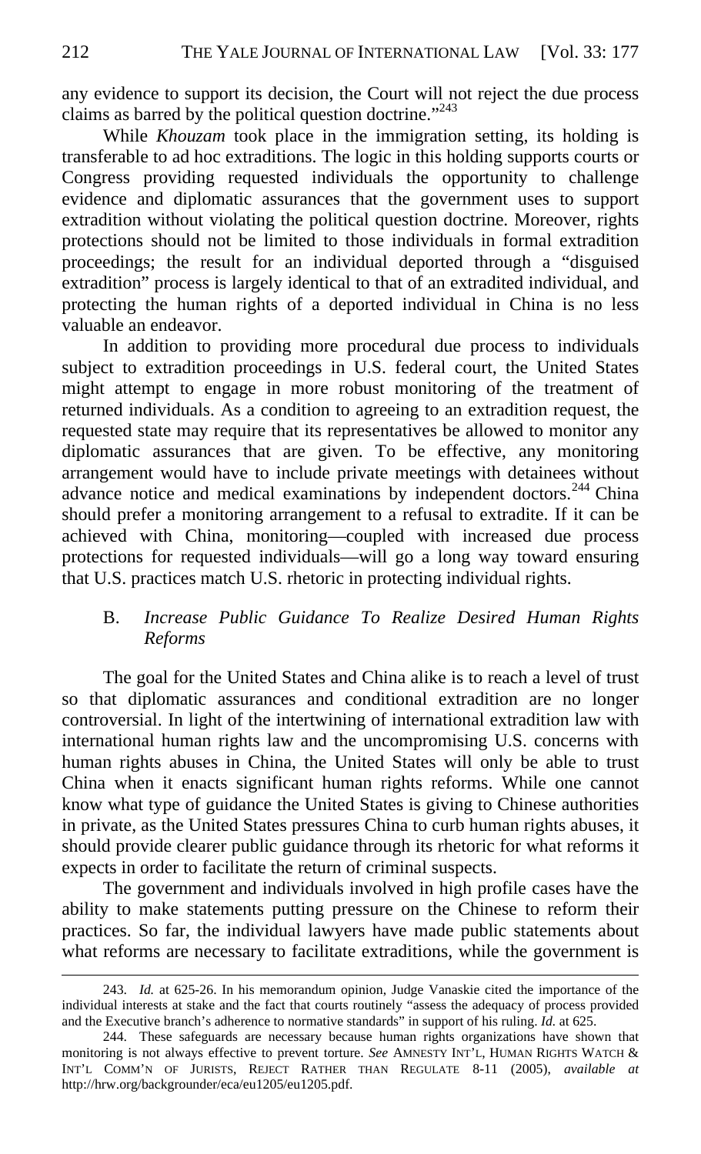any evidence to support its decision, the Court will not reject the due process claims as barred by the political question doctrine."<sup>243</sup>

While *Khouzam* took place in the immigration setting, its holding is transferable to ad hoc extraditions. The logic in this holding supports courts or Congress providing requested individuals the opportunity to challenge evidence and diplomatic assurances that the government uses to support extradition without violating the political question doctrine. Moreover, rights protections should not be limited to those individuals in formal extradition proceedings; the result for an individual deported through a "disguised extradition" process is largely identical to that of an extradited individual, and protecting the human rights of a deported individual in China is no less valuable an endeavor.

In addition to providing more procedural due process to individuals subject to extradition proceedings in U.S. federal court, the United States might attempt to engage in more robust monitoring of the treatment of returned individuals. As a condition to agreeing to an extradition request, the requested state may require that its representatives be allowed to monitor any diplomatic assurances that are given. To be effective, any monitoring arrangement would have to include private meetings with detainees without advance notice and medical examinations by independent doctors.<sup>244</sup> China should prefer a monitoring arrangement to a refusal to extradite. If it can be achieved with China, monitoring—coupled with increased due process protections for requested individuals—will go a long way toward ensuring that U.S. practices match U.S. rhetoric in protecting individual rights.

# B. *Increase Public Guidance To Realize Desired Human Rights Reforms*

The goal for the United States and China alike is to reach a level of trust so that diplomatic assurances and conditional extradition are no longer controversial. In light of the intertwining of international extradition law with international human rights law and the uncompromising U.S. concerns with human rights abuses in China, the United States will only be able to trust China when it enacts significant human rights reforms. While one cannot know what type of guidance the United States is giving to Chinese authorities in private, as the United States pressures China to curb human rights abuses, it should provide clearer public guidance through its rhetoric for what reforms it expects in order to facilitate the return of criminal suspects.

The government and individuals involved in high profile cases have the ability to make statements putting pressure on the Chinese to reform their practices. So far, the individual lawyers have made public statements about what reforms are necessary to facilitate extraditions, while the government is

<sup>243.</sup> *Id.* at 625-26. In his memorandum opinion, Judge Vanaskie cited the importance of the individual interests at stake and the fact that courts routinely "assess the adequacy of process provided and the Executive branch's adherence to normative standards" in support of his ruling. *Id.* at 625.

<sup>244.</sup> These safeguards are necessary because human rights organizations have shown that monitoring is not always effective to prevent torture. *See* AMNESTY INT'L, HUMAN RIGHTS WATCH & INT'L COMM'N OF JURISTS, REJECT RATHER THAN REGULATE 8-11 (2005), *available at*  http://hrw.org/backgrounder/eca/eu1205/eu1205.pdf.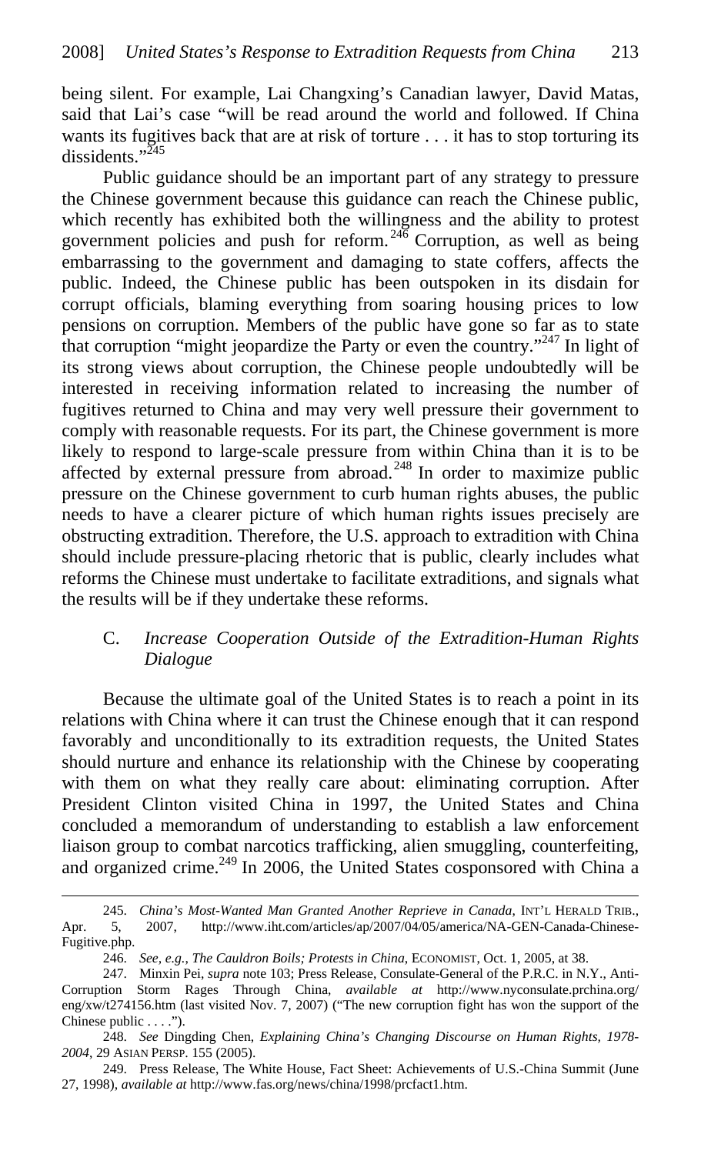being silent. For example, Lai Changxing's Canadian lawyer, David Matas, said that Lai's case "will be read around the world and followed. If China wants its fugitives back that are at risk of torture . . . it has to stop torturing its dissidents."<sup>245</sup>

Public guidance should be an important part of any strategy to pressure the Chinese government because this guidance can reach the Chinese public, which recently has exhibited both the willingness and the ability to protest government policies and push for reform.  $246$  Corruption, as well as being embarrassing to the government and damaging to state coffers, affects the public. Indeed, the Chinese public has been outspoken in its disdain for corrupt officials, blaming everything from soaring housing prices to low pensions on corruption. Members of the public have gone so far as to state that corruption "might jeopardize the Party or even the country."<sup>247</sup> In light of its strong views about corruption, the Chinese people undoubtedly will be interested in receiving information related to increasing the number of fugitives returned to China and may very well pressure their government to comply with reasonable requests. For its part, the Chinese government is more likely to respond to large-scale pressure from within China than it is to be affected by external pressure from abroad.<sup>248</sup> In order to maximize public pressure on the Chinese government to curb human rights abuses, the public needs to have a clearer picture of which human rights issues precisely are obstructing extradition. Therefore, the U.S. approach to extradition with China should include pressure-placing rhetoric that is public, clearly includes what reforms the Chinese must undertake to facilitate extraditions, and signals what the results will be if they undertake these reforms.

# C. *Increase Cooperation Outside of the Extradition-Human Rights Dialogue*

Because the ultimate goal of the United States is to reach a point in its relations with China where it can trust the Chinese enough that it can respond favorably and unconditionally to its extradition requests, the United States should nurture and enhance its relationship with the Chinese by cooperating with them on what they really care about: eliminating corruption. After President Clinton visited China in 1997, the United States and China concluded a memorandum of understanding to establish a law enforcement liaison group to combat narcotics trafficking, alien smuggling, counterfeiting, and organized crime.<sup>249</sup> In 2006, the United States cosponsored with China a

<sup>245.</sup> *China's Most-Wanted Man Granted Another Reprieve in Canada*, INT'L HERALD TRIB., Apr. 5, 2007, http://www.iht.com/articles/ap/2007/04/05/america/NA-GEN-Canada-Chinese-Fugitive.php.

<sup>246.</sup> *See, e.g.*, *The Cauldron Boils; Protests in China*, ECONOMIST, Oct. 1, 2005, at 38.

<sup>247.</sup> Minxin Pei, *supra* note 103; Press Release, Consulate-General of the P.R.C. in N.Y., Anti-Corruption Storm Rages Through China, *available at* http://www.nyconsulate.prchina.org/ eng/xw/t274156.htm (last visited Nov. 7, 2007) ("The new corruption fight has won the support of the Chinese public . . . .").

<sup>248.</sup> *See* Dingding Chen, *Explaining China's Changing Discourse on Human Rights, 1978- 2004*, 29 ASIAN PERSP. 155 (2005).

<sup>249.</sup> Press Release, The White House, Fact Sheet: Achievements of U.S.-China Summit (June 27, 1998), *available at* http://www.fas.org/news/china/1998/prcfact1.htm.